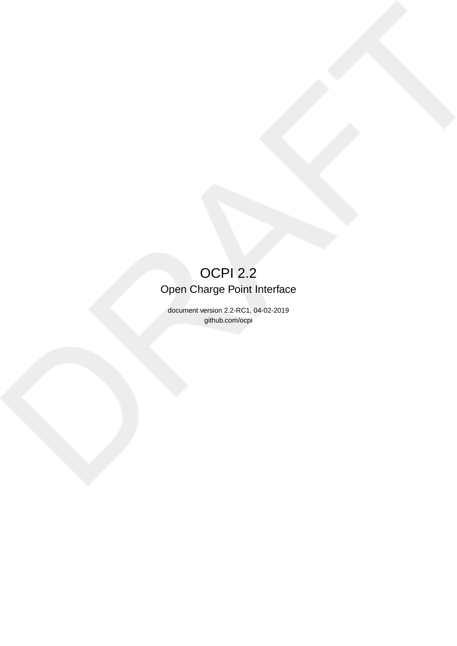# OCPI 2.2 Open Charge Point Interface

document version 2.2-RC1, 04-02-2019 github.com/ocpi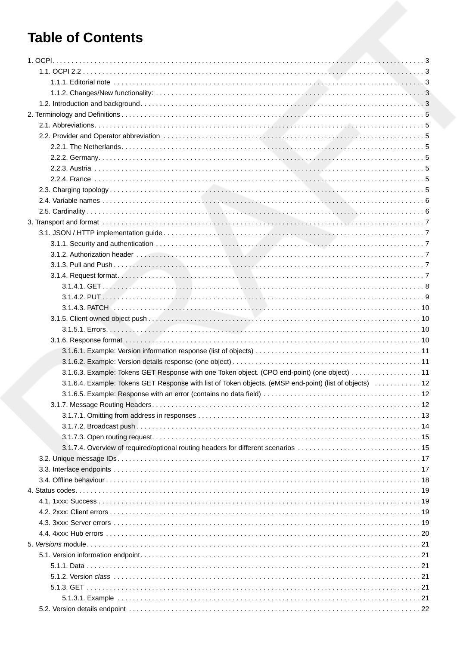# **Table of Contents**

| 3.1.6.3. Example: Tokens GET Response with one Token object. (CPO end-point) (one object)  11            |  |
|----------------------------------------------------------------------------------------------------------|--|
| 3.1.6.4. Example: Tokens GET Response with list of Token objects. (eMSP end-point) (list of objects)  12 |  |
|                                                                                                          |  |
|                                                                                                          |  |
|                                                                                                          |  |
|                                                                                                          |  |
|                                                                                                          |  |
|                                                                                                          |  |
|                                                                                                          |  |
|                                                                                                          |  |
|                                                                                                          |  |
|                                                                                                          |  |
|                                                                                                          |  |
|                                                                                                          |  |
|                                                                                                          |  |
|                                                                                                          |  |
|                                                                                                          |  |
|                                                                                                          |  |
|                                                                                                          |  |
|                                                                                                          |  |
|                                                                                                          |  |
|                                                                                                          |  |
|                                                                                                          |  |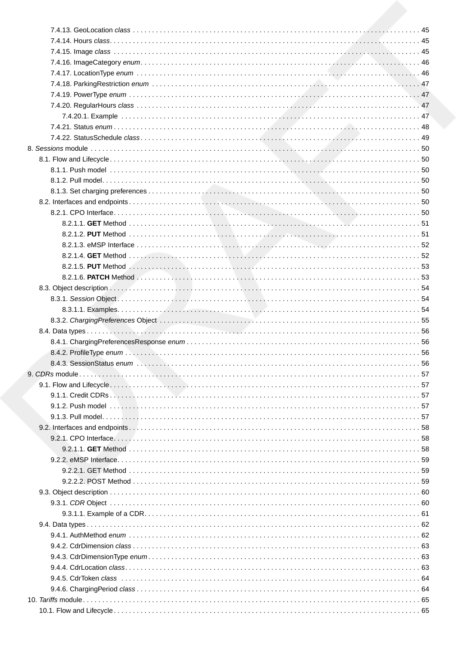| 10.1 Flow and Lifecycle | 65 |
|-------------------------|----|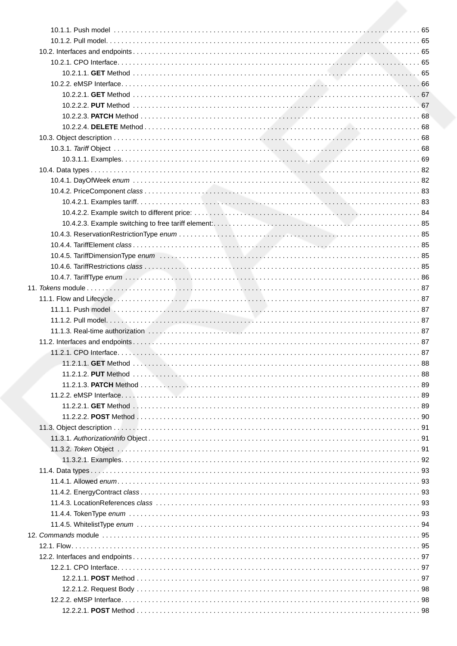| 10.4.2.2. Example switch to different price: Witch Martin March Martin Martin Martin Martin Martin Martin Mart |  |
|----------------------------------------------------------------------------------------------------------------|--|
|                                                                                                                |  |
|                                                                                                                |  |
|                                                                                                                |  |
|                                                                                                                |  |
|                                                                                                                |  |
|                                                                                                                |  |
|                                                                                                                |  |
|                                                                                                                |  |
|                                                                                                                |  |
|                                                                                                                |  |
|                                                                                                                |  |
|                                                                                                                |  |
|                                                                                                                |  |
|                                                                                                                |  |
|                                                                                                                |  |
|                                                                                                                |  |
|                                                                                                                |  |
|                                                                                                                |  |
|                                                                                                                |  |
|                                                                                                                |  |
| 11.3. Object description New Albert 2014 (2008) 31.3. Object description New York 2015                         |  |
|                                                                                                                |  |
|                                                                                                                |  |
|                                                                                                                |  |
|                                                                                                                |  |
|                                                                                                                |  |
|                                                                                                                |  |
|                                                                                                                |  |
|                                                                                                                |  |
|                                                                                                                |  |
|                                                                                                                |  |
|                                                                                                                |  |
|                                                                                                                |  |
|                                                                                                                |  |
|                                                                                                                |  |
|                                                                                                                |  |
|                                                                                                                |  |
| $12221$ POST Method<br><b>QR</b>                                                                               |  |

 $\overline{1}$ 

 $\overline{1}$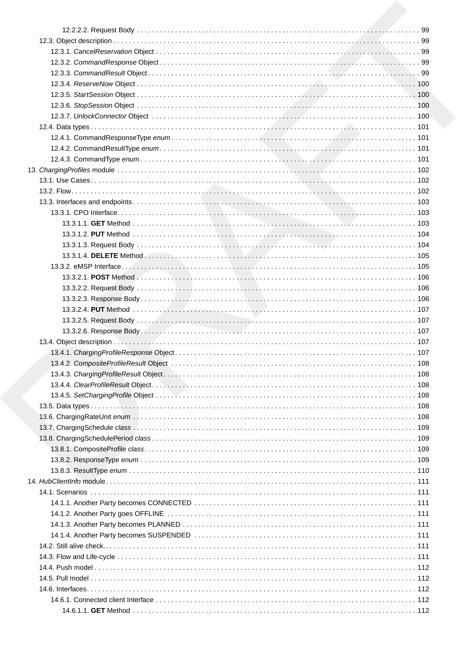| 13.4. Object description New York Network 2017 (1977) 107 |  |
|-----------------------------------------------------------|--|
|                                                           |  |
|                                                           |  |
|                                                           |  |
|                                                           |  |
|                                                           |  |
|                                                           |  |
|                                                           |  |
|                                                           |  |
|                                                           |  |
|                                                           |  |
|                                                           |  |
|                                                           |  |
|                                                           |  |
|                                                           |  |
|                                                           |  |
|                                                           |  |
|                                                           |  |
|                                                           |  |
|                                                           |  |
|                                                           |  |
|                                                           |  |
|                                                           |  |
|                                                           |  |
|                                                           |  |
|                                                           |  |
|                                                           |  |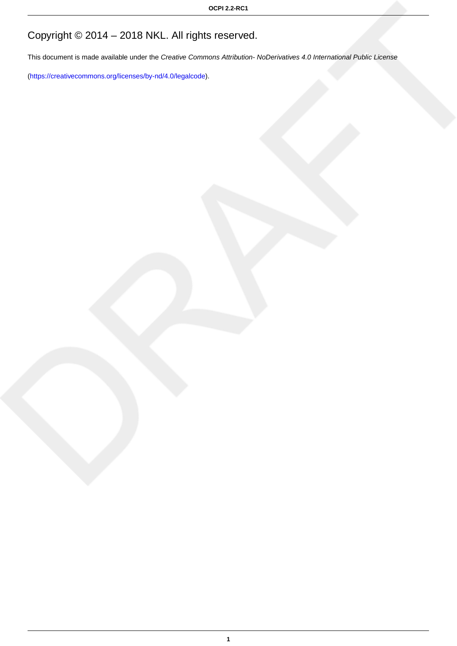# Copyright © 2014 – 2018 NKL. All rights reserved.

This document is made available under the Creative Commons Attribution- NoDerivatives 4.0 International Public License

([https://creativecommons.org/licenses/by-nd/4.0/legalcode\)](https://creativecommons.org/licenses/by-nd/4.0/legalcode).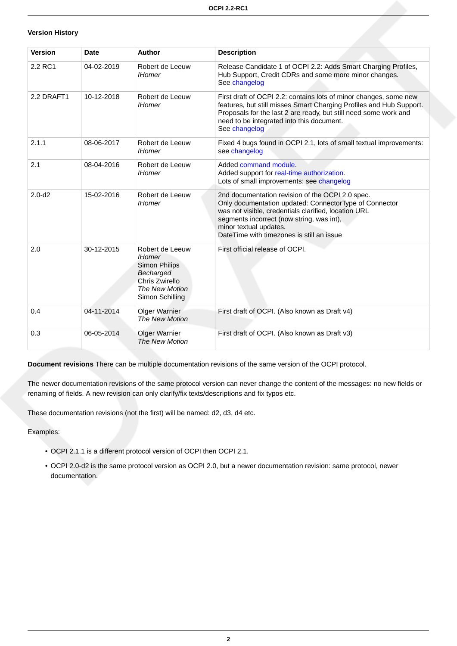#### **Version History**

| <b>Version</b> | <b>Date</b> | <b>Author</b>                                                                                                         | <b>Description</b>                                                                                                                                                                                                                                                                     |
|----------------|-------------|-----------------------------------------------------------------------------------------------------------------------|----------------------------------------------------------------------------------------------------------------------------------------------------------------------------------------------------------------------------------------------------------------------------------------|
| 2.2 RC1        | 04-02-2019  | Robert de Leeuw<br><b>IHomer</b>                                                                                      | Release Candidate 1 of OCPI 2.2: Adds Smart Charging Profiles,<br>Hub Support, Credit CDRs and some more minor changes.<br>See changelog                                                                                                                                               |
| 2.2 DRAFT1     | 10-12-2018  | Robert de Leeuw<br><b>IHomer</b>                                                                                      | First draft of OCPI 2.2: contains lots of minor changes, some new<br>features, but still misses Smart Charging Profiles and Hub Support.<br>Proposals for the last 2 are ready, but still need some work and<br>need to be integrated into this document.<br>See changelog             |
| 2.1.1          | 08-06-2017  | Robert de Leeuw<br><b>IHomer</b>                                                                                      | Fixed 4 bugs found in OCPI 2.1, lots of small textual improvements:<br>see changelog                                                                                                                                                                                                   |
| 2.1            | 08-04-2016  | Robert de Leeuw<br><b>IHomer</b>                                                                                      | Added command module.<br>Added support for real-time authorization.<br>Lots of small improvements: see changelog                                                                                                                                                                       |
| $2.0 - d2$     | 15-02-2016  | Robert de Leeuw<br><b>IHomer</b>                                                                                      | 2nd documentation revision of the OCPI 2.0 spec.<br>Only documentation updated: ConnectorType of Connector<br>was not visible, credentials clarified, location URL<br>segments incorrect (now string, was int),<br>minor textual updates.<br>DateTime with timezones is still an issue |
| 2.0            | 30-12-2015  | Robert de Leeuw<br><b>IHomer</b><br>Simon Philips<br>Becharged<br>Chris Zwirello<br>The New Motion<br>Simon Schilling | First official release of OCPI.                                                                                                                                                                                                                                                        |
| 0.4            | 04-11-2014  | <b>Olger Warnier</b><br>The New Motion                                                                                | First draft of OCPI. (Also known as Draft v4)                                                                                                                                                                                                                                          |
| 0.3            | 06-05-2014  | Olger Warnier<br>The New Motion                                                                                       | First draft of OCPI. (Also known as Draft v3)                                                                                                                                                                                                                                          |

**Document revisions** There can be multiple documentation revisions of the same version of the OCPI protocol.

The newer documentation revisions of the same protocol version can never change the content of the messages: no new fields or renaming of fields. A new revision can only clarify/fix texts/descriptions and fix typos etc.

These documentation revisions (not the first) will be named: d2, d3, d4 etc.

Examples:

- OCPI 2.1.1 is a different protocol version of OCPI then OCPI 2.1.
- OCPI 2.0-d2 is the same protocol version as OCPI 2.0, but a newer documentation revision: same protocol, newer documentation.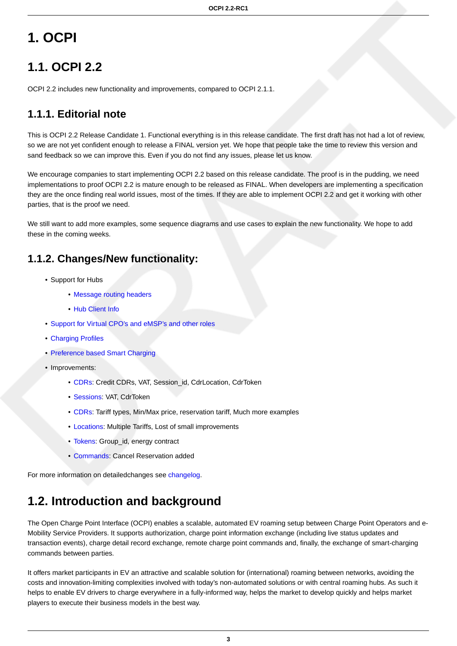# <span id="page-9-0"></span>**1. OCPI**

# <span id="page-9-1"></span>**1.1. OCPI 2.2**

OCPI 2.2 includes new functionality and improvements, compared to OCPI 2.1.1.

## <span id="page-9-2"></span>**1.1.1. Editorial note**

This is OCPI 2.2 Release Candidate 1. Functional everything is in this release candidate. The first draft has not had a lot of review, so we are not yet confident enough to release a FINAL version yet. We hope that people take the time to review this version and sand feedback so we can improve this. Even if you do not find any issues, please let us know.

We encourage companies to start implementing OCPI 2.2 based on this release candidate. The proof is in the pudding, we need implementations to proof OCPI 2.2 is mature enough to be released as FINAL. When developers are implementing a specification they are the once finding real world issues, most of the times. If they are able to implement OCPI 2.2 and get it working with other parties, that is the proof we need.

We still want to add more examples, some sequence diagrams and use cases to explain the new functionality. We hope to add these in the coming weeks.

### <span id="page-9-3"></span>**1.1.2. Changes/New functionality:**

- Support for Hubs
	- [Message routing headers](#page-18-2)
	- [Hub Client Info](#page-117-0)
- [Support for Virtual CPO's and eMSP's and other roles](#page-37-1)
- [Charging Profiles](#page-108-0)
- [Preference based Smart Charging](#page-56-4)
- Improvements:
	- [CDRs:](#page-66-1) Credit CDRs, VAT, Session id, CdrLocation, CdrToken
	- [Sessions:](#page-60-1) VAT, CdrToken
	- [CDRs:](#page-74-3) Tariff types, Min/Max price, reservation tariff, Much more examples
	- [Locations:](#page-43-1) Multiple Tariffs, Lost of small improvements
	- [Tokens](#page-97-2): Group\_id, energy contract
	- [Commands](#page-105-2): Cancel Reservation added

For more information on detailedchanges see [changelog.](#page-124-0)

## <span id="page-9-4"></span>**1.2. Introduction and background**

The Open Charge Point Interface (OCPI) enables a scalable, automated EV roaming setup between Charge Point Operators and e-Mobility Service Providers. It supports authorization, charge point information exchange (including live status updates and transaction events), charge detail record exchange, remote charge point commands and, finally, the exchange of smart-charging commands between parties.

It offers market participants in EV an attractive and scalable solution for (international) roaming between networks, avoiding the costs and innovation-limiting complexities involved with today's non-automated solutions or with central roaming hubs. As such it helps to enable EV drivers to charge everywhere in a fully-informed way, helps the market to develop quickly and helps market players to execute their business models in the best way.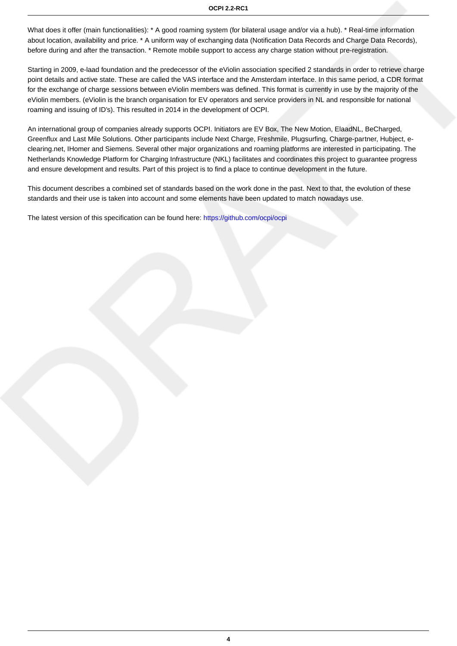What does it offer (main functionalities): \* A good roaming system (for bilateral usage and/or via a hub). \* Real-time information about location, availability and price. \* A uniform way of exchanging data (Notification Data Records and Charge Data Records), before during and after the transaction. \* Remote mobile support to access any charge station without pre-registration.

Starting in 2009, e-laad foundation and the predecessor of the eViolin association specified 2 standards in order to retrieve charge point details and active state. These are called the VAS interface and the Amsterdam interface. In this same period, a CDR format for the exchange of charge sessions between eViolin members was defined. This format is currently in use by the majority of the eViolin members. (eViolin is the branch organisation for EV operators and service providers in NL and responsible for national roaming and issuing of ID's). This resulted in 2014 in the development of OCPI.

An international group of companies already supports OCPI. Initiators are EV Box, The New Motion, ElaadNL, BeCharged, Greenflux and Last Mile Solutions. Other participants include Next Charge, Freshmile, Plugsurfing, Charge-partner, Hubject, eclearing.net, IHomer and Siemens. Several other major organizations and roaming platforms are interested in participating. The Netherlands Knowledge Platform for Charging Infrastructure (NKL) facilitates and coordinates this project to guarantee progress and ensure development and results. Part of this project is to find a place to continue development in the future.

This document describes a combined set of standards based on the work done in the past. Next to that, the evolution of these standards and their use is taken into account and some elements have been updated to match nowadays use.

The latest version of this specification can be found here:<https://github.com/ocpi/ocpi>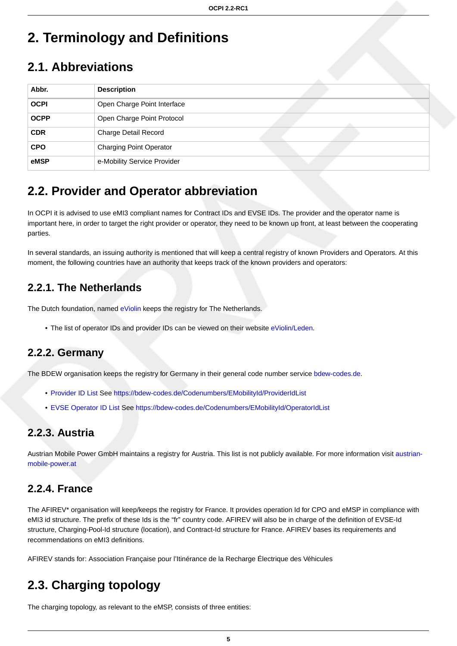# <span id="page-11-0"></span>**2. Terminology and Definitions**

## <span id="page-11-1"></span>**2.1. Abbreviations**

| Abbr.       | <b>Description</b>             |
|-------------|--------------------------------|
| <b>OCPI</b> | Open Charge Point Interface    |
| <b>OCPP</b> | Open Charge Point Protocol     |
| <b>CDR</b>  | Charge Detail Record           |
| <b>CPO</b>  | <b>Charging Point Operator</b> |
| eMSP        | e-Mobility Service Provider    |

## <span id="page-11-2"></span>**2.2. Provider and Operator abbreviation**

In OCPI it is advised to use eMI3 compliant names for Contract IDs and EVSE IDs. The provider and the operator name is important here, in order to target the right provider or operator, they need to be known up front, at least between the cooperating parties.

In several standards, an issuing authority is mentioned that will keep a central registry of known Providers and Operators. At this moment, the following countries have an authority that keeps track of the known providers and operators:

## <span id="page-11-3"></span>**2.2.1. The Netherlands**

The Dutch foundation, named [eViolin](http://www.eviolin.nl) keeps the registry for The Netherlands.

• The list of operator IDs and provider IDs can be viewed on their website [eViolin/Leden.](http://www.eviolin.nl/index.php/leden/)

### <span id="page-11-4"></span>**2.2.2. Germany**

The BDEW organisation keeps the registry for Germany in their general code number service [bdew-codes.de.](https://bdew-codes.de/)

- [Provider ID List](https://bdew-codes.de/Codenumbers/EMobilityId/ProviderIdList) See<https://bdew-codes.de/Codenumbers/EMobilityId/ProviderIdList>
- [EVSE Operator ID List](https://bdew-codes.de/Codenumbers/EMobilityId/OperatorIdList) See <https://bdew-codes.de/Codenumbers/EMobilityId/OperatorIdList>

### <span id="page-11-5"></span>**2.2.3. Austria**

Austrian Mobile Power GmbH maintains a registry for Austria. This list is not publicly available. For more information visit [austrian](http://austrian-mobile-power.at/tools/id-vergabe/information/)[mobile-power.at](http://austrian-mobile-power.at/tools/id-vergabe/information/)

### <span id="page-11-6"></span>**2.2.4. France**

The AFIREV\* organisation will keep/keeps the registry for France. It provides operation Id for CPO and eMSP in compliance with eMI3 id structure. The prefix of these Ids is the "fr" country code. AFIREV will also be in charge of the definition of EVSE-Id structure, Charging-Pool-Id structure (location), and Contract-Id structure for France. AFIREV bases its requirements and recommendations on eMI3 definitions.

AFIREV stands for: Association Française pour l'Itinérance de la Recharge Électrique des Véhicules

## <span id="page-11-7"></span>**2.3. Charging topology**

The charging topology, as relevant to the eMSP, consists of three entities: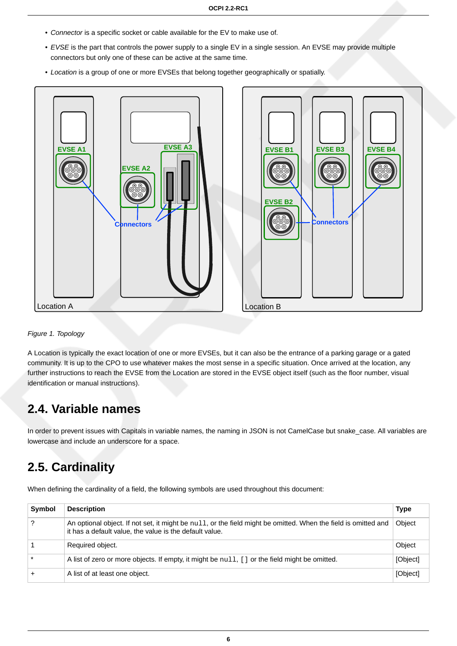- Connector is a specific socket or cable available for the EV to make use of.
- EVSE is the part that controls the power supply to a single EV in a single session. An EVSE may provide multiple connectors but only one of these can be active at the same time.
- Location is a group of one or more EVSEs that belong together geographically or spatially.





Figure 1. Topology

A Location is typically the exact location of one or more EVSEs, but it can also be the entrance of a parking garage or a gated community. It is up to the CPO to use whatever makes the most sense in a specific situation. Once arrived at the location, any further instructions to reach the EVSE from the Location are stored in the EVSE object itself (such as the floor number, visual identification or manual instructions).

## <span id="page-12-0"></span>**2.4. Variable names**

In order to prevent issues with Capitals in variable names, the naming in JSON is not CamelCase but snake\_case. All variables are lowercase and include an underscore for a space.

## <span id="page-12-1"></span>**2.5. Cardinality**

When defining the cardinality of a field, the following symbols are used throughout this document:

| Symbol | <b>Description</b>                                                                                                                                                           | <b>Type</b> |
|--------|------------------------------------------------------------------------------------------------------------------------------------------------------------------------------|-------------|
|        | An optional object. If not set, it might be $null$ , or the field might be omitted. When the field is omitted and<br>it has a default value, the value is the default value. | Object      |
|        | Required object.                                                                                                                                                             | Object      |
|        | A list of zero or more objects. If empty, it might be $null, []$ or the field might be omitted.                                                                              | [Object]    |
|        | A list of at least one object.                                                                                                                                               | [Object]    |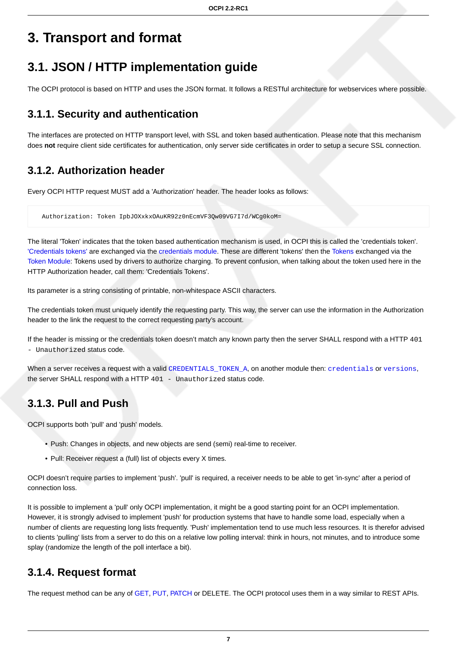# <span id="page-13-0"></span>**3. Transport and format**

## <span id="page-13-1"></span>**3.1. JSON / HTTP implementation guide**

The OCPI protocol is based on HTTP and uses the JSON format. It follows a RESTful architecture for webservices where possible.

### <span id="page-13-2"></span>**3.1.1. Security and authentication**

The interfaces are protected on HTTP transport level, with SSL and token based authentication. Please note that this mechanism does **not** require client side certificates for authentication, only server side certificates in order to setup a secure SSL connection.

### <span id="page-13-3"></span>**3.1.2. Authorization header**

Every OCPI HTTP request MUST add a 'Authorization' header. The header looks as follows:

Authorization: Token IpbJOXxkxOAuKR92z0nEcmVF3Qw09VG7I7d/WCg0koM=

The literal 'Token' indicates that the token based authentication mechanism is used, in OCPI this is called the 'credentials token'. ['Credentials tokens'](#page-35-2) are exchanged via the [credentials module.](#page-31-0) These are different 'tokens' then the [Tokens](#page-97-2) exchanged via the [Token Module:](#page-93-0) Tokens used by drivers to authorize charging. To prevent confusion, when talking about the token used here in the HTTP Authorization header, call them: 'Credentials Tokens'.

Its parameter is a string consisting of printable, non-whitespace ASCII characters.

The credentials token must uniquely identify the requesting party. This way, the server can use the information in the Authorization header to the link the request to the correct requesting party's account.

If the header is missing or the credentials token doesn't match any known party then the server SHALL respond with a HTTP 401 - Unauthorized status code.

When a server receives a request with a valid [CREDENTIALS\\_TOKEN\\_A](#page-31-2), on another module then: [credentials](#page-31-0) or [versions](#page-27-0), the server SHALL respond with a HTTP 401 - Unauthorized status code.

### <span id="page-13-4"></span>**3.1.3. Pull and Push**

OCPI supports both 'pull' and 'push' models.

- Push: Changes in objects, and new objects are send (semi) real-time to receiver.
- Pull: Receiver request a (full) list of objects every X times.

OCPI doesn't require parties to implement 'push'. 'pull' is required, a receiver needs to be able to get 'in-sync' after a period of connection loss.

It is possible to implement a 'pull' only OCPI implementation, it might be a good starting point for an OCPI implementation. However, it is strongly advised to implement 'push' for production systems that have to handle some load, especially when a number of clients are requesting long lists frequently. 'Push' implementation tend to use much less resources. It is therefor advised to clients 'pulling' lists from a server to do this on a relative low polling interval: think in hours, not minutes, and to introduce some splay (randomize the length of the poll interface a bit).

### <span id="page-13-5"></span>**3.1.4. Request format**

The request method can be any of [GET,](#page-14-0) [PUT,](#page-15-0) [PATCH](#page-16-0) or DELETE. The OCPI protocol uses them in a way similar to REST APIs.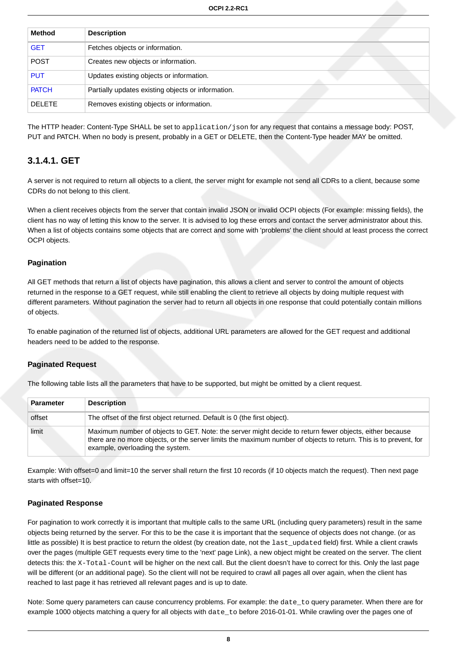| <b>Method</b> | <b>Description</b>                                 |
|---------------|----------------------------------------------------|
| <b>GET</b>    | Fetches objects or information.                    |
| <b>POST</b>   | Creates new objects or information.                |
| <b>PUT</b>    | Updates existing objects or information.           |
| <b>PATCH</b>  | Partially updates existing objects or information. |
| <b>DELETE</b> | Removes existing objects or information.           |

The HTTP header: Content-Type SHALL be set to application/json for any request that contains a message body: POST, PUT and PATCH. When no body is present, probably in a GET or DELETE, then the Content-Type header MAY be omitted.

#### <span id="page-14-0"></span>**3.1.4.1. GET**

A server is not required to return all objects to a client, the server might for example not send all CDRs to a client, because some CDRs do not belong to this client.

When a client receives objects from the server that contain invalid JSON or invalid OCPI objects (For example: missing fields), the client has no way of letting this know to the server. It is advised to log these errors and contact the server administrator about this. When a list of objects contains some objects that are correct and some with 'problems' the client should at least process the correct OCPI objects.

#### **Pagination**

All GET methods that return a list of objects have pagination, this allows a client and server to control the amount of objects returned in the response to a GET request, while still enabling the client to retrieve all objects by doing multiple request with different parameters. Without pagination the server had to return all objects in one response that could potentially contain millions of objects.

To enable pagination of the returned list of objects, additional URL parameters are allowed for the GET request and additional headers need to be added to the response.

#### **Paginated Request**

The following table lists all the parameters that have to be supported, but might be omitted by a client request.

| <b>Parameter</b> | <b>Description</b>                                                                                                                                                                                                                                              |
|------------------|-----------------------------------------------------------------------------------------------------------------------------------------------------------------------------------------------------------------------------------------------------------------|
| offset           | The offset of the first object returned. Default is 0 (the first object).                                                                                                                                                                                       |
| limit            | Maximum number of objects to GET. Note: the server might decide to return fewer objects, either because<br>there are no more objects, or the server limits the maximum number of objects to return. This is to prevent, for<br>example, overloading the system. |

Example: With offset=0 and limit=10 the server shall return the first 10 records (if 10 objects match the request). Then next page starts with offset=10.

#### **Paginated Response**

For pagination to work correctly it is important that multiple calls to the same URL (including query parameters) result in the same objects being returned by the server. For this to be the case it is important that the sequence of objects does not change. (or as little as possible) It is best practice to return the oldest (by creation date, not the last updated field) first. While a client crawls over the pages (multiple GET requests every time to the 'next' page Link), a new object might be created on the server. The client detects this: the X-Total-Count will be higher on the next call. But the client doesn't have to correct for this. Only the last page will be different (or an additional page). So the client will not be required to crawl all pages all over again, when the client has reached to last page it has retrieved all relevant pages and is up to date.

Note: Some query parameters can cause concurrency problems. For example: the date\_to query parameter. When there are for example 1000 objects matching a query for all objects with date\_to before 2016-01-01. While crawling over the pages one of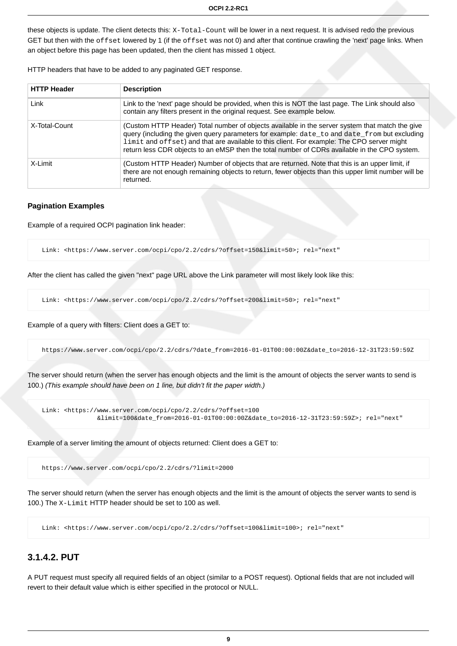these objects is update. The client detects this: X-Total-Count will be lower in a next request. It is advised redo the previous GET but then with the offset lowered by 1 (if the offset was not 0) and after that continue crawling the 'next' page links. When an object before this page has been updated, then the client has missed 1 object.

HTTP headers that have to be added to any paginated GET response.

| <b>HTTP Header</b> | <b>Description</b>                                                                                                                                                                                                                                                                                                                                                                             |
|--------------------|------------------------------------------------------------------------------------------------------------------------------------------------------------------------------------------------------------------------------------------------------------------------------------------------------------------------------------------------------------------------------------------------|
| Link               | Link to the 'next' page should be provided, when this is NOT the last page. The Link should also<br>contain any filters present in the original request. See example below.                                                                                                                                                                                                                    |
| X-Total-Count      | (Custom HTTP Header) Total number of objects available in the server system that match the give<br>query (including the given query parameters for example: date_to and date_from but excluding<br>limit and offset) and that are available to this client. For example: The CPO server might<br>return less CDR objects to an eMSP then the total number of CDRs available in the CPO system. |
| X-Limit            | (Custom HTTP Header) Number of objects that are returned. Note that this is an upper limit, if<br>there are not enough remaining objects to return, fewer objects than this upper limit number will be<br>returned.                                                                                                                                                                            |

#### **Pagination Examples**

Example of a required OCPI pagination link header:

Link: <https://www.server.com/ocpi/cpo/2.2/cdrs/?offset=150&limit=50>; rel="next"

After the client has called the given "next" page URL above the Link parameter will most likely look like this:

Link: <https://www.server.com/ocpi/cpo/2.2/cdrs/?offset=200&limit=50>; rel="next"

Example of a query with filters: Client does a GET to:

https://www.server.com/ocpi/cpo/2.2/cdrs/?date\_from=2016-01-01T00:00:00Z&date\_to=2016-12-31T23:59:59Z

The server should return (when the server has enough objects and the limit is the amount of objects the server wants to send is 100.) (This example should have been on 1 line, but didn't fit the paper width.)

```
 Link: <https://www.server.com/ocpi/cpo/2.2/cdrs/?offset=100
                &limit=100&date_from=2016-01-01T00:00:00Z&date_to=2016-12-31T23:59:59Z>; rel="next"
```
Example of a server limiting the amount of objects returned: Client does a GET to:

https://www.server.com/ocpi/cpo/2.2/cdrs/?limit=2000

The server should return (when the server has enough objects and the limit is the amount of objects the server wants to send is 100.) The X-Limit HTTP header should be set to 100 as well.

Link: <https://www.server.com/ocpi/cpo/2.2/cdrs/?offset=100&limit=100>; rel="next"

#### <span id="page-15-0"></span>**3.1.4.2. PUT**

A PUT request must specify all required fields of an object (similar to a POST request). Optional fields that are not included will revert to their default value which is either specified in the protocol or NULL.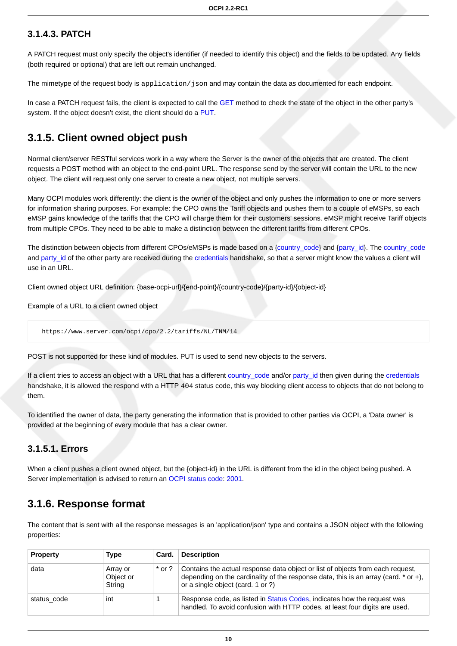#### <span id="page-16-0"></span>**3.1.4.3. PATCH**

A PATCH request must only specify the object's identifier (if needed to identify this object) and the fields to be updated. Any fields (both required or optional) that are left out remain unchanged.

The mimetype of the request body is application/json and may contain the data as documented for each endpoint.

In case a PATCH request fails, the client is expected to call the [GET](#page-14-0) method to check the state of the object in the other party's system. If the object doesn't exist, the client should do a [PUT.](#page-15-0)

### <span id="page-16-1"></span>**3.1.5. Client owned object push**

Normal client/server RESTful services work in a way where the Server is the owner of the objects that are created. The client requests a POST method with an object to the end-point URL. The response send by the server will contain the URL to the new object. The client will request only one server to create a new object, not multiple servers.

Many OCPI modules work differently: the client is the owner of the object and only pushes the information to one or more servers for information sharing purposes. For example: the CPO owns the Tariff objects and pushes them to a couple of eMSPs, so each eMSP gains knowledge of the tariffs that the CPO will charge them for their customers' sessions. eMSP might receive Tariff objects from multiple CPOs. They need to be able to make a distinction between the different tariffs from different CPOs.

The distinction between objects from different CPOs/eMSPs is made based on a [{country\\_code}](#page-35-2) and {[party\\_id}](#page-35-2). The [country\\_code](#page-35-2) and [party\\_id](#page-35-2) of the other party are received during the [credentials](#page-31-0) handshake, so that a server might know the values a client will use in an URL.

Client owned object URL definition: {base-ocpi-url}/{end-point}/{country-code}/{party-id}/{object-id}

Example of a URL to a client owned object

https://www.server.com/ocpi/cpo/2.2/tariffs/NL/TNM/14

POST is not supported for these kind of modules. PUT is used to send new objects to the servers.

If a client tries to access an object with a URL that has a different [country\\_code](#page-35-2) and/or [party\\_id](#page-35-2) then given during the [credentials](#page-31-0) handshake, it is allowed the respond with a HTTP 404 status code, this way blocking client access to objects that do not belong to them.

To identified the owner of data, the party generating the information that is provided to other parties via OCPI, a 'Data owner' is provided at the beginning of every module that has a clear owner.

#### <span id="page-16-2"></span>**3.1.5.1. Errors**

When a client pushes a client owned object, but the {object-id} in the URL is different from the id in the object being pushed. A Server implementation is advised to return an [OCPI status code](#page-25-0): [2001](#page-25-0).

### <span id="page-16-3"></span>**3.1.6. Response format**

The content that is sent with all the response messages is an 'application/json' type and contains a JSON object with the following properties:

| <b>Property</b> | Type                            | Card.    | <b>Description</b>                                                                                                                                                                                              |
|-----------------|---------------------------------|----------|-----------------------------------------------------------------------------------------------------------------------------------------------------------------------------------------------------------------|
| data            | Array or<br>Object or<br>String | $*$ or ? | Contains the actual response data object or list of objects from each request,<br>depending on the cardinality of the response data, this is an array (card. $*$ or $+$ ),<br>or a single object (card. 1 or ?) |
| status code     | int                             |          | Response code, as listed in Status Codes, indicates how the request was<br>handled. To avoid confusion with HTTP codes, at least four digits are used.                                                          |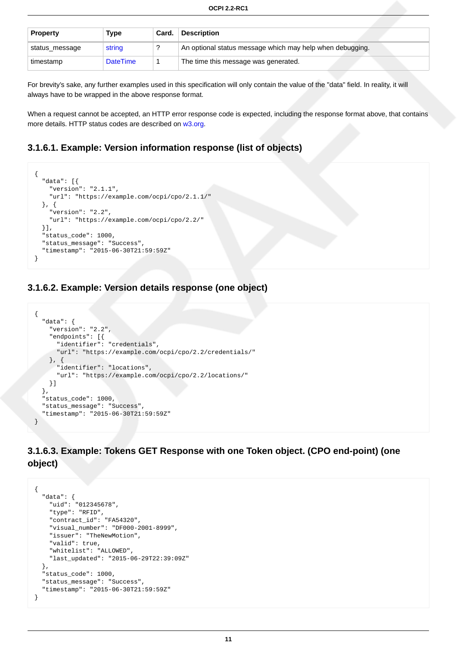| <b>Property</b> | Type            | Card. | <b>Description</b>                                        |
|-----------------|-----------------|-------|-----------------------------------------------------------|
| status_message  | string          |       | An optional status message which may help when debugging. |
| timestamp       | <b>DateTime</b> |       | The time this message was generated.                      |

For brevity's sake, any further examples used in this specification will only contain the value of the "data" field. In reality, it will always have to be wrapped in the above response format.

When a request cannot be accepted, an HTTP error response code is expected, including the response format above, that contains more details. HTTP status codes are described on [w3.org.](http://www.w3.org/Protocols/rfc2616/rfc2616-sec10.html)

#### <span id="page-17-0"></span>**3.1.6.1. Example: Version information response (list of objects)**

```
{
   "data": [{
     "version": "2.1.1",
     "url": "https://example.com/ocpi/cpo/2.1.1/"
   }, {
     "version": "2.2",
     "url": "https://example.com/ocpi/cpo/2.2/"
  }],
   "status_code": 1000,
  "status_message": "Success",
   "timestamp": "2015-06-30T21:59:59Z"
}
```
#### <span id="page-17-1"></span>**3.1.6.2. Example: Version details response (one object)**

```
{
   "data": {
     "version": "2.2",
     "endpoints": [{
       "identifier": "credentials",
       "url": "https://example.com/ocpi/cpo/2.2/credentials/"
     }, {
       "identifier": "locations",
       "url": "https://example.com/ocpi/cpo/2.2/locations/"
    }]
   },
  .<br>"status_code": 1000,
   "status_message": "Success",
   "timestamp": "2015-06-30T21:59:59Z"
}
```
<span id="page-17-2"></span>**3.1.6.3. Example: Tokens GET Response with one Token object. (CPO end-point) (one object)**

```
{
   "data": {
     "uid": "012345678",
     "type": "RFID",
     "contract_id": "FA54320",
     "visual_number": "DF000-2001-8999",
     "issuer": "TheNewMotion",
     "valid": true,
     "whitelist": "ALLOWED",
     "last_updated": "2015-06-29T22:39:09Z"
  },
   "status_code": 1000,
   "status_message": "Success",
   "timestamp": "2015-06-30T21:59:59Z"
}
```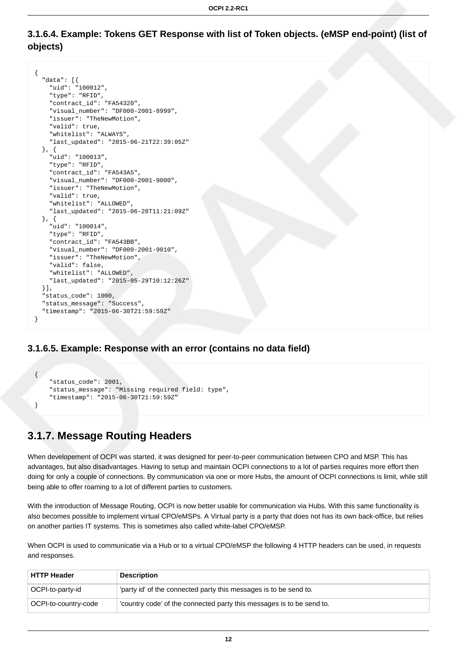#### <span id="page-18-0"></span>**3.1.6.4. Example: Tokens GET Response with list of Token objects. (eMSP end-point) (list of objects)**

```
{
   "data": [{
     "uid": "100012",
     "type": "RFID",
     "contract_id": "FA54320",
     "visual_number": "DF000-2001-8999",
     "issuer": "TheNewMotion",
     "valid": true,
     "whitelist": "ALWAYS",
     "last_updated": "2015-06-21T22:39:05Z"
   }, {
     "uid": "100013",
     "type": "RFID",
     "contract_id": "FA543A5",
     "visual_number": "DF000-2001-9000",
     "issuer": "TheNewMotion",
     "valid": true,
     "whitelist": "ALLOWED",
     "last_updated": "2015-06-28T11:21:09Z"
   }, {
     "uid": "100014",
     "type": "RFID",
     "contract_id": "FA543BB",
     "visual_number": "DF000-2001-9010",
     "issuer": "TheNewMotion",
     "valid": false,
     "whitelist": "ALLOWED",
     "last_updated": "2015-05-29T10:12:26Z"
  }],
   "status_code": 1000,
   "status_message": "Success",
   "timestamp": "2015-06-30T21:59:59Z"
}
```
#### <span id="page-18-1"></span>**3.1.6.5. Example: Response with an error (contains no data field)**

```
{
     "status_code": 2001,
     "status_message": "Missing required field: type",
     "timestamp": "2015-06-30T21:59:59Z"
}
```
## <span id="page-18-2"></span>**3.1.7. Message Routing Headers**

When developement of OCPI was started, it was designed for peer-to-peer communication between CPO and MSP. This has advantages, but also disadvantages. Having to setup and maintain OCPI connections to a lot of parties requires more effort then doing for only a couple of connections. By communication via one or more Hubs, the amount of OCPI connections is limit, while still being able to offer roaming to a lot of different parties to customers.

With the introduction of Message Routing, OCPI is now better usable for communication via Hubs. With this same functionality is also becomes possible to implement virtual CPO/eMSPs. A Virtual party is a party that does not has its own back-office, but relies on another parties IT systems. This is sometimes also called white-label CPO/eMSP.

When OCPI is used to communicatie via a Hub or to a virtual CPO/eMSP the following 4 HTTP headers can be used, in requests and responses.

| <b>HTTP Header</b>   | <b>Description</b>                                                    |
|----------------------|-----------------------------------------------------------------------|
| OCPI-to-party-id     | 'party id' of the connected party this messages is to be send to.     |
| OCPI-to-country-code | 'country code' of the connected party this messages is to be send to. |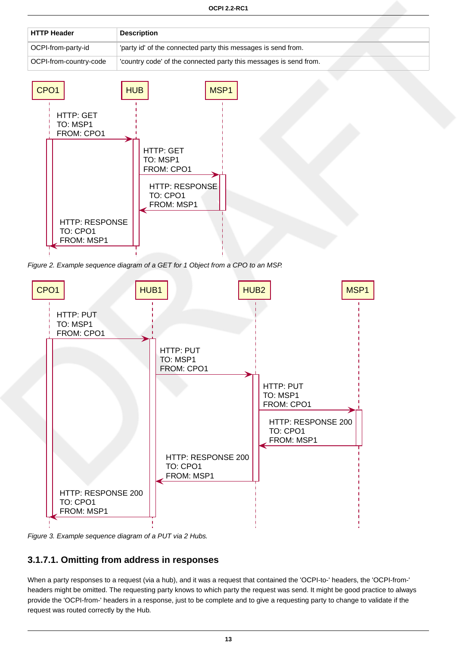| ⊦HTTP Header           | <b>Description</b>                                                |
|------------------------|-------------------------------------------------------------------|
| OCPI-from-party-id     | 'party id' of the connected party this messages is send from.     |
| OCPI-from-country-code | 'country code' of the connected party this messages is send from. |



Figure 2. Example sequence diagram of a GET for 1 Object from a CPO to an MSP.



Figure 3. Example sequence diagram of a PUT via 2 Hubs.

### <span id="page-19-0"></span>**3.1.7.1. Omitting from address in responses**

When a party responses to a request (via a hub), and it was a request that contained the 'OCPI-to-' headers, the 'OCPI-from-' headers might be omitted. The requesting party knows to which party the request was send. It might be good practice to always provide the 'OCPI-from-' headers in a response, just to be complete and to give a requesting party to change to validate if the request was routed correctly by the Hub.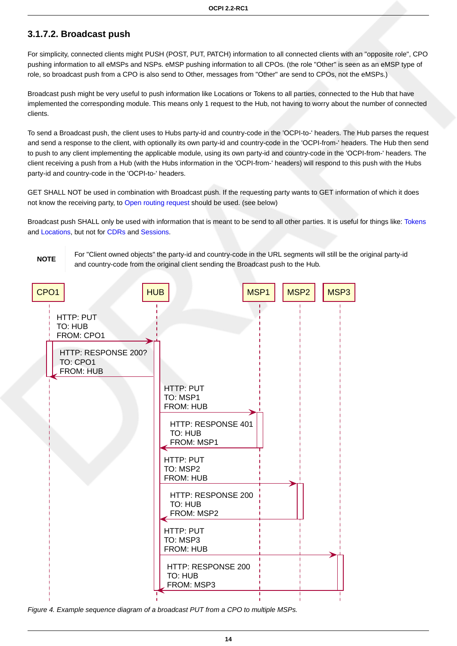#### <span id="page-20-0"></span>**3.1.7.2. Broadcast push**

For simplicity, connected clients might PUSH (POST, PUT, PATCH) information to all connected clients with an "opposite role", CPO pushing information to all eMSPs and NSPs. eMSP pushing information to all CPOs. (the role "Other" is seen as an eMSP type of role, so broadcast push from a CPO is also send to Other, messages from "Other" are send to CPOs, not the eMSPs.)

Broadcast push might be very useful to push information like Locations or Tokens to all parties, connected to the Hub that have implemented the corresponding module. This means only 1 request to the Hub, not having to worry about the number of connected clients.

To send a Broadcast push, the client uses to Hubs party-id and country-code in the 'OCPI-to-' headers. The Hub parses the request and send a response to the client, with optionally its own party-id and country-code in the 'OCPI-from-' headers. The Hub then send to push to any client implementing the applicable module, using its own party-id and country-code in the 'OCPI-from-' headers. The client receiving a push from a Hub (with the Hubs information in the 'OCPI-from-' headers) will respond to this push with the Hubs party-id and country-code in the 'OCPI-to-' headers.

GET SHALL NOT be used in combination with Broadcast push. If the requesting party wants to GET information of which it does not know the receiving party, to [Open routing request](#page-21-0) should be used. (see below)

Broadcast push SHALL only be used with information that is meant to be send to all other parties. It is useful for things like: [Tokens](#page-93-0) and [Locations](#page-38-0), but not for [CDRs](#page-63-0) and [Sessions](#page-56-0).

**NOTE**

For "Client owned objects" the party-id and country-code in the URL segments will still be the original party-id and country-code from the original client sending the Broadcast push to the Hub.



Figure 4. Example sequence diagram of a broadcast PUT from a CPO to multiple MSPs.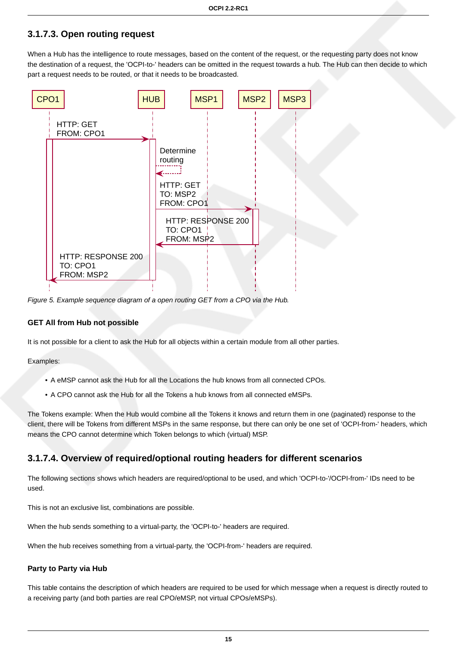### <span id="page-21-0"></span>**3.1.7.3. Open routing request**

When a Hub has the intelligence to route messages, based on the content of the request, or the requesting party does not know the destination of a request, the 'OCPI-to-' headers can be omitted in the request towards a hub. The Hub can then decide to which part a request needs to be routed, or that it needs to be broadcasted.



Figure 5. Example sequence diagram of a open routing GET from a CPO via the Hub.

#### **GET All from Hub not possible**

It is not possible for a client to ask the Hub for all objects within a certain module from all other parties.

Examples:

- A eMSP cannot ask the Hub for all the Locations the hub knows from all connected CPOs.
- A CPO cannot ask the Hub for all the Tokens a hub knows from all connected eMSPs.

The Tokens example: When the Hub would combine all the Tokens it knows and return them in one (paginated) response to the client, there will be Tokens from different MSPs in the same response, but there can only be one set of 'OCPI-from-' headers, which means the CPO cannot determine which Token belongs to which (virtual) MSP.

#### <span id="page-21-1"></span>**3.1.7.4. Overview of required/optional routing headers for different scenarios**

The following sections shows which headers are required/optional to be used, and which 'OCPI-to-'/OCPI-from-' IDs need to be used.

This is not an exclusive list, combinations are possible.

When the hub sends something to a virtual-party, the 'OCPI-to-' headers are required.

When the hub receives something from a virtual-party, the 'OCPI-from-' headers are required.

#### **Party to Party via Hub**

This table contains the description of which headers are required to be used for which message when a request is directly routed to a receiving party (and both parties are real CPO/eMSP, not virtual CPOs/eMSPs).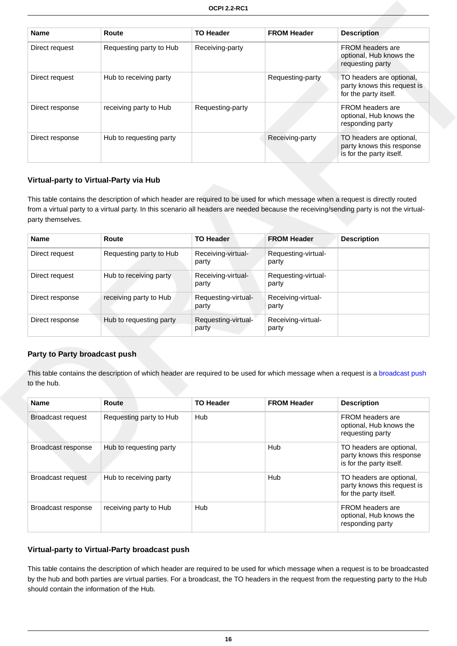| <b>Name</b>     | Route                   | <b>TO Header</b> | <b>FROM Header</b> | <b>Description</b>                                                                |
|-----------------|-------------------------|------------------|--------------------|-----------------------------------------------------------------------------------|
| Direct request  | Requesting party to Hub | Receiving-party  |                    | <b>FROM</b> headers are<br>optional, Hub knows the<br>requesting party            |
| Direct request  | Hub to receiving party  |                  | Requesting-party   | TO headers are optional,<br>party knows this request is<br>for the party itself.  |
| Direct response | receiving party to Hub  | Requesting-party |                    | FROM headers are<br>optional, Hub knows the<br>responding party                   |
| Direct response | Hub to requesting party |                  | Receiving-party    | TO headers are optional,<br>party knows this response<br>is for the party itself. |

#### **Virtual-party to Virtual-Party via Hub**

This table contains the description of which header are required to be used for which message when a request is directly routed from a virtual party to a virtual party. In this scenario all headers are needed because the receiving/sending party is not the virtualparty themselves.

| <b>Name</b>     | Route                   | <b>TO Header</b>             | <b>FROM Header</b>           | <b>Description</b> |
|-----------------|-------------------------|------------------------------|------------------------------|--------------------|
| Direct request  | Requesting party to Hub | Receiving-virtual-<br>party  | Requesting-virtual-<br>party |                    |
| Direct request  | Hub to receiving party  | Receiving-virtual-<br>party  | Requesting-virtual-<br>party |                    |
| Direct response | receiving party to Hub  | Requesting-virtual-<br>party | Receiving-virtual-<br>party  |                    |
| Direct response | Hub to requesting party | Requesting-virtual-<br>party | Receiving-virtual-<br>party  |                    |

#### **Party to Party broadcast push**

This table contains the description of which header are required to be used for which message when a request is a [broadcast push](#page-20-0) to the hub.

| <b>Name</b>              | Route                   | <b>TO Header</b> | <b>FROM Header</b> | <b>Description</b>                                                                |
|--------------------------|-------------------------|------------------|--------------------|-----------------------------------------------------------------------------------|
| Broadcast request        | Requesting party to Hub | Hub              |                    | <b>FROM headers are</b><br>optional, Hub knows the<br>requesting party            |
| Broadcast response       | Hub to requesting party |                  | <b>Hub</b>         | TO headers are optional,<br>party knows this response<br>is for the party itself. |
| <b>Broadcast request</b> | Hub to receiving party  |                  | Hub                | TO headers are optional,<br>party knows this request is<br>for the party itself.  |
| Broadcast response       | receiving party to Hub  | Hub              |                    | FROM headers are<br>optional, Hub knows the<br>responding party                   |

#### **Virtual-party to Virtual-Party broadcast push**

This table contains the description of which header are required to be used for which message when a request is to be broadcasted by the hub and both parties are virtual parties. For a broadcast, the TO headers in the request from the requesting party to the Hub should contain the information of the Hub.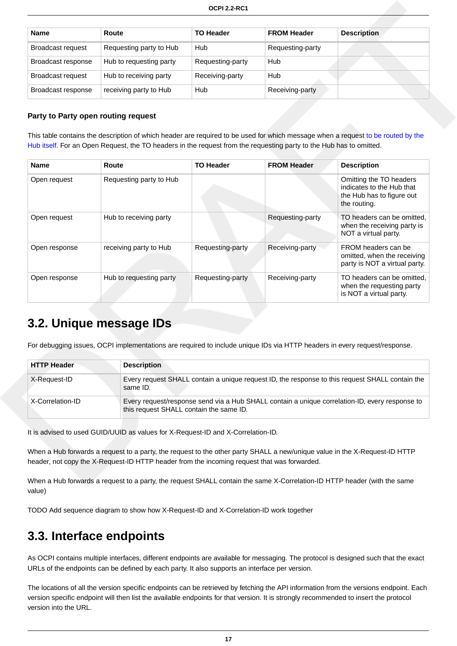| <b>Name</b>              | Route                   | <b>TO Header</b> | <b>FROM Header</b> | <b>Description</b> |
|--------------------------|-------------------------|------------------|--------------------|--------------------|
| Broadcast request        | Requesting party to Hub | Hub              | Requesting-party   |                    |
| Broadcast response       | Hub to requesting party | Requesting-party | Hub                |                    |
| <b>Broadcast request</b> | Hub to receiving party  | Receiving-party  | Hub                |                    |
| Broadcast response       | receiving party to Hub  | Hub              | Receiving-party    |                    |

#### **Party to Party open routing request**

This table contains the description of which header are required to be used for which message when a request [to be routed by the](#page-21-0) [Hub itself.](#page-21-0) For an Open Request, the TO headers in the request from the requesting party to the Hub has to omitted.

| <b>Name</b>   | Route                   | <b>TO Header</b> | <b>FROM Header</b> | <b>Description</b>                                                                                |
|---------------|-------------------------|------------------|--------------------|---------------------------------------------------------------------------------------------------|
| Open request  | Requesting party to Hub |                  |                    | Omitting the TO headers<br>indicates to the Hub that<br>the Hub has to figure out<br>the routing. |
| Open request  | Hub to receiving party  |                  | Requesting-party   | TO headers can be omitted.<br>when the receiving party is<br>NOT a virtual party.                 |
| Open response | receiving party to Hub  | Requesting-party | Receiving-party    | FROM headers can be<br>omitted, when the receiving<br>party is NOT a virtual party.               |
| Open response | Hub to requesting party | Requesting-party | Receiving-party    | TO headers can be omitted.<br>when the requesting party<br>is NOT a virtual party.                |

## <span id="page-23-0"></span>**3.2. Unique message IDs**

For debugging issues, OCPI implementations are required to include unique IDs via HTTP headers in every request/response.

| <b>HTTP Header</b> | <b>Description</b>                                                                                                                        |
|--------------------|-------------------------------------------------------------------------------------------------------------------------------------------|
| X-Request-ID       | Every request SHALL contain a unique request ID, the response to this request SHALL contain the<br>same ID.                               |
| X-Correlation-ID   | Every request/response send via a Hub SHALL contain a unique correlation-ID, every response to<br>this request SHALL contain the same ID. |

It is advised to used GUID/UUID as values for X-Request-ID and X-Correlation-ID.

When a Hub forwards a request to a party, the request to the other party SHALL a new/unique value in the X-Request-ID HTTP header, not copy the X-Request-ID HTTP header from the incoming request that was forwarded.

When a Hub forwards a request to a party, the request SHALL contain the same X-Correlation-ID HTTP header (with the same value)

TODO Add sequence diagram to show how X-Request-ID and X-Correlation-ID work together

## <span id="page-23-1"></span>**3.3. Interface endpoints**

As OCPI contains multiple interfaces, different endpoints are available for messaging. The protocol is designed such that the exact URLs of the endpoints can be defined by each party. It also supports an interface per version.

The locations of all the version specific endpoints can be retrieved by fetching the API information from the versions endpoint. Each version specific endpoint will then list the available endpoints for that version. It is strongly recommended to insert the protocol version into the URL.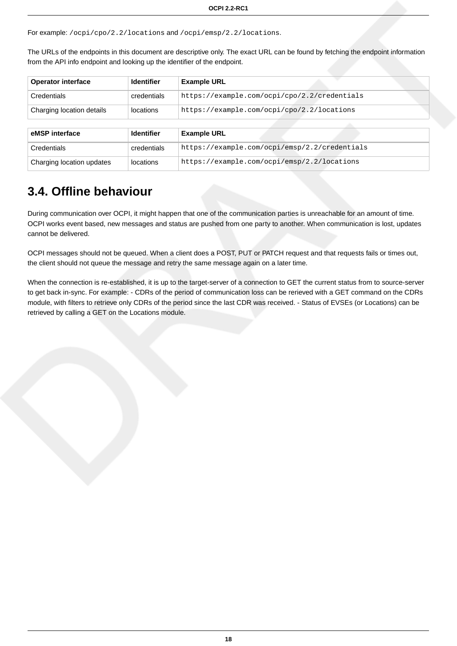For example: /ocpi/cpo/2.2/locations and /ocpi/emsp/2.2/locations.

The URLs of the endpoints in this document are descriptive only. The exact URL can be found by fetching the endpoint information from the API info endpoint and looking up the identifier of the endpoint.

| <b>Operator interface</b> | <b>Identifier</b> | <b>Example URL</b>                            |  |
|---------------------------|-------------------|-----------------------------------------------|--|
| Credentials               | credentials       | https://example.com/ocpi/cpo/2.2/credentials  |  |
| Charging location details | locations         | https://example.com/ocpi/cpo/2.2/locations    |  |
|                           |                   |                                               |  |
| eMSP interface            | <b>Identifier</b> | <b>Example URL</b>                            |  |
| <b>Credentials</b>        | credentials       | https://example.com/ocpi/emsp/2.2/credentials |  |
| Charging location updates | locations         | https://example.com/ocpi/emsp/2.2/locations   |  |

## <span id="page-24-0"></span>**3.4. Offline behaviour**

During communication over OCPI, it might happen that one of the communication parties is unreachable for an amount of time. OCPI works event based, new messages and status are pushed from one party to another. When communication is lost, updates cannot be delivered.

OCPI messages should not be queued. When a client does a POST, PUT or PATCH request and that requests fails or times out, the client should not queue the message and retry the same message again on a later time.

When the connection is re-established, it is up to the target-server of a connection to GET the current status from to source-server to get back in-sync. For example: - CDRs of the period of communication loss can be rerieved with a GET command on the CDRs module, with filters to retrieve only CDRs of the period since the last CDR was received. - Status of EVSEs (or Locations) can be retrieved by calling a GET on the Locations module.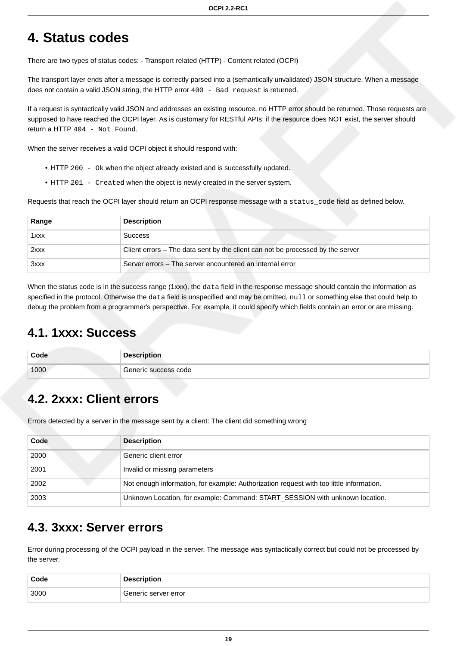# <span id="page-25-0"></span>**4. Status codes**

There are two types of status codes: - Transport related (HTTP) - Content related (OCPI)

The transport layer ends after a message is correctly parsed into a (semantically unvalidated) JSON structure. When a message does not contain a valid JSON string, the HTTP error 400 - Bad request is returned.

If a request is syntactically valid JSON and addresses an existing resource, no HTTP error should be returned. Those requests are supposed to have reached the OCPI layer. As is customary for RESTful APIs: if the resource does NOT exist, the server should return a HTTP 404 - Not Found.

When the server receives a valid OCPI object it should respond with:

- HTTP 200 Ok when the object already existed and is successfully updated.
- HTTP 201 Created when the object is newly created in the server system.

Requests that reach the OCPI layer should return an OCPI response message with a status\_code field as defined below.

| Range | <b>Description</b>                                                             |
|-------|--------------------------------------------------------------------------------|
| 1xxx  | <b>Success</b>                                                                 |
| 2xxx  | Client errors – The data sent by the client can not be processed by the server |
| 3xxx  | Server errors – The server encountered an internal error                       |

When the status code is in the success range (1xxx), the data field in the response message should contain the information as specified in the protocol. Otherwise the data field is unspecified and may be omitted, null or something else that could help to debug the problem from a programmer's perspective. For example, it could specify which fields contain an error or are missing.

## <span id="page-25-1"></span>**4.1. 1xxx: Success**

| Code | <b>Description</b>   |
|------|----------------------|
| 1000 | Generic success code |

## <span id="page-25-2"></span>**4.2. 2xxx: Client errors**

Errors detected by a server in the message sent by a client: The client did something wrong

| Code | <b>Description</b>                                                                      |
|------|-----------------------------------------------------------------------------------------|
| 2000 | Generic client error                                                                    |
| 2001 | Invalid or missing parameters                                                           |
| 2002 | Not enough information, for example: Authorization request with too little information. |
| 2003 | Unknown Location, for example: Command: START_SESSION with unknown location.            |

## <span id="page-25-3"></span>**4.3. 3xxx: Server errors**

Error during processing of the OCPI payload in the server. The message was syntactically correct but could not be processed by the server.

| Code | <b>Description</b>   |
|------|----------------------|
| 3000 | Generic server error |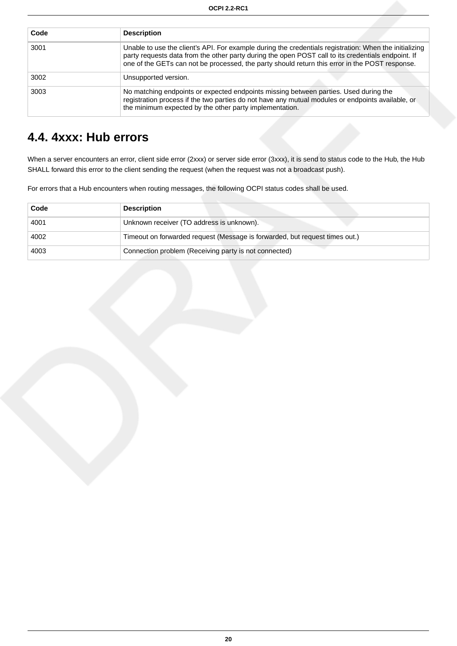| Code | <b>Description</b>                                                                                                                                                                                                                                                                                             |
|------|----------------------------------------------------------------------------------------------------------------------------------------------------------------------------------------------------------------------------------------------------------------------------------------------------------------|
| 3001 | Unable to use the client's API. For example during the credentials registration: When the initializing<br>party requests data from the other party during the open POST call to its credentials endpoint. If<br>one of the GETs can not be processed, the party should return this error in the POST response. |
| 3002 | Unsupported version.                                                                                                                                                                                                                                                                                           |
| 3003 | No matching endpoints or expected endpoints missing between parties. Used during the<br>registration process if the two parties do not have any mutual modules or endpoints available, or<br>the minimum expected by the other party implementation.                                                           |

## <span id="page-26-0"></span>**4.4. 4xxx: Hub errors**

When a server encounters an error, client side error (2xxx) or server side error (3xxx), it is send to status code to the Hub, the Hub SHALL forward this error to the client sending the request (when the request was not a broadcast push).

For errors that a Hub encounters when routing messages, the following OCPI status codes shall be used.

| Code | <b>Description</b>                                                          |
|------|-----------------------------------------------------------------------------|
| 4001 | Unknown receiver (TO address is unknown).                                   |
| 4002 | Timeout on forwarded request (Message is forwarded, but request times out.) |
| 4003 | Connection problem (Receiving party is not connected)                       |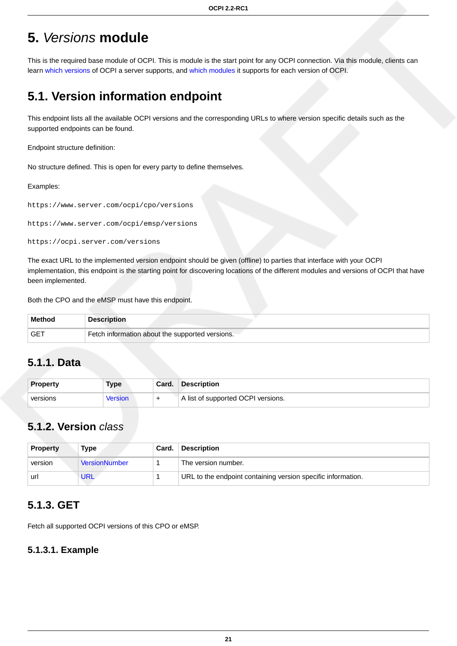# <span id="page-27-0"></span>**5.** Versions **module**

This is the required base module of OCPI. This is module is the start point for any OCPI connection. Via this module, clients can learn [which versions](#page-27-1) of OCPI a server supports, and [which modules](#page-28-0) it supports for each version of OCPI.

## <span id="page-27-1"></span>**5.1. Version information endpoint**

This endpoint lists all the available OCPI versions and the corresponding URLs to where version specific details such as the supported endpoints can be found.

Endpoint structure definition:

No structure defined. This is open for every party to define themselves.

#### Examples:

```
https://www.server.com/ocpi/cpo/versions
```
https://www.server.com/ocpi/emsp/versions

https://ocpi.server.com/versions

The exact URL to the implemented version endpoint should be given (offline) to parties that interface with your OCPI implementation, this endpoint is the starting point for discovering locations of the different modules and versions of OCPI that have been implemented.

Both the CPO and the eMSP must have this endpoint.

| <b>Method</b> | <b>Description</b>                              |
|---------------|-------------------------------------------------|
| GET           | Fetch information about the supported versions. |

### <span id="page-27-2"></span>**5.1.1. Data**

| <b>Property</b> | Type    | Card. | <b>Description</b>                 |
|-----------------|---------|-------|------------------------------------|
| versions        | Version |       | A list of supported OCPI versions. |

### <span id="page-27-3"></span>**5.1.2. Version** class

| <b>Property</b> | Type                 | Card. | <b>Description</b>                                           |
|-----------------|----------------------|-------|--------------------------------------------------------------|
| version         | <b>VersionNumber</b> |       | The version number.                                          |
| url             | URL                  |       | URL to the endpoint containing version specific information. |

### <span id="page-27-4"></span>**5.1.3. GET**

Fetch all supported OCPI versions of this CPO or eMSP.

#### <span id="page-27-5"></span>**5.1.3.1. Example**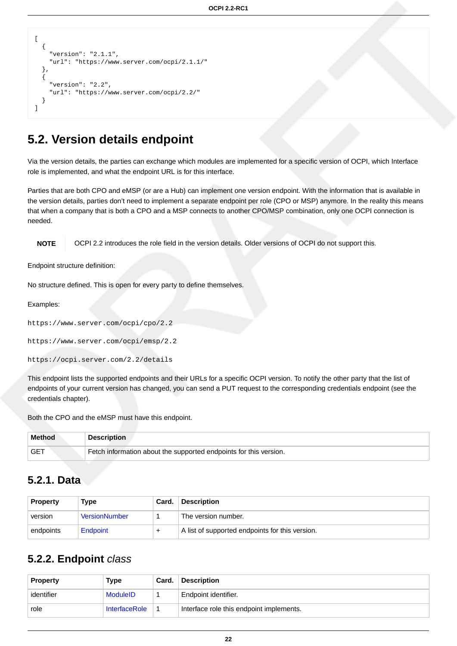```
[
   {
     "version": "2.1.1",
     "url": "https://www.server.com/ocpi/2.1.1/"
   },
   {
     "version": "2.2",
     "url": "https://www.server.com/ocpi/2.2/"
   }
]
```
## <span id="page-28-0"></span>**5.2. Version details endpoint**

Via the version details, the parties can exchange which modules are implemented for a specific version of OCPI, which Interface role is implemented, and what the endpoint URL is for this interface.

Parties that are both CPO and eMSP (or are a Hub) can implement one version endpoint. With the information that is available in the version details, parties don't need to implement a separate endpoint per role (CPO or MSP) anymore. In the reality this means that when a company that is both a CPO and a MSP connects to another CPO/MSP combination, only one OCPI connection is needed.

**NOTE** OCPI 2.2 introduces the role field in the version details. Older versions of OCPI do not support this.

Endpoint structure definition:

No structure defined. This is open for every party to define themselves.

Examples:

```
https://www.server.com/ocpi/cpo/2.2
https://www.server.com/ocpi/emsp/2.2
https://ocpi.server.com/2.2/details
```
This endpoint lists the supported endpoints and their URLs for a specific OCPI version. To notify the other party that the list of endpoints of your current version has changed, you can send a PUT request to the corresponding credentials endpoint (see the credentials chapter).

Both the CPO and the eMSP must have this endpoint.

| <b>Method</b> | <b>Description</b>                                                |
|---------------|-------------------------------------------------------------------|
|               | Fetch information about the supported endpoints for this version. |

### <span id="page-28-1"></span>**5.2.1. Data**

| <b>Property</b> | Type                 | Card. | <b>Description</b>                              |
|-----------------|----------------------|-------|-------------------------------------------------|
| version         | <b>VersionNumber</b> |       | The version number.                             |
| endpoints       | Endpoint             |       | A list of supported endpoints for this version. |

### <span id="page-28-2"></span>**5.2.2. Endpoint** class

| <b>Property</b> | Type                 | ˈ Card. | <b>Description</b>                       |
|-----------------|----------------------|---------|------------------------------------------|
| identifier      | <b>ModuleID</b>      |         | Endpoint identifier.                     |
| role            | <b>InterfaceRole</b> |         | Interface role this endpoint implements. |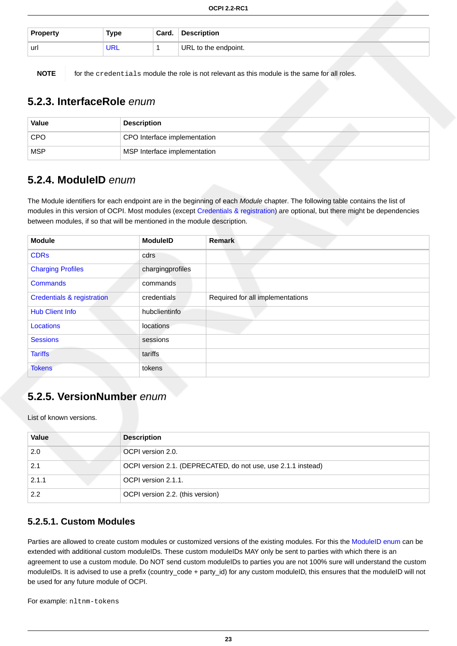| <b>Property</b> | Type | Card. | <b>Description</b>   |
|-----------------|------|-------|----------------------|
| url             | JNL  |       | URL to the endpoint. |

**NOTE** for the credentials module the role is not relevant as this module is the same for all roles.

### <span id="page-29-0"></span>**5.2.3. InterfaceRole** enum

| Value      | <b>Description</b>           |  |
|------------|------------------------------|--|
| <b>CPO</b> | CPO Interface implementation |  |
| <b>MSP</b> | MSP Interface implementation |  |

### <span id="page-29-1"></span>**5.2.4. ModuleID** enum

The Module identifiers for each endpoint are in the beginning of each Module chapter. The following table contains the list of modules in this version of OCPI. Most modules (except [Credentials & registration](#page-31-0)) are optional, but there might be dependencies between modules, if so that will be mentioned in the module description.

| <b>Module</b>                         | <b>ModuleID</b>  | <b>Remark</b>                    |
|---------------------------------------|------------------|----------------------------------|
| <b>CDRs</b>                           | cdrs             |                                  |
| <b>Charging Profiles</b>              | chargingprofiles |                                  |
| <b>Commands</b><br>commands           |                  |                                  |
| <b>Credentials &amp; registration</b> | credentials      | Required for all implementations |
| <b>Hub Client Info</b>                | hubclientinfo    |                                  |
| Locations                             | locations        |                                  |
| <b>Sessions</b>                       | sessions         |                                  |
| <b>Tariffs</b>                        | tariffs          |                                  |
| <b>Tokens</b>                         | tokens           |                                  |

### <span id="page-29-2"></span>**5.2.5. VersionNumber** enum

List of known versions.

| Value | <b>Description</b>                                            |  |
|-------|---------------------------------------------------------------|--|
| 2.0   | OCPI version 2.0.                                             |  |
| 2.1   | OCPI version 2.1. (DEPRECATED, do not use, use 2.1.1 instead) |  |
| 2.1.1 | OCPI version 2.1.1.                                           |  |
| 2.2   | OCPI version 2.2. (this version)                              |  |

#### <span id="page-29-3"></span>**5.2.5.1. Custom Modules**

Parties are allowed to create custom modules or customized versions of the existing modules. For this the [ModuleID enum](#page-29-1) can be extended with additional custom moduleIDs. These custom moduleIDs MAY only be sent to parties with which there is an agreement to use a custom module. Do NOT send custom moduleIDs to parties you are not 100% sure will understand the custom moduleIDs. It is advised to use a prefix (country\_code + party\_id) for any custom moduleID, this ensures that the moduleID will not be used for any future module of OCPI.

For example: nltnm-tokens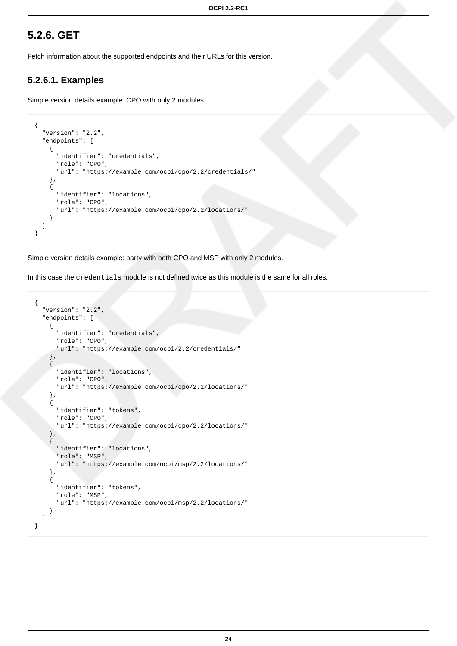### <span id="page-30-0"></span>**5.2.6. GET**

Fetch information about the supported endpoints and their URLs for this version.

#### <span id="page-30-1"></span>**5.2.6.1. Examples**

Simple version details example: CPO with only 2 modules.

```
{
   "version": "2.2",
   "endpoints": [
     {
       "identifier": "credentials",
       "role": "CPO",
       "url": "https://example.com/ocpi/cpo/2.2/credentials/"
     },
     {
       "identifier": "locations",
       "role": "CPO",
       "url": "https://example.com/ocpi/cpo/2.2/locations/"
     }
   ]
}
```
Simple version details example: party with both CPO and MSP with only 2 modules.

In this case the credentials module is not defined twice as this module is the same for all roles.

```
{
   "version": "2.2",
   "endpoints": [
     {
       "identifier": "credentials",
       "role": "CPO",
        "url": "https://example.com/ocpi/2.2/credentials/"
 },
\left\{\begin{array}{c} \end{array}\right\} "identifier": "locations",
       "role": "CPO",
        "url": "https://example.com/ocpi/cpo/2.2/locations/"
 },
\{ "identifier": "tokens",
        "role": "CPO",
       "url": "https://example.com/ocpi/cpo/2.2/locations/"
 },
     {
       "identifier": "locations",
       "role": "MSP",
       "url": "https://example.com/ocpi/msp/2.2/locations/"
 },
\{ "identifier": "tokens",
       "role": "MSP",
       "url": "https://example.com/ocpi/msp/2.2/locations/"
     }
   ]
}
```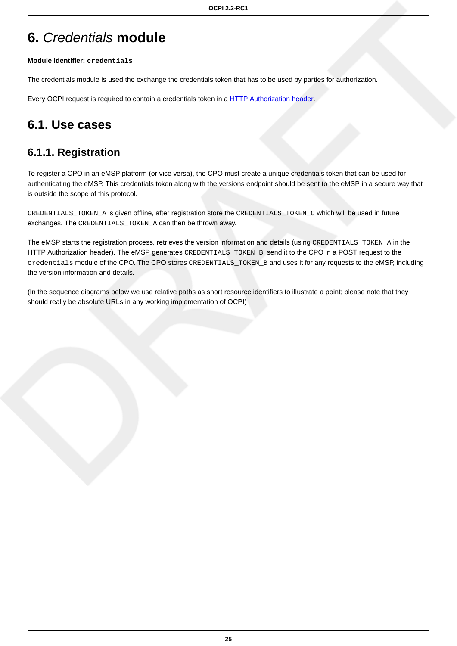# <span id="page-31-0"></span>**6.** Credentials **module**

#### **Module Identifier: credentials**

The credentials module is used the exchange the credentials token that has to be used by parties for authorization.

Every OCPI request is required to contain a credentials token in a [HTTP Authorization header](#page-13-3).

## <span id="page-31-1"></span>**6.1. Use cases**

## <span id="page-31-2"></span>**6.1.1. Registration**

To register a CPO in an eMSP platform (or vice versa), the CPO must create a unique credentials token that can be used for authenticating the eMSP. This credentials token along with the versions endpoint should be sent to the eMSP in a secure way that is outside the scope of this protocol.

CREDENTIALS\_TOKEN\_A is given offline, after registration store the CREDENTIALS\_TOKEN\_C which will be used in future exchanges. The CREDENTIALS\_TOKEN\_A can then be thrown away.

The eMSP starts the registration process, retrieves the version information and details (using CREDENTIALS\_TOKEN\_A in the HTTP Authorization header). The eMSP generates CREDENTIALS\_TOKEN\_B, send it to the CPO in a POST request to the credentials module of the CPO. The CPO stores CREDENTIALS\_TOKEN\_B and uses it for any requests to the eMSP, including the version information and details.

(In the sequence diagrams below we use relative paths as short resource identifiers to illustrate a point; please note that they should really be absolute URLs in any working implementation of OCPI)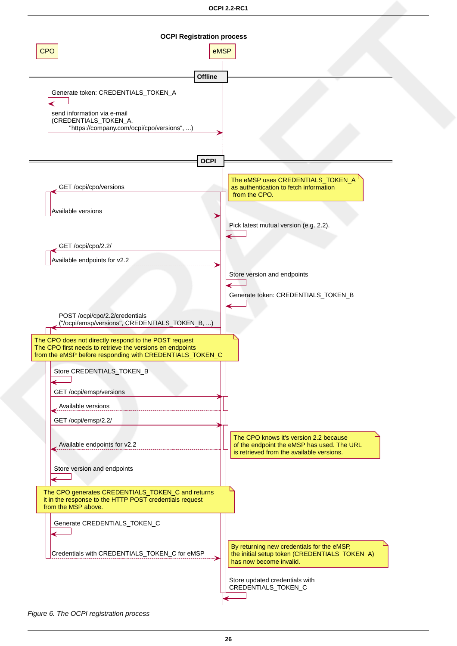

Figure 6. The OCPI registration process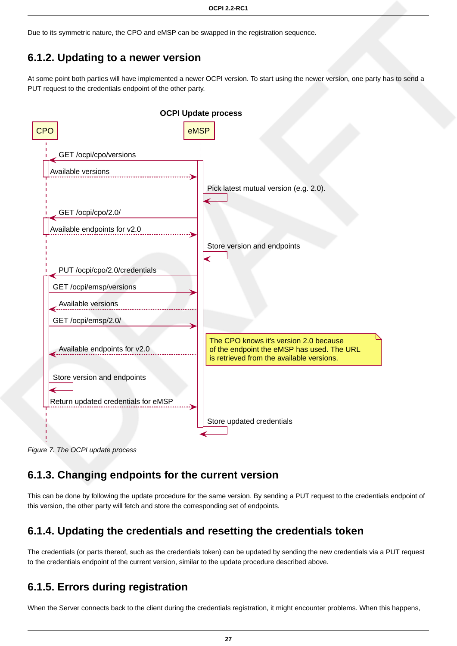Due to its symmetric nature, the CPO and eMSP can be swapped in the registration sequence.

## <span id="page-33-0"></span>**6.1.2. Updating to a newer version**

At some point both parties will have implemented a newer OCPI version. To start using the newer version, one party has to send a PUT request to the credentials endpoint of the other party.



Figure 7. The OCPI update process

## <span id="page-33-1"></span>**6.1.3. Changing endpoints for the current version**

This can be done by following the update procedure for the same version. By sending a PUT request to the credentials endpoint of this version, the other party will fetch and store the corresponding set of endpoints.

## <span id="page-33-2"></span>**6.1.4. Updating the credentials and resetting the credentials token**

The credentials (or parts thereof, such as the credentials token) can be updated by sending the new credentials via a PUT request to the credentials endpoint of the current version, similar to the update procedure described above.

## <span id="page-33-3"></span>**6.1.5. Errors during registration**

When the Server connects back to the client during the credentials registration, it might encounter problems. When this happens,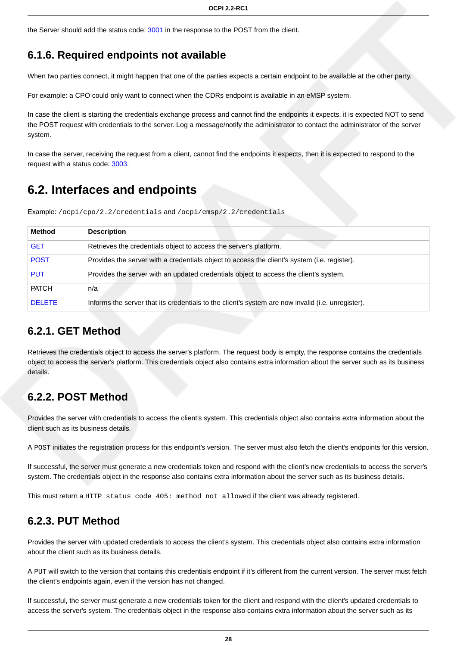the Server should add the status code: [3001](#page-25-3) in the response to the POST from the client.

## <span id="page-34-0"></span>**6.1.6. Required endpoints not available**

When two parties connect, it might happen that one of the parties expects a certain endpoint to be available at the other party.

For example: a CPO could only want to connect when the CDRs endpoint is available in an eMSP system.

In case the client is starting the credentials exchange process and cannot find the endpoints it expects, it is expected NOT to send the POST request with credentials to the server. Log a message/notify the administrator to contact the administrator of the server system.

In case the server, receiving the request from a client, cannot find the endpoints it expects, then it is expected to respond to the request with a status code: [3003.](#page-25-3)

## <span id="page-34-1"></span>**6.2. Interfaces and endpoints**

Example: /ocpi/cpo/2.2/credentials and /ocpi/emsp/2.2/credentials

| <b>Method</b> | <b>Description</b>                                                                                |  |
|---------------|---------------------------------------------------------------------------------------------------|--|
| <b>GET</b>    | Retrieves the credentials object to access the server's platform.                                 |  |
| <b>POST</b>   | Provides the server with a credentials object to access the client's system (i.e. register).      |  |
| <b>PUT</b>    | Provides the server with an updated credentials object to access the client's system.             |  |
| <b>PATCH</b>  | n/a                                                                                               |  |
| <b>DELETE</b> | Informs the server that its credentials to the client's system are now invalid (i.e. unregister). |  |

### <span id="page-34-2"></span>**6.2.1. GET Method**

Retrieves the credentials object to access the server's platform. The request body is empty, the response contains the credentials object to access the server's platform. This credentials object also contains extra information about the server such as its business details.

## <span id="page-34-3"></span>**6.2.2. POST Method**

Provides the server with credentials to access the client's system. This credentials object also contains extra information about the client such as its business details.

A POST initiates the registration process for this endpoint's version. The server must also fetch the client's endpoints for this version.

If successful, the server must generate a new credentials token and respond with the client's new credentials to access the server's system. The credentials object in the response also contains extra information about the server such as its business details.

This must return a HTTP status code 405: method not allowed if the client was already registered.

### <span id="page-34-4"></span>**6.2.3. PUT Method**

Provides the server with updated credentials to access the client's system. This credentials object also contains extra information about the client such as its business details.

A PUT will switch to the version that contains this credentials endpoint if it's different from the current version. The server must fetch the client's endpoints again, even if the version has not changed.

If successful, the server must generate a new credentials token for the client and respond with the client's updated credentials to access the server's system. The credentials object in the response also contains extra information about the server such as its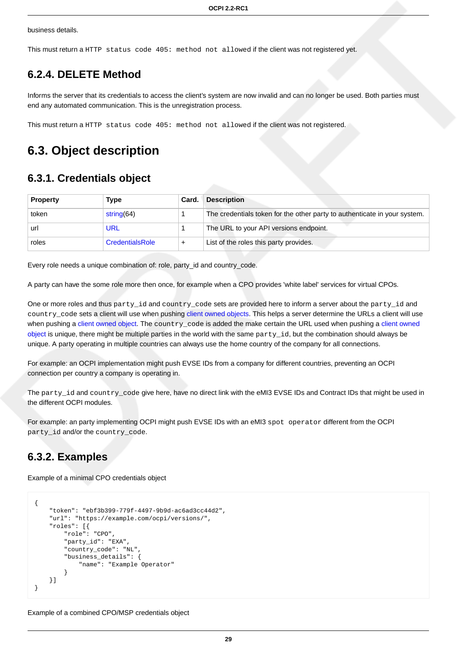business details.

This must return a HTTP status code 405: method not allowed if the client was not registered yet.

### <span id="page-35-0"></span>**6.2.4. DELETE Method**

Informs the server that its credentials to access the client's system are now invalid and can no longer be used. Both parties must end any automated communication. This is the unregistration process.

This must return a HTTP status code 405: method not allowed if the client was not registered.

## <span id="page-35-1"></span>**6.3. Object description**

### <span id="page-35-2"></span>**6.3.1. Credentials object**

| <b>Property</b> | Type                   | Card. | <b>Description</b>                                                        |
|-----------------|------------------------|-------|---------------------------------------------------------------------------|
| token           | string $(64)$          |       | The credentials token for the other party to authenticate in your system. |
| url             | URL                    |       | The URL to your API versions endpoint.                                    |
| roles           | <b>CredentialsRole</b> |       | List of the roles this party provides.                                    |

Every role needs a unique combination of: role, party id and country code.

A party can have the some role more then once, for example when a CPO provides 'white label' services for virtual CPOs.

One or more roles and thus party\_id and country\_code sets are provided here to inform a server about the party\_id and country\_code sets a client will use when pushing [client owned objects](#page-16-1). This helps a server determine the URLs a client will use when pushing a [client owned object.](#page-16-1) The country code is added the make certain the URL used when pushing a [client owned](#page-16-1) [object](#page-16-1) is unique, there might be multiple parties in the world with the same  $party_id$ , but the combination should always be unique. A party operating in multiple countries can always use the home country of the company for all connections.

For example: an OCPI implementation might push EVSE IDs from a company for different countries, preventing an OCPI connection per country a company is operating in.

The party\_id and country\_code give here, have no direct link with the eMI3 EVSE IDs and Contract IDs that might be used in the different OCPI modules.

For example: an party implementing OCPI might push EVSE IDs with an eMI3 spot operator different from the OCPI party\_id and/or the country\_code.

### <span id="page-35-3"></span>**6.3.2. Examples**

Example of a minimal CPO credentials object

```
{
     "token": "ebf3b399-779f-4497-9b9d-ac6ad3cc44d2",
     "url": "https://example.com/ocpi/versions/",
     "roles": [{
         "role": "CPO",
         "party_id": "EXA",
         "country_code": "NL",
         "business_details": {
             "name": "Example Operator"
 }
     }]
}
```
Example of a combined CPO/MSP credentials object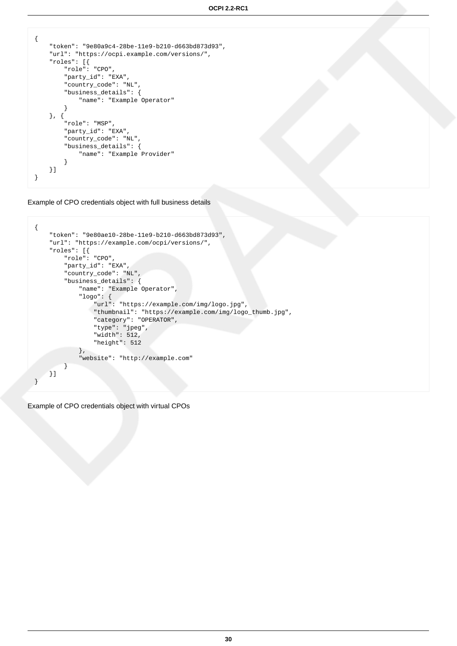```
{
     "token": "9e80a9c4-28be-11e9-b210-d663bd873d93",
     "url": "https://ocpi.example.com/versions/",
     "roles": [{
         "role": "CPO",
         "party_id": "EXA",
          "country_code": "NL",
         "business_details": {
             "name": "Example Operator"
         }
     }, {
         "role": "MSP",
         "party_id": "EXA",
         "country_code": "NL",
         "business_details": {
             "name": "Example Provider"
         }
     }]
}
```
Example of CPO credentials object with full business details

```
{
    "token": "9e80ae10-28be-11e9-b210-d663bd873d93",
    "url": "https://example.com/ocpi/versions/",
    "roles": [{
        "role": "CPO",
        "party_id": "EXA",
        "country_code": "NL",
        "business_details": {
            "name": "Example Operator",
            "logo": {
                "url": "https://example.com/img/logo.jpg",
                "thumbnail": "https://example.com/img/logo_thumb.jpg",
                "category": "OPERATOR",
 "type": "jpeg",
 "width": 512,
                "height": 512
            },
            "website": "http://example.com"
 }
 }]
}
```
Example of CPO credentials object with virtual CPOs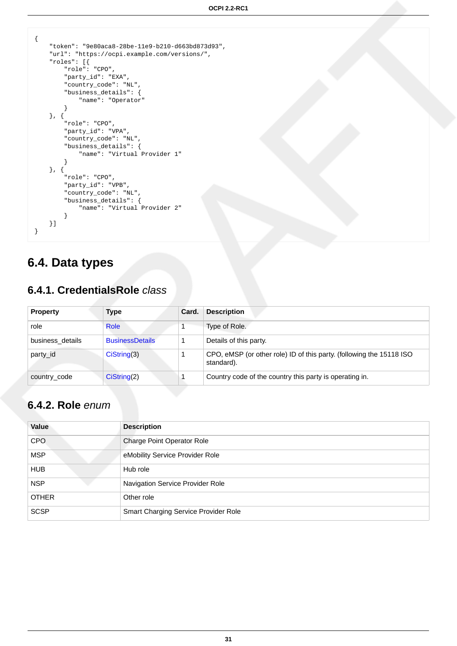```
{
    "token": "9e80aca8-28be-11e9-b210-d663bd873d93",
    "url": "https://ocpi.example.com/versions/",
    "roles": [{
        "role": "CPO",
         "party_id": "EXA",
         "country_code": "NL",
        "business_details": {
            "name": "Operator"
 }
 }, {
 "role": "CPO",
 "party_id": "VPA",
         "country_code": "NL",
         "business_details": {
            "name": "Virtual Provider 1"
        }
    }, {
         "role": "CPO",
         "party_id": "VPB",
         "country_code": "NL",
        "business_details": {
            "name": "Virtual Provider 2"
        }
    }]
}
```
# **6.4. Data types**

### **6.4.1. CredentialsRole** class

| <b>Property</b>  | Type                   | Card. | <b>Description</b>                                                                 |
|------------------|------------------------|-------|------------------------------------------------------------------------------------|
| role             | <b>Role</b>            |       | Type of Role.                                                                      |
| business details | <b>BusinessDetails</b> |       | Details of this party.                                                             |
| party_id         | Cisstring(3)           |       | CPO, eMSP (or other role) ID of this party. (following the 15118 ISO<br>standard). |
| country_code     | Cisstring(2)           |       | Country code of the country this party is operating in.                            |

## <span id="page-37-0"></span>**6.4.2. Role** enum

| Value        | <b>Description</b>                   |
|--------------|--------------------------------------|
| <b>CPO</b>   | Charge Point Operator Role           |
| <b>MSP</b>   | eMobility Service Provider Role      |
| <b>HUB</b>   | Hub role                             |
| <b>NSP</b>   | Navigation Service Provider Role     |
| <b>OTHER</b> | Other role                           |
| <b>SCSP</b>  | Smart Charging Service Provider Role |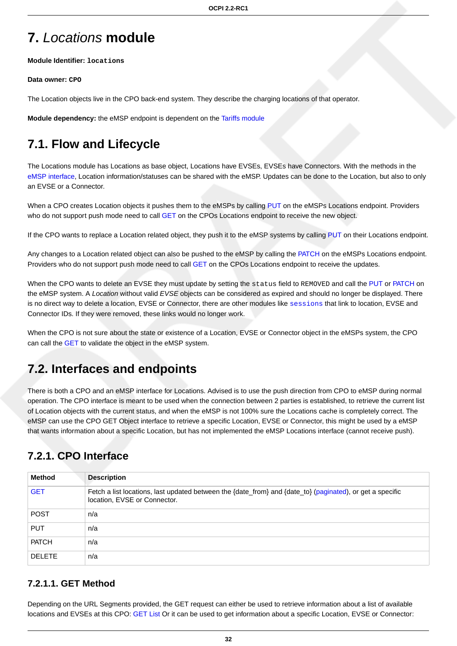# **7.** Locations **module**

**Module Identifier: locations**

#### **Data owner: CPO**

The Location objects live in the CPO back-end system. They describe the charging locations of that operator.

**Module dependency:** the eMSP endpoint is dependent on the [Tariffs module](#page-71-0)

# **7.1. Flow and Lifecycle**

The Locations module has Locations as base object, Locations have EVSEs, EVSEs have Connectors. With the methods in the [eMSP interface](#page-40-0), Location information/statuses can be shared with the eMSP. Updates can be done to the Location, but also to only an EVSE or a Connector.

When a CPO creates Location objects it pushes them to the eMSPs by calling [PUT](#page-41-0) on the eMSPs Locations endpoint. Providers who do not support push mode need to call [GET](#page-38-0) on the CPOs Locations endpoint to receive the new object.

If the CPO wants to replace a Location related object, they push it to the eMSP systems by calling [PUT](#page-41-0) on their Locations endpoint.

Any changes to a Location related object can also be pushed to the eMSP by calling the [PATCH](#page-42-0) on the eMSPs Locations endpoint. Providers who do not support push mode need to call [GET](#page-38-0) on the CPOs Locations endpoint to receive the updates.

When the CPO wants to delete an EVSE they must update by setting the status field to REMOVED and call the [PUT](#page-41-0) or [PATCH](#page-42-0) on the eMSP system. A Location without valid EVSE objects can be considered as expired and should no longer be displayed. There is no direct way to delete a location, EVSE or Connector, there are other modules like [sessions](#page-56-0) that link to location, EVSE and Connector IDs. If they were removed, these links would no longer work.

When the CPO is not sure about the state or existence of a Location, EVSE or Connector object in the eMSPs system, the CPO can call the [GET](#page-40-1) to validate the object in the eMSP system.

# **7.2. Interfaces and endpoints**

There is both a CPO and an eMSP interface for Locations. Advised is to use the push direction from CPO to eMSP during normal operation. The CPO interface is meant to be used when the connection between 2 parties is established, to retrieve the current list of Location objects with the current status, and when the eMSP is not 100% sure the Locations cache is completely correct. The eMSP can use the CPO GET Object interface to retrieve a specific Location, EVSE or Connector, this might be used by a eMSP that wants information about a specific Location, but has not implemented the eMSP Locations interface (cannot receive push).

## **7.2.1. CPO Interface**

| Method        | <b>Description</b>                                                                                                                        |
|---------------|-------------------------------------------------------------------------------------------------------------------------------------------|
| <b>GET</b>    | Fetch a list locations, last updated between the {date_from} and {date_to} (paginated), or get a specific<br>location, EVSE or Connector. |
| <b>POST</b>   | n/a                                                                                                                                       |
| <b>PUT</b>    | n/a                                                                                                                                       |
| <b>PATCH</b>  | n/a                                                                                                                                       |
| <b>DELETE</b> | n/a                                                                                                                                       |

### <span id="page-38-0"></span>**7.2.1.1. GET Method**

Depending on the URL Segments provided, the GET request can either be used to retrieve information about a list of available locations and EVSEs at this CPO: [GET List](#page-39-0) Or it can be used to get information about a specific Location, EVSE or Connector: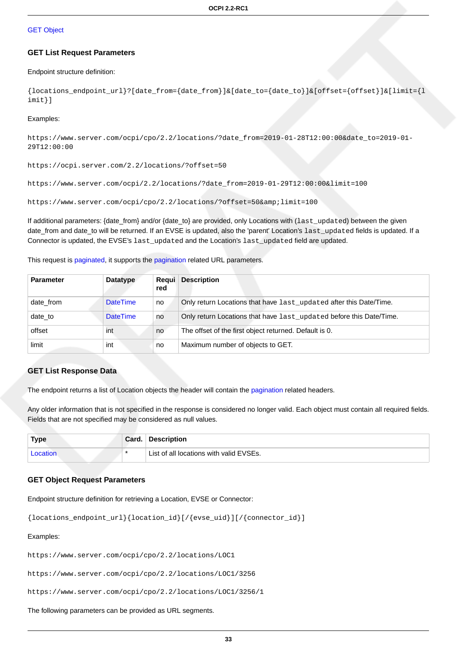#### **[GET Object](#page-39-1)**

#### <span id="page-39-0"></span>**GET List Request Parameters**

#### Endpoint structure definition:

{locations\_endpoint\_url}?[date\_from={date\_from}]&[date\_to={date\_to}]&[offset={offset}]&[limit={l imit}]

#### Examples:

https://www.server.com/ocpi/cpo/2.2/locations/?date\_from=2019-01-28T12:00:00&date\_to=2019-01- 29T12:00:00

https://ocpi.server.com/2.2/locations/?offset=50

https://www.server.com/ocpi/2.2/locations/?date\_from=2019-01-29T12:00:00&limit=100

https://www.server.com/ocpi/cpo/2.2/locations/?offset=50&limit=100

If additional parameters: {date\_from} and/or {date\_to} are provided, only Locations with (last\_updated) between the given date\_from and date\_to will be returned. If an EVSE is updated, also the 'parent' Location's last\_updated fields is updated. If a Connector is updated, the EVSE's last updated and the Location's last updated field are updated.

This request is [paginated,](#page-14-0) it supports the [pagination](#page-14-1) related URL parameters.

| <b>Parameter</b> | <b>Datatype</b> | Requi<br>red | <b>Description</b>                                                  |
|------------------|-----------------|--------------|---------------------------------------------------------------------|
| date from        | <b>DateTime</b> | no           | Only return Locations that have last_updated after this Date/Time.  |
| date to          | <b>DateTime</b> | no           | Only return Locations that have last_updated before this Date/Time. |
| offset           | int             | no           | The offset of the first object returned. Default is 0.              |
| limit            | int             | no           | Maximum number of objects to GET.                                   |

#### **GET List Response Data**

The endpoint returns a list of Location objects the header will contain the [pagination](#page-14-2) related headers.

Any older information that is not specified in the response is considered no longer valid. Each object must contain all required fields. Fields that are not specified may be considered as null values.

| <b>Type</b> | Card. | Description                             |
|-------------|-------|-----------------------------------------|
| Location    |       | List of all locations with valid EVSEs. |

#### <span id="page-39-1"></span>**GET Object Request Parameters**

Endpoint structure definition for retrieving a Location, EVSE or Connector:

```
{locations_endpoint_url}{location_id}[/{evse_uid}][/{connector_id}]
```
#### Examples:

https://www.server.com/ocpi/cpo/2.2/locations/LOC1

https://www.server.com/ocpi/cpo/2.2/locations/LOC1/3256

https://www.server.com/ocpi/cpo/2.2/locations/LOC1/3256/1

The following parameters can be provided as URL segments.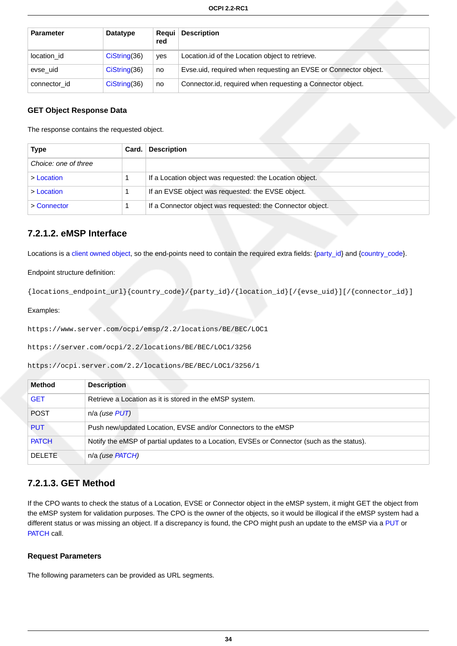| <b>Parameter</b> | Datatype      | Reaui  <br>red | <b>Description</b>                                              |
|------------------|---------------|----------------|-----------------------------------------------------------------|
| location id      | CisString(36) | ves            | Location.id of the Location object to retrieve.                 |
| evse uid         | CisString(36) | no             | Evse uid, required when requesting an EVSE or Connector object. |
| connector id     | CisString(36) | no             | Connector. id, required when requesting a Connector object.     |

#### **GET Object Response Data**

The response contains the requested object.

| <b>Type</b>          | Card. | <b>Description</b>                                         |
|----------------------|-------|------------------------------------------------------------|
| Choice: one of three |       |                                                            |
| > Location           |       | If a Location object was requested: the Location object.   |
| > Location           |       | If an EVSE object was requested: the EVSE object.          |
| > Connector          |       | If a Connector object was requested: the Connector object. |

### <span id="page-40-0"></span>**7.2.1.2. eMSP Interface**

Locations is a [client owned object,](#page-16-0) so the end-points need to contain the required extra fields: [{party\\_id}](#page-35-0) and {[country\\_code}](#page-35-0).

Endpoint structure definition:

{locations\_endpoint\_url}{country\_code}/{party\_id}/{location\_id}[/{evse\_uid}][/{connector\_id}]

Examples:

https://www.server.com/ocpi/emsp/2.2/locations/BE/BEC/LOC1

https://server.com/ocpi/2.2/locations/BE/BEC/LOC1/3256

https://ocpi.server.com/2.2/locations/BE/BEC/LOC1/3256/1

| <b>Method</b> | <b>Description</b>                                                                         |
|---------------|--------------------------------------------------------------------------------------------|
| <b>GET</b>    | Retrieve a Location as it is stored in the eMSP system.                                    |
| <b>POST</b>   | n/a (use PUT)                                                                              |
| <b>PUT</b>    | Push new/updated Location, EVSE and/or Connectors to the eMSP                              |
| <b>PATCH</b>  | Notify the eMSP of partial updates to a Location, EVSEs or Connector (such as the status). |
| DELETE.       | n/a (use PATCH)                                                                            |

### <span id="page-40-1"></span>**7.2.1.3. GET Method**

If the CPO wants to check the status of a Location, EVSE or Connector object in the eMSP system, it might GET the object from the eMSP system for validation purposes. The CPO is the owner of the objects, so it would be illogical if the eMSP system had a different status or was missing an object. If a discrepancy is found, the CPO might push an update to the eMSP via a [PUT](#page-41-0) or [PATCH](#page-42-0) call.

#### **Request Parameters**

The following parameters can be provided as URL segments.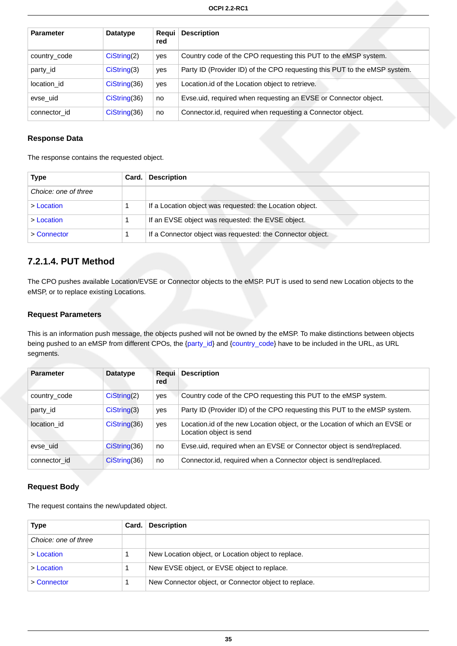| <b>Parameter</b> | <b>Datatype</b> | <b>Regui</b><br>red | <b>Description</b>                                                        |
|------------------|-----------------|---------------------|---------------------------------------------------------------------------|
| country_code     | Cisstring(2)    | yes                 | Country code of the CPO requesting this PUT to the eMSP system.           |
| party id         | CisString(3)    | yes                 | Party ID (Provider ID) of the CPO requesting this PUT to the eMSP system. |
| location_id      | $Cis$ tring(36) | yes                 | Location. id of the Location object to retrieve.                          |
| evse uid         | Cisstring(36)   | no                  | Evse.uid, required when requesting an EVSE or Connector object.           |
| connector id     | $Cis$ tring(36) | no                  | Connector.id, required when requesting a Connector object.                |

#### **Response Data**

The response contains the requested object.

| <b>Type</b>          | Card. | <b>Description</b>                                         |
|----------------------|-------|------------------------------------------------------------|
| Choice: one of three |       |                                                            |
| > Location           |       | If a Location object was requested: the Location object.   |
| > Location           |       | If an EVSE object was requested: the EVSE object.          |
| > Connector          |       | If a Connector object was requested: the Connector object. |

### <span id="page-41-0"></span>**7.2.1.4. PUT Method**

The CPO pushes available Location/EVSE or Connector objects to the eMSP. PUT is used to send new Location objects to the eMSP, or to replace existing Locations.

#### **Request Parameters**

This is an information push message, the objects pushed will not be owned by the eMSP. To make distinctions between objects being pushed to an eMSP from different CPOs, the [{party\\_id}](#page-35-0) and {[country\\_code}](#page-35-0) have to be included in the URL, as URL segments.

| <b>Parameter</b> | <b>Datatype</b> | Regui<br>red | <b>Description</b>                                                                                      |
|------------------|-----------------|--------------|---------------------------------------------------------------------------------------------------------|
| country_code     | CisString(2)    | yes          | Country code of the CPO requesting this PUT to the eMSP system.                                         |
| party id         | CisString(3)    | yes          | Party ID (Provider ID) of the CPO requesting this PUT to the eMSP system.                               |
| location id      | CisString(36)   | yes          | Location. id of the new Location object, or the Location of which an EVSE or<br>Location object is send |
| evse uid         | Cisstring(36)   | no           | Evse.uid, required when an EVSE or Connector object is send/replaced.                                   |
| connector id     | CisString(36)   | no           | Connector. id, required when a Connector object is send/replaced.                                       |

#### **Request Body**

The request contains the new/updated object.

| Type                 | Card. | <b>Description</b>                                    |
|----------------------|-------|-------------------------------------------------------|
| Choice: one of three |       |                                                       |
| > Location           |       | New Location object, or Location object to replace.   |
| > Location           |       | New EVSE object, or EVSE object to replace.           |
| > Connector          |       | New Connector object, or Connector object to replace. |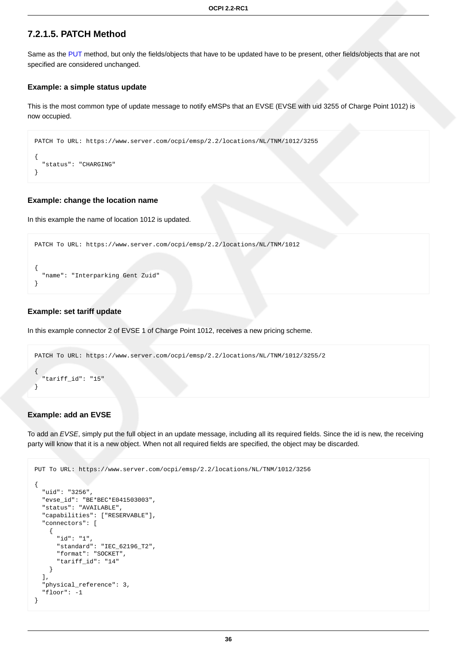#### <span id="page-42-0"></span>**7.2.1.5. PATCH Method**

Same as the [PUT](#page-41-0) method, but only the fields/objects that have to be updated have to be present, other fields/objects that are not specified are considered unchanged.

#### **Example: a simple status update**

This is the most common type of update message to notify eMSPs that an EVSE (EVSE with uid 3255 of Charge Point 1012) is now occupied.

```
PATCH To URL: https://www.server.com/ocpi/emsp/2.2/locations/NL/TNM/1012/3255
{
   "status": "CHARGING"
}
```
#### **Example: change the location name**

In this example the name of location 1012 is updated.

```
PATCH To URL: https://www.server.com/ocpi/emsp/2.2/locations/NL/TNM/1012
{
   "name": "Interparking Gent Zuid"
}
```
#### **Example: set tariff update**

In this example connector 2 of EVSE 1 of Charge Point 1012, receives a new pricing scheme.

```
PATCH To URL: https://www.server.com/ocpi/emsp/2.2/locations/NL/TNM/1012/3255/2
{
   "tariff_id": "15"
}
```
#### **Example: add an EVSE**

To add an EVSE, simply put the full object in an update message, including all its required fields. Since the id is new, the receiving party will know that it is a new object. When not all required fields are specified, the object may be discarded.

```
PUT To URL: https://www.server.com/ocpi/emsp/2.2/locations/NL/TNM/1012/3256
{
   "uid": "3256",
   "evse_id": "BE*BEC*E041503003",
   "status": "AVAILABLE",
   "capabilities": ["RESERVABLE"],
   "connectors": [
     {
       "id": "1",
       "standard": "IEC_62196_T2",
       "format": "SOCKET",
       "tariff_id": "14"
     }
   ],
   "physical_reference": 3,
   "floor": -1
}
```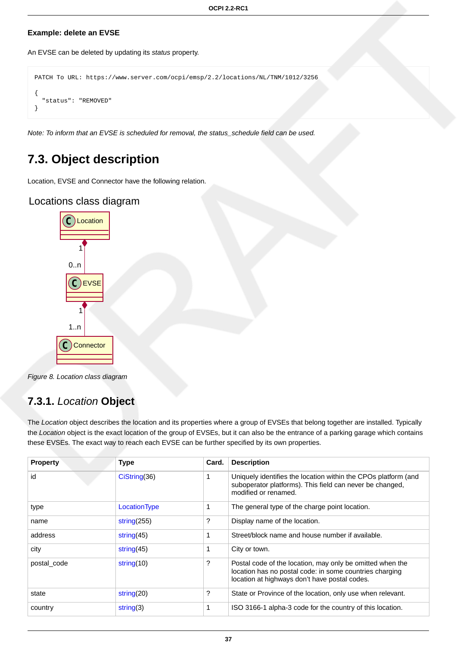#### **Example: delete an EVSE**

An EVSE can be deleted by updating its status property.

```
PATCH To URL: https://www.server.com/ocpi/emsp/2.2/locations/NL/TNM/1012/3256
{
   "status": "REMOVED"
}
```
Note: To inform that an EVSE is scheduled for removal, the status\_schedule field can be used.

## **7.3. Object description**

Location, EVSE and Connector have the following relation.

### Locations class diagram



Figure 8. Location class diagram

### <span id="page-43-0"></span>**7.3.1.** Location **Object**

The Location object describes the location and its properties where a group of EVSEs that belong together are installed. Typically the Location object is the exact location of the group of EVSEs, but it can also be the entrance of a parking garage which contains these EVSEs. The exact way to reach each EVSE can be further specified by its own properties.

| <b>Property</b> | <b>Type</b>    | Card. | <b>Description</b>                                                                                                                                                    |
|-----------------|----------------|-------|-----------------------------------------------------------------------------------------------------------------------------------------------------------------------|
| id              | Cisstring(36)  |       | Uniquely identifies the location within the CPOs platform (and<br>suboperator platforms). This field can never be changed,<br>modified or renamed.                    |
| type            | LocationType   |       | The general type of the charge point location.                                                                                                                        |
| name            | string $(255)$ | ?     | Display name of the location.                                                                                                                                         |
| address         | string $(45)$  |       | Street/block name and house number if available.                                                                                                                      |
| city            | string $(45)$  |       | City or town.                                                                                                                                                         |
| postal code     | string $(10)$  | ?     | Postal code of the location, may only be omitted when the<br>location has no postal code: in some countries charging<br>location at highways don't have postal codes. |
| state           | string $(20)$  | ?     | State or Province of the location, only use when relevant.                                                                                                            |
| country         | string(3)      |       | ISO 3166-1 alpha-3 code for the country of this location.                                                                                                             |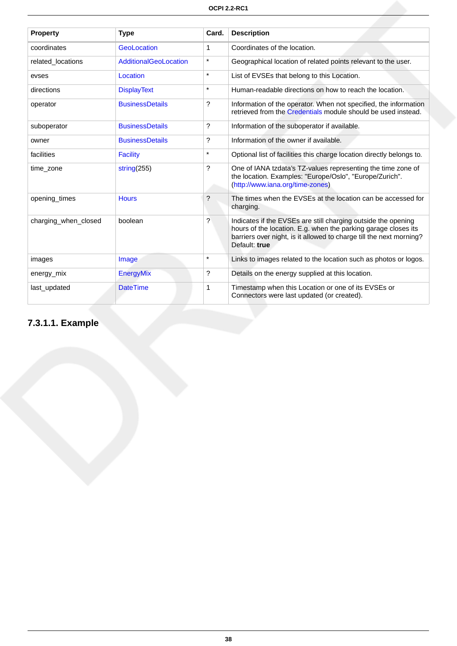| <b>Property</b>      | <b>Type</b>            | Card.   | <b>Description</b>                                                                                                                                                                                                      |
|----------------------|------------------------|---------|-------------------------------------------------------------------------------------------------------------------------------------------------------------------------------------------------------------------------|
| coordinates          | GeoLocation            | 1       | Coordinates of the location.                                                                                                                                                                                            |
| related locations    | AdditionalGeoLocation  | $\star$ | Geographical location of related points relevant to the user.                                                                                                                                                           |
| evses                | Location               | $\star$ | List of EVSEs that belong to this Location.                                                                                                                                                                             |
| directions           | <b>DisplayText</b>     | $\star$ | Human-readable directions on how to reach the location.                                                                                                                                                                 |
| operator             | <b>BusinessDetails</b> | ?       | Information of the operator. When not specified, the information<br>retrieved from the Credentials module should be used instead.                                                                                       |
| suboperator          | <b>BusinessDetails</b> | ?       | Information of the suboperator if available.                                                                                                                                                                            |
| owner                | <b>BusinessDetails</b> | ?       | Information of the owner if available.                                                                                                                                                                                  |
| facilities           | <b>Facility</b>        | $\star$ | Optional list of facilities this charge location directly belongs to.                                                                                                                                                   |
| time zone            | string $(255)$         | ?       | One of IANA tzdata's TZ-values representing the time zone of<br>the location. Examples: "Europe/Oslo", "Europe/Zurich".<br>(http://www.iana.org/time-zones)                                                             |
| opening times        | <b>Hours</b>           | ?       | The times when the EVSEs at the location can be accessed for<br>charging.                                                                                                                                               |
| charging_when_closed | boolean                | ?       | Indicates if the EVSEs are still charging outside the opening<br>hours of the location. E.g. when the parking garage closes its<br>barriers over night, is it allowed to charge till the next morning?<br>Default: true |
| images               | Image                  | $\star$ | Links to images related to the location such as photos or logos.                                                                                                                                                        |
| energy_mix           | <b>EnergyMix</b>       | ?       | Details on the energy supplied at this location.                                                                                                                                                                        |
| last_updated         | <b>DateTime</b>        | 1       | Timestamp when this Location or one of its EVSEs or<br>Connectors were last updated (or created).                                                                                                                       |

# **7.3.1.1. Example**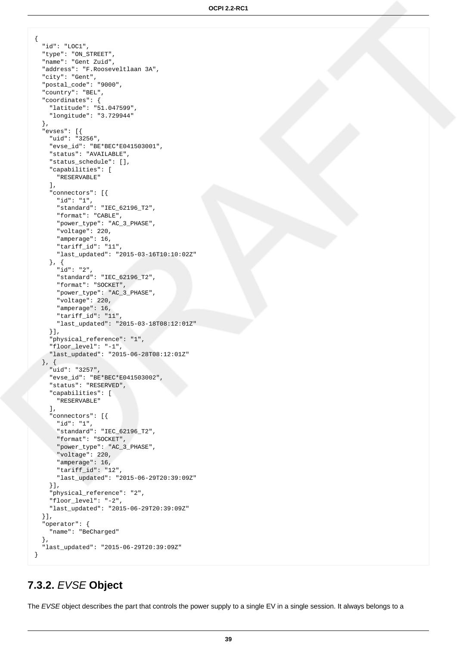```
{
   "id": "LOC1",
   "type": "ON_STREET",
   "name": "Gent Zuid",
   "address": "F.Rooseveltlaan 3A",
   "city": "Gent",
   "postal_code": "9000",
   "country": "BEL",
   "coordinates": {
     "latitude": "51.047599",
     "longitude": "3.729944"
  },
   "evses": [{
    "uid": "3256",
     "evse_id": "BE*BEC*E041503001",
     "status": "AVAILABLE",
     "status_schedule": [],
     "capabilities": [
      "RESERVABLE"
    \cdot "connectors": [{
       "id": "1",
       "standard": "IEC_62196_T2",
       "format": "CABLE",
       "power_type": "AC_3_PHASE",
       "voltage": 220,
       "amperage": 16,
       "tariff_id": "11",
       "last_updated": "2015-03-16T10:10:02Z"
     }, {
       "id": "2",
       "standard": "IEC_62196_T2",
       "format": "SOCKET",
       "power_type": "AC_3_PHASE",
       "voltage": 220,
       "amperage": 16,
       "tariff_id": "11",
       "last_updated": "2015-03-18T08:12:01Z"
     }],
     "physical_reference": "1",
     "floor_level": "-1",
     "last_updated": "2015-06-28T08:12:01Z"
   }, {
     "uid": "3257",
     "evse_id": "BE*BEC*E041503002",
     "status": "RESERVED",
     "capabilities": [
       "RESERVABLE"
     ],
     "connectors": [{
       "id": "1",
       "standard": "IEC_62196_T2",
       "format": "SOCKET",
       "power_type": "AC_3_PHASE",
       "voltage": 220,
       "amperage": 16,
       "tariff_id": "12",
       "last_updated": "2015-06-29T20:39:09Z"
     }],
     "physical_reference": "2",
     "floor_level": "-2",
     "last_updated": "2015-06-29T20:39:09Z"
   }],
   "operator": {
     "name": "BeCharged"
  },
   "last_updated": "2015-06-29T20:39:09Z"
}
```
# <span id="page-45-0"></span>**7.3.2.** EVSE **Object**

The EVSE object describes the part that controls the power supply to a single EV in a single session. It always belongs to a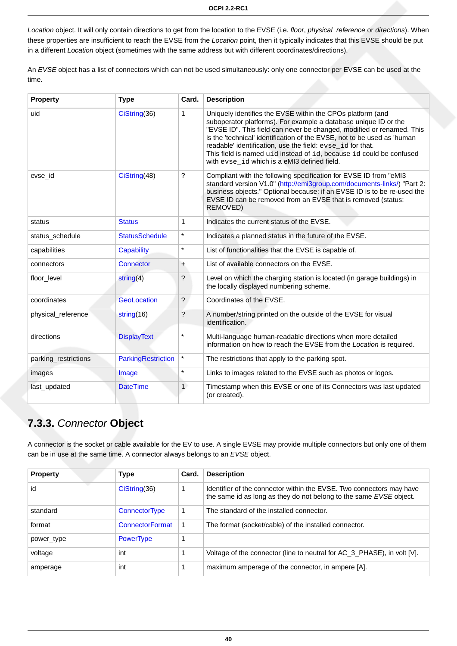Location object. It will only contain directions to get from the location to the EVSE (i.e. floor, physical\_reference or directions). When these properties are insufficient to reach the EVSE from the Location point, then it typically indicates that this EVSE should be put in a different Location object (sometimes with the same address but with different coordinates/directions).

An EVSE object has a list of connectors which can not be used simultaneously: only one connector per EVSE can be used at the time.

| <b>Property</b>      | <b>Type</b>           | Card.          | <b>Description</b>                                                                                                                                                                                                                                                                                                                                                                                                                                                    |
|----------------------|-----------------------|----------------|-----------------------------------------------------------------------------------------------------------------------------------------------------------------------------------------------------------------------------------------------------------------------------------------------------------------------------------------------------------------------------------------------------------------------------------------------------------------------|
| uid                  | CiString(36)          | 1              | Uniquely identifies the EVSE within the CPOs platform (and<br>suboperator platforms). For example a database unique ID or the<br>"EVSE ID". This field can never be changed, modified or renamed. This<br>is the 'technical' identification of the EVSE, not to be used as 'human<br>readable' identification, use the field: evse_id for that.<br>This field is named uid instead of id, because id could be confused<br>with evse_id which is a eMI3 defined field. |
| evse_id              | CiString(48)          | ?              | Compliant with the following specification for EVSE ID from "eMI3<br>standard version V1.0" (http://emi3group.com/documents-links/) "Part 2:<br>business objects." Optional because: if an EVSE ID is to be re-used the<br>EVSE ID can be removed from an EVSE that is removed (status:<br>REMOVED)                                                                                                                                                                   |
| status               | <b>Status</b>         | 1              | Indicates the current status of the EVSE.                                                                                                                                                                                                                                                                                                                                                                                                                             |
| status schedule      | <b>StatusSchedule</b> | $\star$        | Indicates a planned status in the future of the EVSE.                                                                                                                                                                                                                                                                                                                                                                                                                 |
| capabilities         | Capability            | $\star$        | List of functionalities that the EVSE is capable of.                                                                                                                                                                                                                                                                                                                                                                                                                  |
| connectors           | Connector             | $\ddot{}$      | List of available connectors on the EVSE.                                                                                                                                                                                                                                                                                                                                                                                                                             |
| floor level          | string(4)             | ?              | Level on which the charging station is located (in garage buildings) in<br>the locally displayed numbering scheme.                                                                                                                                                                                                                                                                                                                                                    |
| coordinates          | GeoLocation           | $\overline{?}$ | Coordinates of the EVSE.                                                                                                                                                                                                                                                                                                                                                                                                                                              |
| physical_reference   | string(16)            | ?              | A number/string printed on the outside of the EVSE for visual<br>identification.                                                                                                                                                                                                                                                                                                                                                                                      |
| directions           | <b>DisplayText</b>    | $\star$        | Multi-language human-readable directions when more detailed<br>information on how to reach the EVSE from the Location is required.                                                                                                                                                                                                                                                                                                                                    |
| parking_restrictions | ParkingRestriction    | $\star$        | The restrictions that apply to the parking spot.                                                                                                                                                                                                                                                                                                                                                                                                                      |
| images               | Image                 | $\star$        | Links to images related to the EVSE such as photos or logos.                                                                                                                                                                                                                                                                                                                                                                                                          |
| last_updated         | <b>DateTime</b>       | $\mathbf{1}$   | Timestamp when this EVSE or one of its Connectors was last updated<br>(or created).                                                                                                                                                                                                                                                                                                                                                                                   |

# <span id="page-46-0"></span>**7.3.3.** Connector **Object**

A connector is the socket or cable available for the EV to use. A single EVSE may provide multiple connectors but only one of them can be in use at the same time. A connector always belongs to an EVSE object.

| <b>Property</b> | <b>Type</b>          | Card. | <b>Description</b>                                                                                                                         |
|-----------------|----------------------|-------|--------------------------------------------------------------------------------------------------------------------------------------------|
| id              | CisString(36)        |       | Identifier of the connector within the EVSE. Two connectors may have<br>the same id as long as they do not belong to the same EVSE object. |
| standard        | <b>ConnectorType</b> |       | The standard of the installed connector.                                                                                                   |
| format          | ConnectorFormat      |       | The format (socket/cable) of the installed connector.                                                                                      |
| power type      | <b>PowerType</b>     |       |                                                                                                                                            |
| voltage         | int                  |       | Voltage of the connector (line to neutral for AC_3_PHASE), in volt [V].                                                                    |
| amperage        | int                  |       | maximum amperage of the connector, in ampere [A].                                                                                          |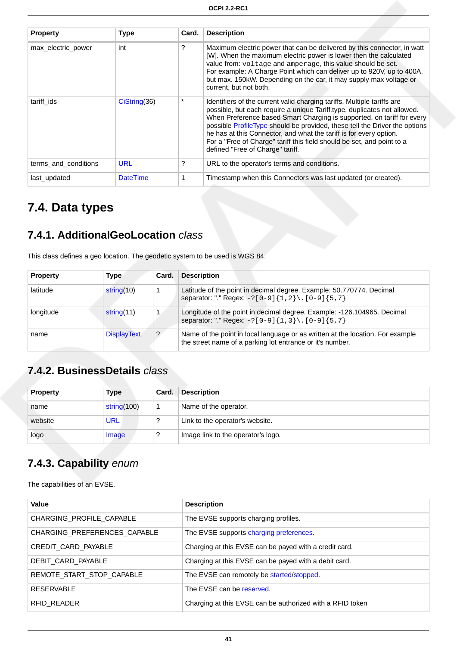| <b>Property</b>      | Type            | Card. | <b>Description</b>                                                                                                                                                                                                                                                                                                                                                                                                                                                                              |
|----------------------|-----------------|-------|-------------------------------------------------------------------------------------------------------------------------------------------------------------------------------------------------------------------------------------------------------------------------------------------------------------------------------------------------------------------------------------------------------------------------------------------------------------------------------------------------|
| max electric power   | int             | ?     | Maximum electric power that can be delivered by this connector, in watt<br>[W]. When the maximum electric power is lower then the calculated<br>value from: voltage and amperage, this value should be set.<br>For example: A Charge Point which can deliver up to 920V, up to 400A,<br>but max. 150kW. Depending on the car, it may supply max voltage or<br>current, but not both.                                                                                                            |
| tariff ids           | Cisstring(36)   |       | Identifiers of the current valid charging tariffs. Multiple tariffs are<br>possible, but each require a unique Tariff.type, duplicates not allowed.<br>When Preference based Smart Charging is supported, on tariff for every<br>possible ProfileType should be provided, these tell the Driver the options<br>he has at this Connector, and what the tariff is for every option.<br>For a "Free of Charge" tariff this field should be set, and point to a<br>defined "Free of Charge" tariff. |
| terms and conditions | <b>URL</b>      | ?     | URL to the operator's terms and conditions.                                                                                                                                                                                                                                                                                                                                                                                                                                                     |
| last updated         | <b>DateTime</b> |       | Timestamp when this Connectors was last updated (or created).                                                                                                                                                                                                                                                                                                                                                                                                                                   |

# **7.4. Data types**

## <span id="page-47-1"></span>**7.4.1. AdditionalGeoLocation** class

This class defines a geo location. The geodetic system to be used is WGS 84.

| <b>Property</b> | Type               | Card.          | <b>Description</b>                                                                                                                          |
|-----------------|--------------------|----------------|---------------------------------------------------------------------------------------------------------------------------------------------|
| latitude        | string(10)         |                | Latitude of the point in decimal degree. Example: 50.770774. Decimal<br>separator: "." Regex: $-?[0-9]{1,2}\.\ [0-9]{5,7}$                  |
| longitude       | string(11)         |                | Longitude of the point in decimal degree. Example: -126.104965. Decimal<br>separator: "." Regex: -? [0-9] {1, 3} \. [0-9] {5, 7}            |
| name            | <b>DisplayText</b> | $\overline{?}$ | Name of the point in local language or as written at the location. For example<br>the street name of a parking lot entrance or it's number. |

# <span id="page-47-0"></span>**7.4.2. BusinessDetails** class

| <b>Property</b> | Type           | Card. | <b>Description</b>                 |  |
|-----------------|----------------|-------|------------------------------------|--|
| name            | string $(100)$ |       | Name of the operator.              |  |
| website         | URL            | ?     | Link to the operator's website.    |  |
| logo            | Image          |       | Image link to the operator's logo. |  |

## <span id="page-47-2"></span>**7.4.3. Capability** enum

The capabilities of an EVSE.

| Value                        | <b>Description</b>                                        |
|------------------------------|-----------------------------------------------------------|
| CHARGING_PROFILE_CAPABLE     | The EVSE supports charging profiles.                      |
| CHARGING PREFERENCES CAPABLE | The EVSE supports charging preferences.                   |
| CREDIT_CARD_PAYABLE          | Charging at this EVSE can be payed with a credit card.    |
| DEBIT CARD PAYABLE           | Charging at this EVSE can be payed with a debit card.     |
| REMOTE START STOP CAPABLE    | The EVSE can remotely be started/stopped.                 |
| <b>RESERVABLE</b>            | The EVSE can be reserved.                                 |
| RFID READER                  | Charging at this EVSE can be authorized with a RFID token |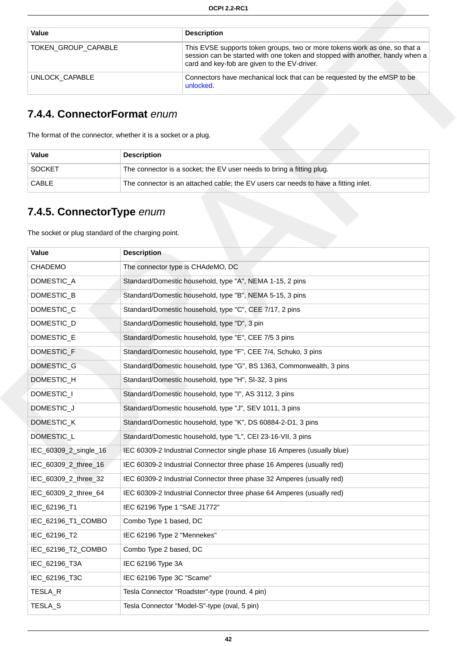| Value               | <b>Description</b>                                                                                                                                                                                         |
|---------------------|------------------------------------------------------------------------------------------------------------------------------------------------------------------------------------------------------------|
| TOKEN GROUP CAPABLE | This EVSE supports token groups, two or more tokens work as one, so that a<br>session can be started with one token and stopped with another, handy when a<br>card and key-fob are given to the EV-driver. |
| UNLOCK CAPABLE      | Connectors have mechanical lock that can be requested by the eMSP to be<br>unlocked.                                                                                                                       |

## <span id="page-48-1"></span>**7.4.4. ConnectorFormat** enum

The format of the connector, whether it is a socket or a plug.

| Value         | <b>Description</b>                                                                  |
|---------------|-------------------------------------------------------------------------------------|
| <b>SOCKET</b> | The connector is a socket; the EV user needs to bring a fitting plug.               |
| CABLE         | The connector is an attached cable; the EV users car needs to have a fitting inlet. |

## <span id="page-48-0"></span>**7.4.5. ConnectorType** enum

The socket or plug standard of the charging point.

| Value                 | <b>Description</b>                                                      |
|-----------------------|-------------------------------------------------------------------------|
| CHADEMO               | The connector type is CHAdeMO, DC                                       |
| DOMESTIC_A            | Standard/Domestic household, type "A", NEMA 1-15, 2 pins                |
| DOMESTIC_B            | Standard/Domestic household, type "B", NEMA 5-15, 3 pins                |
| DOMESTIC_C            | Standard/Domestic household, type "C", CEE 7/17, 2 pins                 |
| DOMESTIC_D            | Standard/Domestic household, type "D", 3 pin                            |
| DOMESTIC_E            | Standard/Domestic household, type "E", CEE 7/5 3 pins                   |
| DOMESTIC_F            | Standard/Domestic household, type "F", CEE 7/4, Schuko, 3 pins          |
| DOMESTIC_G            | Standard/Domestic household, type "G", BS 1363, Commonwealth, 3 pins    |
| DOMESTIC_H            | Standard/Domestic household, type "H", SI-32, 3 pins                    |
| DOMESTIC_I            | Standard/Domestic household, type "I", AS 3112, 3 pins                  |
| DOMESTIC_J            | Standard/Domestic household, type "J", SEV 1011, 3 pins                 |
| DOMESTIC_K            | Standard/Domestic household, type "K", DS 60884-2-D1, 3 pins            |
| DOMESTIC_L            | Standard/Domestic household, type "L", CEI 23-16-VII, 3 pins            |
| IEC_60309_2_single_16 | IEC 60309-2 Industrial Connector single phase 16 Amperes (usually blue) |
| IEC_60309_2_three_16  | IEC 60309-2 Industrial Connector three phase 16 Amperes (usually red)   |
| IEC_60309_2_three_32  | IEC 60309-2 Industrial Connector three phase 32 Amperes (usually red)   |
| IEC_60309_2_three_64  | IEC 60309-2 Industrial Connector three phase 64 Amperes (usually red)   |
| IEC_62196_T1          | IEC 62196 Type 1 "SAE J1772"                                            |
| IEC_62196_T1_COMBO    | Combo Type 1 based, DC                                                  |
| IEC_62196_T2          | IEC 62196 Type 2 "Mennekes"                                             |
| IEC_62196_T2_COMBO    | Combo Type 2 based, DC                                                  |
| IEC_62196_T3A         | IEC 62196 Type 3A                                                       |
| IEC_62196_T3C         | IEC 62196 Type 3C "Scame"                                               |
| TESLA_R               | Tesla Connector "Roadster"-type (round, 4 pin)                          |
| TESLA_S               | Tesla Connector "Model-S"-type (oval, 5 pin)                            |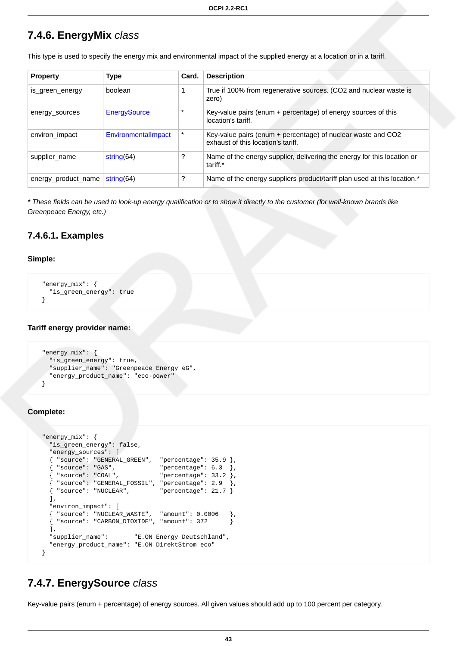### <span id="page-49-0"></span>**7.4.6. EnergyMix** class

This type is used to specify the energy mix and environmental impact of the supplied energy at a location or in a tariff.

| <b>Property</b>     | <b>Type</b>                | Card.   | <b>Description</b>                                                                                 |
|---------------------|----------------------------|---------|----------------------------------------------------------------------------------------------------|
| is green energy     | boolean                    |         | True if 100% from regenerative sources. (CO2 and nuclear waste is<br>zero)                         |
| energy_sources      | <b>EnergySource</b>        | $\star$ | Key-value pairs (enum + percentage) of energy sources of this<br>location's tariff.                |
| environ impact      | <b>Environmentallmpact</b> |         | Key-value pairs (enum + percentage) of nuclear waste and CO2<br>exhaust of this location's tariff. |
| supplier name       | string $(64)$              | 7       | Name of the energy supplier, delivering the energy for this location or<br>tariff.*                |
| energy_product_name | string $(64)$              | ?       | Name of the energy suppliers product/tariff plan used at this location.*                           |

\* These fields can be used to look-up energy qualification or to show it directly to the customer (for well-known brands like Greenpeace Energy, etc.)

### **7.4.6.1. Examples**

#### **Simple:**

```
 "energy_mix": {
  "is_green_energy": true
 }
```
#### **Tariff energy provider name:**

```
 "energy_mix": {
  "is_green_energy": true,
   "supplier_name": "Greenpeace Energy eG",
   "energy_product_name": "eco-power"
 }
```
#### **Complete:**

```
 "energy_mix": {
    "is_green_energy": false,
    "energy_sources": [
    { "source": "GENERAL_GREEN", "percentage": 35.9 },
\{ "source": "GAS",  "percentage": 6.3 \},\{ "source": "COAL",  "percentage": 33.2 \}, { "source": "GENERAL_FOSSIL", "percentage": 2.9 },
   \{ "source": "NUCLEAR", "percentage": 21.7 \} ],
    "environ_impact": [
    { "source": "NUCLEAR_WASTE", "amount": 0.0006 },
    { "source": "CARBON_DIOXIDE", "amount": 372 }
    ],
    "supplier_name": "E.ON Energy Deutschland",
    "energy_product_name": "E.ON DirektStrom eco"
  }
```
### <span id="page-49-1"></span>**7.4.7. EnergySource** class

Key-value pairs (enum + percentage) of energy sources. All given values should add up to 100 percent per category.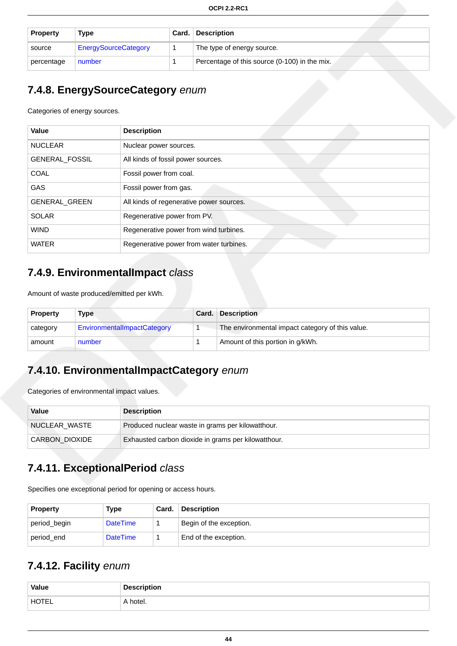| <b>Property</b> | Type                        | Card. | <b>Description</b>                            |
|-----------------|-----------------------------|-------|-----------------------------------------------|
| source          | <b>EnergySourceCategory</b> |       | The type of energy source.                    |
| percentage      | number                      |       | Percentage of this source (0-100) in the mix. |

## <span id="page-50-2"></span>**7.4.8. EnergySourceCategory** enum

Categories of energy sources.

| Value                | <b>Description</b>                       |
|----------------------|------------------------------------------|
| <b>NUCLEAR</b>       | Nuclear power sources.                   |
| GENERAL_FOSSIL       | All kinds of fossil power sources.       |
| <b>COAL</b>          | Fossil power from coal.                  |
| <b>GAS</b>           | Fossil power from gas.                   |
| <b>GENERAL GREEN</b> | All kinds of regenerative power sources. |
| <b>SOLAR</b>         | Regenerative power from PV.              |
| <b>WIND</b>          | Regenerative power from wind turbines.   |
| <b>WATER</b>         | Regenerative power from water turbines.  |

## <span id="page-50-1"></span>**7.4.9. EnvironmentalImpact** class

Amount of waste produced/emitted per kWh.

| <b>Property</b> | <b>Type</b>                 | Card. | <b>Description</b>                               |
|-----------------|-----------------------------|-------|--------------------------------------------------|
| category        | EnvironmentalImpactCategory |       | The environmental impact category of this value. |
| amount          | number                      |       | Amount of this portion in g/kWh.                 |

## <span id="page-50-3"></span>**7.4.10. EnvironmentalImpactCategory** enum

Categories of environmental impact values.

| Value                 | <b>Description</b>                                  |
|-----------------------|-----------------------------------------------------|
| NUCLEAR WASTE         | Produced nuclear waste in grams per kilowatthour.   |
| <b>CARBON_DIOXIDE</b> | Exhausted carbon dioxide in grams per kilowatthour. |

## <span id="page-50-4"></span>**7.4.11. ExceptionalPeriod** class

Specifies one exceptional period for opening or access hours.

| <b>Property</b> | Type            | Card. | <b>Description</b>      |  |
|-----------------|-----------------|-------|-------------------------|--|
| period_begin    | <b>DateTime</b> |       | Begin of the exception. |  |
| period end      | <b>DateTime</b> |       | End of the exception.   |  |

## <span id="page-50-0"></span>**7.4.12. Facility** enum

| Value | tion<br>$    -$ |
|-------|-----------------|
| HOTEL | hotel.          |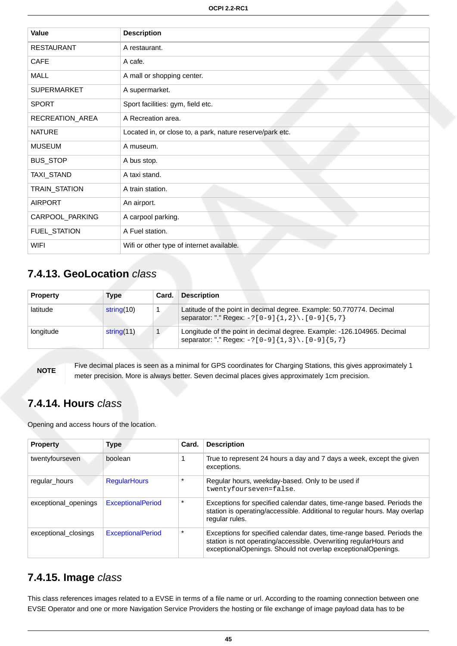| Value              | <b>Description</b>                                        |
|--------------------|-----------------------------------------------------------|
| <b>RESTAURANT</b>  | A restaurant.                                             |
| <b>CAFE</b>        | A cafe.                                                   |
| <b>MALL</b>        | A mall or shopping center.                                |
| <b>SUPERMARKET</b> | A supermarket.                                            |
| <b>SPORT</b>       | Sport facilities: gym, field etc.                         |
| RECREATION_AREA    | A Recreation area.                                        |
| <b>NATURE</b>      | Located in, or close to, a park, nature reserve/park etc. |
| <b>MUSEUM</b>      | A museum.                                                 |
| <b>BUS_STOP</b>    | A bus stop.                                               |
| TAXI_STAND         | A taxi stand.                                             |
| TRAIN_STATION      | A train station.                                          |
| <b>AIRPORT</b>     | An airport.                                               |
| CARPOOL_PARKING    | A carpool parking.                                        |
| FUEL_STATION       | A Fuel station.                                           |
| <b>WIFI</b>        | Wifi or other type of internet available.                 |

## <span id="page-51-0"></span>**7.4.13. GeoLocation** class

| <b>Property</b> | Type          | Card. | <b>Description</b>                                                                                                            |
|-----------------|---------------|-------|-------------------------------------------------------------------------------------------------------------------------------|
| latitude        | string(10)    |       | Latitude of the point in decimal degree. Example: 50.770774. Decimal<br>separator: "." Regex: $-?[0-9]{1,2}\.\ [0-9]{5,7}$    |
| longitude       | string $(11)$ |       | Longitude of the point in decimal degree. Example: -126.104965. Decimal<br>separator: "." Regex: $-?[0-9]{1,3}\.\ [0-9]{5,7}$ |

**NOTE** Five decimal places is seen as a minimal for GPS coordinates for Charging Stations, this gives approximately 1 meter precision. More is always better. Seven decimal places gives approximately 1cm precision.

### <span id="page-51-1"></span>**7.4.14. Hours** class

Opening and access hours of the location.

| <b>Property</b>      | <b>Type</b>              | Card.   | <b>Description</b>                                                                                                                                                                                          |
|----------------------|--------------------------|---------|-------------------------------------------------------------------------------------------------------------------------------------------------------------------------------------------------------------|
| twentyfourseven      | boolean                  |         | True to represent 24 hours a day and 7 days a week, except the given<br>exceptions.                                                                                                                         |
| regular_hours        | <b>RegularHours</b>      | $\star$ | Regular hours, weekday-based. Only to be used if<br>twentyfourseven=false.                                                                                                                                  |
| exceptional openings | <b>ExceptionalPeriod</b> | $\star$ | Exceptions for specified calendar dates, time-range based. Periods the<br>station is operating/accessible. Additional to regular hours. May overlap<br>regular rules.                                       |
| exceptional closings | <b>ExceptionalPeriod</b> | $\star$ | Exceptions for specified calendar dates, time-range based. Periods the<br>station is not operating/accessible. Overwriting regularHours and<br>exceptionalOpenings. Should not overlap exceptionalOpenings. |

### <span id="page-51-2"></span>**7.4.15. Image** class

This class references images related to a EVSE in terms of a file name or url. According to the roaming connection between one EVSE Operator and one or more Navigation Service Providers the hosting or file exchange of image payload data has to be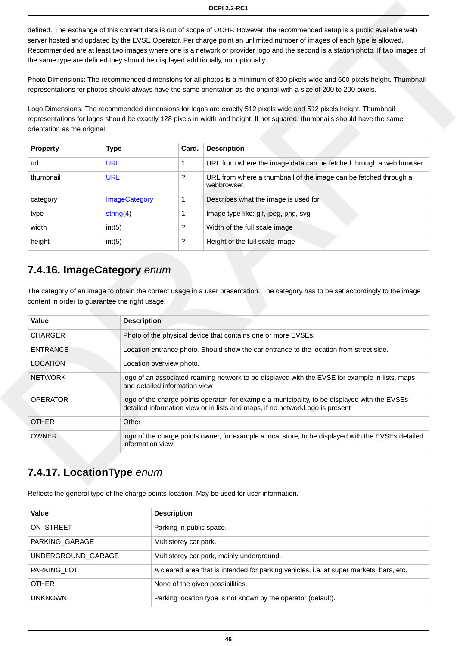defined. The exchange of this content data is out of scope of OCHP. However, the recommended setup is a public available web server hosted and updated by the EVSE Operator. Per charge point an unlimited number of images of each type is allowed. Recommended are at least two images where one is a network or provider logo and the second is a station photo. If two images of the same type are defined they should be displayed additionally, not optionally.

Photo Dimensions: The recommended dimensions for all photos is a minimum of 800 pixels wide and 600 pixels height. Thumbnail representations for photos should always have the same orientation as the original with a size of 200 to 200 pixels.

Logo Dimensions: The recommended dimensions for logos are exactly 512 pixels wide and 512 pixels height. Thumbnail representations for logos should be exactly 128 pixels in width and height. If not squared, thumbnails should have the same orientation as the original.

| <b>Property</b> | Type                 | Card. | <b>Description</b>                                                              |
|-----------------|----------------------|-------|---------------------------------------------------------------------------------|
| url             | <b>URL</b>           |       | URL from where the image data can be fetched through a web browser.             |
| thumbnail       | <b>URL</b>           | 2     | URL from where a thumbnail of the image can be fetched through a<br>webbrowser. |
| category        | <b>ImageCategory</b> |       | Describes what the image is used for.                                           |
| type            | string $(4)$         |       | Image type like: gif, jpeg, png, svg                                            |
| width           | int(5)               | ?     | Width of the full scale image                                                   |
| height          | int(5)               | ?     | Height of the full scale image                                                  |

### <span id="page-52-1"></span>**7.4.16. ImageCategory** enum

The category of an image to obtain the correct usage in a user presentation. The category has to be set accordingly to the image content in order to guarantee the right usage.

| Value           | <b>Description</b>                                                                                                                                                             |
|-----------------|--------------------------------------------------------------------------------------------------------------------------------------------------------------------------------|
| <b>CHARGER</b>  | Photo of the physical device that contains one or more EVSEs.                                                                                                                  |
| <b>ENTRANCE</b> | Location entrance photo. Should show the car entrance to the location from street side.                                                                                        |
| LOCATION        | Location overview photo.                                                                                                                                                       |
| <b>NETWORK</b>  | logo of an associated roaming network to be displayed with the EVSE for example in lists, maps<br>and detailed information view                                                |
| <b>OPERATOR</b> | logo of the charge points operator, for example a municipality, to be displayed with the EVSEs<br>detailed information view or in lists and maps, if no networkLogo is present |
| <b>OTHER</b>    | Other                                                                                                                                                                          |
| <b>OWNER</b>    | logo of the charge points owner, for example a local store, to be displayed with the EVSEs detailed<br>information view                                                        |

## <span id="page-52-0"></span>**7.4.17. LocationType** enum

Reflects the general type of the charge points location. May be used for user information.

| Value              | <b>Description</b>                                                                      |
|--------------------|-----------------------------------------------------------------------------------------|
| ON STREET          | Parking in public space.                                                                |
| PARKING GARAGE     | Multistorey car park.                                                                   |
| UNDERGROUND GARAGE | Multistorey car park, mainly underground.                                               |
| PARKING LOT        | A cleared area that is intended for parking vehicles, i.e. at super markets, bars, etc. |
| <b>OTHER</b>       | None of the given possibilities.                                                        |
| <b>UNKNOWN</b>     | Parking location type is not known by the operator (default).                           |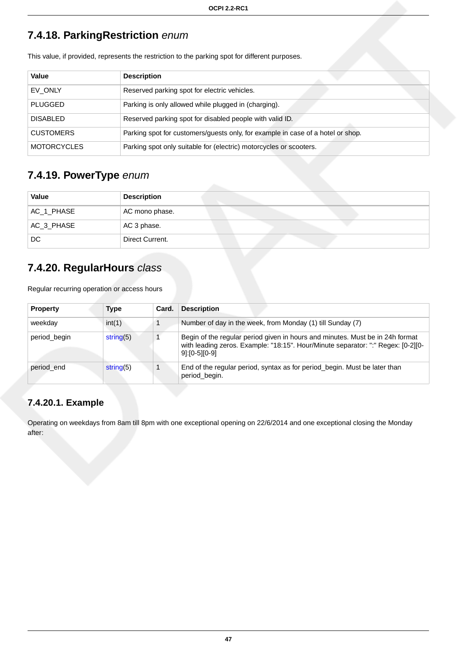## <span id="page-53-0"></span>**7.4.18. ParkingRestriction** enum

| Value              | <b>Description</b>                                                              |
|--------------------|---------------------------------------------------------------------------------|
| EV ONLY            | Reserved parking spot for electric vehicles.                                    |
| <b>PLUGGED</b>     | Parking is only allowed while plugged in (charging).                            |
| <b>DISABLED</b>    | Reserved parking spot for disabled people with valid ID.                        |
| <b>CUSTOMERS</b>   | Parking spot for customers/guests only, for example in case of a hotel or shop. |
| <b>MOTORCYCLES</b> | Parking spot only suitable for (electric) motorcycles or scooters.              |

This value, if provided, represents the restriction to the parking spot for different purposes.

### <span id="page-53-1"></span>**7.4.19. PowerType** enum

| Value      | <b>Description</b> |
|------------|--------------------|
| AC_1_PHASE | AC mono phase.     |
| AC_3_PHASE | AC 3 phase.        |
| DC         | Direct Current.    |

## <span id="page-53-2"></span>**7.4.20. RegularHours** class

Regular recurring operation or access hours

| <b>Property</b> | <b>Type</b>  | Card. | <b>Description</b>                                                                                                                                                                 |
|-----------------|--------------|-------|------------------------------------------------------------------------------------------------------------------------------------------------------------------------------------|
| weekday         | int(1)       |       | Number of day in the week, from Monday (1) till Sunday (7)                                                                                                                         |
| period_begin    | string $(5)$ |       | Begin of the regular period given in hours and minutes. Must be in 24h format<br>with leading zeros. Example: "18:15". Hour/Minute separator: ":" Regex: [0-2][0-<br>91:[0-5][0-9] |
| period end      | string(5)    |       | End of the regular period, syntax as for period_begin. Must be later than<br>period begin.                                                                                         |

### **7.4.20.1. Example**

Operating on weekdays from 8am till 8pm with one exceptional opening on 22/6/2014 and one exceptional closing the Monday after: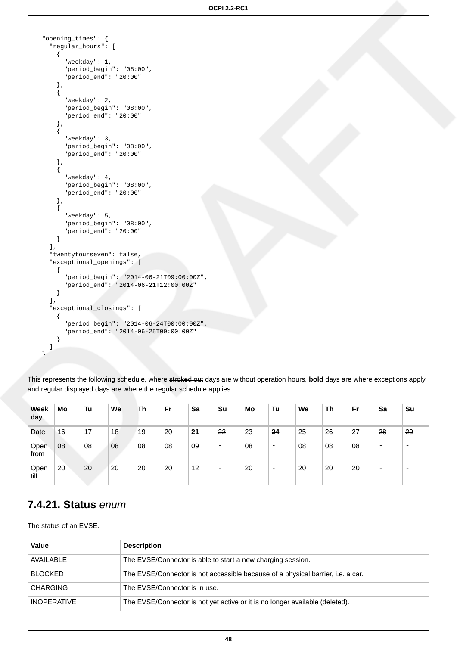```
 "opening_times": {
     "regular_hours": [
      {
         "weekday": 1,
         "period_begin": "08:00",
         "period_end": "20:00"
\},
\{ "weekday": 2,
         "period_begin": "08:00",
         "period_end": "20:00"
 },
\{ "weekday": 3,
         "period_begin": "08:00",
         "period_end": "20:00"
       },
\{ "weekday": 4,
         "period_begin": "08:00",
         "period_end": "20:00"
 },
\{ "weekday": 5,
         "period_begin": "08:00",
         "period_end": "20:00"
      }
    ],
    "twentyfourseven": false,
    "exceptional_openings": [
      {
        "period_begin": "2014-06-21T09:00:00Z",
         "period_end": "2014-06-21T12:00:00Z"
      }
    ],
    "exceptional_closings": [
      {
         "period_begin": "2014-06-24T00:00:00Z",
         "period_end": "2014-06-25T00:00:00Z"
      }
    ]
  }
```
This represents the following schedule, where stroked out days are without operation hours, **bold** days are where exceptions apply and regular displayed days are where the regular schedule applies.

| <b>Week</b><br>day | Mo | Tu | We | Th | Fr | Sa | Su                           | Mo | Tu                       | We | Th | Fr | Sa                       | Su                       |
|--------------------|----|----|----|----|----|----|------------------------------|----|--------------------------|----|----|----|--------------------------|--------------------------|
| Date               | 16 | 17 | 18 | 19 | 20 | 21 | 22                           | 23 | 24                       | 25 | 26 | 27 | 28                       | 29                       |
| Open<br>from       | 08 | 08 | 08 | 08 | 08 | 09 | -                            | 08 | $\overline{\phantom{0}}$ | 08 | 08 | 08 | $\overline{\phantom{0}}$ | $\overline{\phantom{0}}$ |
| Open<br>till       | 20 | 20 | 20 | 20 | 20 | 12 | $\qquad \qquad \blacksquare$ | 20 | $\overline{\phantom{0}}$ | 20 | 20 | 20 | $\overline{\phantom{0}}$ | $\overline{\phantom{a}}$ |

### <span id="page-54-0"></span>**7.4.21. Status** enum

The status of an EVSE.

| Value              | <b>Description</b>                                                              |
|--------------------|---------------------------------------------------------------------------------|
| AVAILABLE          | The EVSE/Connector is able to start a new charging session.                     |
| <b>BLOCKED</b>     | The EVSE/Connector is not accessible because of a physical barrier, i.e. a car. |
| <b>CHARGING</b>    | The EVSE/Connector is in use.                                                   |
| <b>INOPERATIVE</b> | The EVSE/Connector is not yet active or it is no longer available (deleted).    |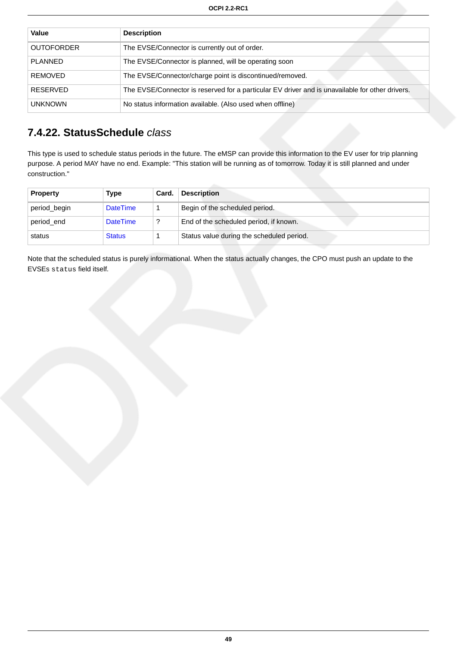| Value             | <b>Description</b>                                                                              |
|-------------------|-------------------------------------------------------------------------------------------------|
| <b>OUTOFORDER</b> | The EVSE/Connector is currently out of order.                                                   |
| <b>PLANNED</b>    | The EVSE/Connector is planned, will be operating soon                                           |
| <b>REMOVED</b>    | The EVSE/Connector/charge point is discontinued/removed.                                        |
| RESERVED          | The EVSE/Connector is reserved for a particular EV driver and is unavailable for other drivers. |
| <b>UNKNOWN</b>    | No status information available. (Also used when offline)                                       |

### <span id="page-55-0"></span>**7.4.22. StatusSchedule** class

This type is used to schedule status periods in the future. The eMSP can provide this information to the EV user for trip planning purpose. A period MAY have no end. Example: "This station will be running as of tomorrow. Today it is still planned and under construction."

| <b>Property</b> | Type            | Card. | <b>Description</b>                        |
|-----------------|-----------------|-------|-------------------------------------------|
| period_begin    | <b>DateTime</b> |       | Begin of the scheduled period.            |
| period end      | <b>DateTime</b> |       | End of the scheduled period, if known.    |
| status          | <b>Status</b>   |       | Status value during the scheduled period. |

Note that the scheduled status is purely informational. When the status actually changes, the CPO must push an update to the EVSEs status field itself.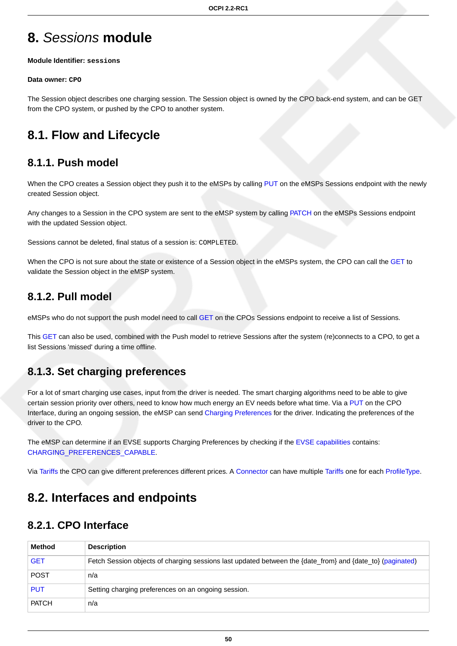# <span id="page-56-0"></span>**8.** Sessions **module**

#### **Module Identifier: sessions**

#### **Data owner: CPO**

The Session object describes one charging session. The Session object is owned by the CPO back-end system, and can be GET from the CPO system, or pushed by the CPO to another system.

# **8.1. Flow and Lifecycle**

## **8.1.1. Push model**

When the CPO creates a Session object they push it to the eMSPs by calling [PUT](#page-59-0) on the eMSPs Sessions endpoint with the newly created Session object.

Any changes to a Session in the CPO system are sent to the eMSP system by calling [PATCH](#page-59-1) on the eMSPs Sessions endpoint with the updated Session object.

Sessions cannot be deleted, final status of a session is: COMPLETED.

When the CPO is not sure about the state or existence of a Session object in the eMSPs system, the CPO can call the [GET](#page-58-0) to validate the Session object in the eMSP system.

### **8.1.2. Pull model**

eMSPs who do not support the push model need to call [GET](#page-57-0) on the CPOs Sessions endpoint to receive a list of Sessions.

This [GET](#page-57-0) can also be used, combined with the Push model to retrieve Sessions after the system (re)connects to a CPO, to get a list Sessions 'missed' during a time offline.

## <span id="page-56-1"></span>**8.1.3. Set charging preferences**

For a lot of smart charging use cases, input from the driver is needed. The smart charging algorithms need to be able to give certain session priority over others, need to know how much energy an EV needs before what time. Via a [PUT](#page-57-1) on the CPO Interface, during an ongoing session, the eMSP can send [Charging Preferences](#page-61-0) for the driver. Indicating the preferences of the driver to the CPO.

The eMSP can determine if an EVSE supports Charging Preferences by checking if the [EVSE capabilities](#page-45-0) contains: [CHARGING\\_PREFERENCES\\_CAPABLE](#page-47-2).

Via [Tariffs](#page-74-0) the CPO can give different preferences different prices. A [Connector](#page-46-0) can have multiple [Tariffs](#page-74-0) one for each [ProfileType.](#page-62-0)

# **8.2. Interfaces and endpoints**

## **8.2.1. CPO Interface**

| Method       | <b>Description</b>                                                                                        |
|--------------|-----------------------------------------------------------------------------------------------------------|
| <b>GET</b>   | Fetch Session objects of charging sessions last updated between the {date_from} and {date_to} (paginated) |
| <b>POST</b>  | n/a                                                                                                       |
| <b>PUT</b>   | Setting charging preferences on an ongoing session.                                                       |
| <b>PATCH</b> | n/a                                                                                                       |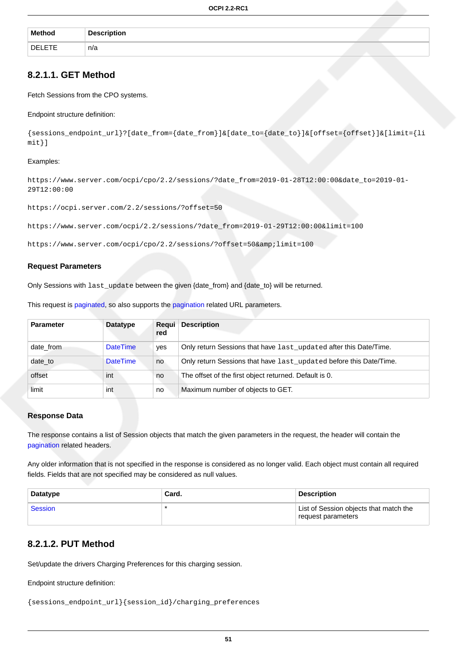| <b>Method</b> | <b>Description</b> |  |
|---------------|--------------------|--|
| DELETE.       | n/a                |  |

### <span id="page-57-0"></span>**8.2.1.1. GET Method**

Fetch Sessions from the CPO systems.

#### Endpoint structure definition:

{sessions\_endpoint\_url}?[date\_from={date\_from}]&[date\_to={date\_to}]&[offset={offset}]&[limit={li mit}]

#### Examples:

https://www.server.com/ocpi/cpo/2.2/sessions/?date\_from=2019-01-28T12:00:00&date\_to=2019-01- 29T12:00:00

https://ocpi.server.com/2.2/sessions/?offset=50

https://www.server.com/ocpi/2.2/sessions/?date\_from=2019-01-29T12:00:00&limit=100

https://www.server.com/ocpi/cpo/2.2/sessions/?offset=50&limit=100

#### **Request Parameters**

Only Sessions with last\_update between the given {date\_from} and {date\_to} will be returned.

This request is [paginated,](#page-14-0) so also supports the [pagination](#page-14-1) related URL parameters.

| <b>Parameter</b> | <b>Datatype</b> | Requi<br>red | <b>Description</b>                                                 |
|------------------|-----------------|--------------|--------------------------------------------------------------------|
| date from        | <b>DateTime</b> | yes          | Only return Sessions that have last_updated after this Date/Time.  |
| date_to          | <b>DateTime</b> | no           | Only return Sessions that have last_updated before this Date/Time. |
| offset           | int             | no           | The offset of the first object returned. Default is 0.             |
| limit            | int             | no           | Maximum number of objects to GET.                                  |

#### **Response Data**

The response contains a list of Session objects that match the given parameters in the request, the header will contain the [pagination](#page-14-2) related headers.

Any older information that is not specified in the response is considered as no longer valid. Each object must contain all required fields. Fields that are not specified may be considered as null values.

| <b>Datatype</b> | Card. | Description                                                  |
|-----------------|-------|--------------------------------------------------------------|
| Session         |       | List of Session objects that match the<br>request parameters |

#### <span id="page-57-1"></span>**8.2.1.2. PUT Method**

Set/update the drivers Charging Preferences for this charging session.

Endpoint structure definition:

```
{sessions_endpoint_url}{session_id}/charging_preferences
```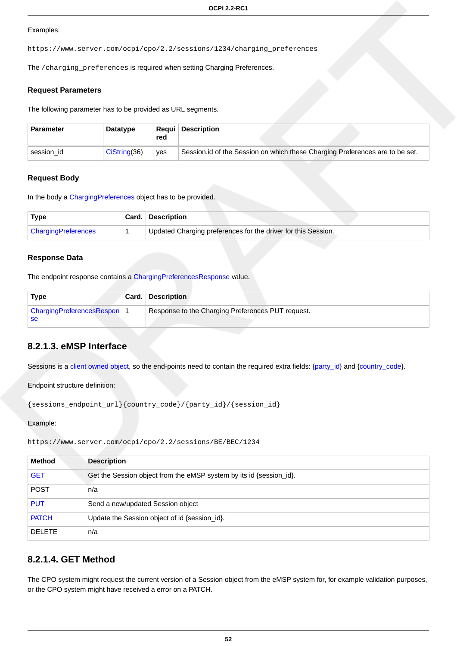#### Examples:

https://www.server.com/ocpi/cpo/2.2/sessions/1234/charging\_preferences

The /charging\_preferences is required when setting Charging Preferences.

#### **Request Parameters**

The following parameter has to be provided as URL segments.

| <b>Parameter</b> | Datatype        | red | <b>Requi Description</b>                                                     |
|------------------|-----------------|-----|------------------------------------------------------------------------------|
| session id       | $Cis$ tring(36) | ves | Session.id of the Session on which these Charging Preferences are to be set. |

#### **Request Body**

In the body a [ChargingPreferences](#page-61-0) object has to be provided.

| Type                       | Card. Description                                             |
|----------------------------|---------------------------------------------------------------|
| <b>ChargingPreferences</b> | Updated Charging preferences for the driver for this Session. |

#### **Response Data**

The endpoint response contains a [ChargingPreferencesResponse](#page-62-1) value.

| Type                              | <b>Card. Description</b>                          |
|-----------------------------------|---------------------------------------------------|
| ChargingPreferencesRespon 1<br>se | Response to the Charging Preferences PUT request. |

### **8.2.1.3. eMSP Interface**

Sessions is a [client owned object,](#page-16-0) so the end-points need to contain the required extra fields: [{party\\_id}](#page-35-0) and {[country\\_code}](#page-35-0).

Endpoint structure definition:

```
{sessions_endpoint_url}{country_code}/{party_id}/{session_id}
```
#### Example:

```
https://www.server.com/ocpi/cpo/2.2/sessions/BE/BEC/1234
```

| <b>Method</b> | <b>Description</b>                                                  |
|---------------|---------------------------------------------------------------------|
| <b>GET</b>    | Get the Session object from the eMSP system by its id {session_id}. |
| <b>POST</b>   | n/a                                                                 |
| <b>PUT</b>    | Send a new/updated Session object                                   |
| <b>PATCH</b>  | Update the Session object of id {session_id}.                       |
| <b>DELETE</b> | n/a                                                                 |

### <span id="page-58-0"></span>**8.2.1.4. GET Method**

The CPO system might request the current version of a Session object from the eMSP system for, for example validation purposes, or the CPO system might have received a error on a PATCH.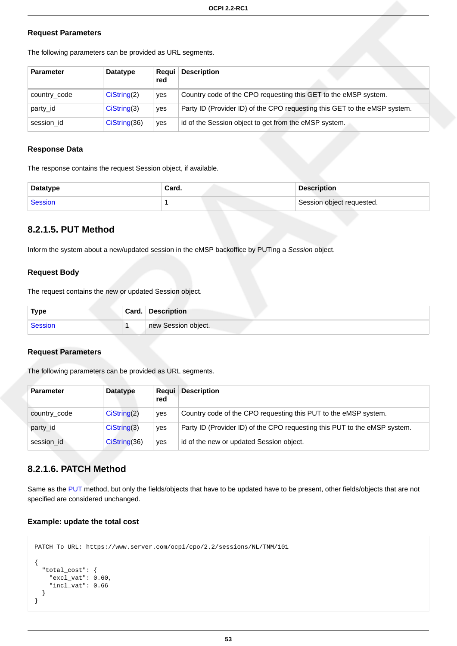#### **Request Parameters**

| <b>Parameter</b> | Datatype      | Reaui<br>red | <b>Description</b>                                                        |
|------------------|---------------|--------------|---------------------------------------------------------------------------|
| country_code     | Cisstring(2)  | ves          | Country code of the CPO requesting this GET to the eMSP system.           |
| party id         | CisString(3)  | ves          | Party ID (Provider ID) of the CPO requesting this GET to the eMSP system. |
| session id       | Cisstring(36) | ves          | id of the Session object to get from the eMSP system.                     |

The following parameters can be provided as URL segments.

#### **Response Data**

The response contains the request Session object, if available.

| Datatype | Card. | <b>Description</b>        |
|----------|-------|---------------------------|
| Session  |       | Session object requested. |

### <span id="page-59-0"></span>**8.2.1.5. PUT Method**

Inform the system about a new/updated session in the eMSP backoffice by PUTing a Session object.

#### **Request Body**

The request contains the new or updated Session object.

| <b>Type</b> | Card. | <b>Description</b>  |
|-------------|-------|---------------------|
| Session     |       | new Session object. |

#### **Request Parameters**

The following parameters can be provided as URL segments.

| <b>Parameter</b> | <b>Datatype</b> | Reaui<br>red | <b>Description</b>                                                        |
|------------------|-----------------|--------------|---------------------------------------------------------------------------|
| country_code     | CisString(2)    | yes          | Country code of the CPO requesting this PUT to the eMSP system.           |
| party_id         | CisString(3)    | ves          | Party ID (Provider ID) of the CPO requesting this PUT to the eMSP system. |
| session id       | CisString(36)   | ves          | id of the new or updated Session object.                                  |

### <span id="page-59-1"></span>**8.2.1.6. PATCH Method**

Same as the [PUT](#page-59-0) method, but only the fields/objects that have to be updated have to be present, other fields/objects that are not specified are considered unchanged.

#### **Example: update the total cost**

}

```
PATCH To URL: https://www.server.com/ocpi/cpo/2.2/sessions/NL/TNM/101
{
   "total_cost": {
     "excl_vat": 0.60,
     "incl_vat": 0.66
   }
```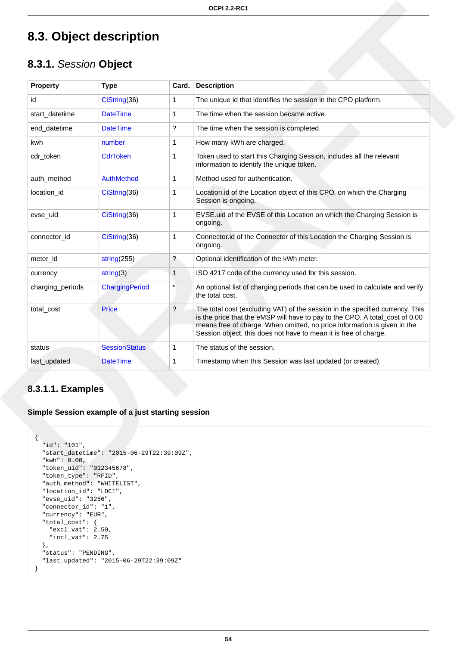# **8.3. Object description**

## <span id="page-60-0"></span>**8.3.1.** Session **Object**

| <b>Property</b>  | <b>Type</b>          | Card.        | <b>Description</b>                                                                                                                                                                                                                                                                                            |
|------------------|----------------------|--------------|---------------------------------------------------------------------------------------------------------------------------------------------------------------------------------------------------------------------------------------------------------------------------------------------------------------|
| id               | CiString(36)         | 1            | The unique id that identifies the session in the CPO platform.                                                                                                                                                                                                                                                |
| start datetime   | <b>DateTime</b>      | $\mathbf{1}$ | The time when the session became active.                                                                                                                                                                                                                                                                      |
| end datetime     | <b>DateTime</b>      | ?            | The time when the session is completed.                                                                                                                                                                                                                                                                       |
| kwh              | number               | 1            | How many kWh are charged.                                                                                                                                                                                                                                                                                     |
| cdr_token        | <b>CdrToken</b>      | 1            | Token used to start this Charging Session, includes all the relevant<br>information to identify the unique token.                                                                                                                                                                                             |
| auth method      | AuthMethod           | 1            | Method used for authentication.                                                                                                                                                                                                                                                                               |
| location id      | CiString(36)         | 1            | Location.id of the Location object of this CPO, on which the Charging<br>Session is ongoing.                                                                                                                                                                                                                  |
| evse uid         | CiString(36)         | $\mathbf{1}$ | EVSE uid of the EVSE of this Location on which the Charging Session is<br>ongoing.                                                                                                                                                                                                                            |
| connector id     | CiString(36)         | 1            | Connector.id of the Connector of this Location the Charging Session is<br>ongoing.                                                                                                                                                                                                                            |
| meter id         | string $(255)$       | ?            | Optional identification of the kWh meter.                                                                                                                                                                                                                                                                     |
| currency         | string(3)            | 1            | ISO 4217 code of the currency used for this session.                                                                                                                                                                                                                                                          |
| charging_periods | ChargingPeriod       | $\star$      | An optional list of charging periods that can be used to calculate and verify<br>the total cost.                                                                                                                                                                                                              |
| total cost       | <b>Price</b>         | ?            | The total cost (excluding VAT) of the session in the specified currency. This<br>is the price that the eMSP will have to pay to the CPO. A total_cost of 0.00<br>means free of charge. When omitted, no price information is given in the<br>Session object, this does not have to mean it is free of charge. |
| status           | <b>SessionStatus</b> | 1            | The status of the session.                                                                                                                                                                                                                                                                                    |
| last updated     | <b>DateTime</b>      | 1            | Timestamp when this Session was last updated (or created).                                                                                                                                                                                                                                                    |

### **8.3.1.1. Examples**

**Simple Session example of a just starting session**

```
{
  "id": "101",
  "start_datetime": "2015-06-29T22:39:09Z",
 "kwh": 0.00,
 "token_uid": "012345678",
  "token_type": "RFID",
  "auth_method": "WHITELIST",
  "location_id": "LOC1",
  "evse_uid": "3256",
  "connector_id": "1",
  "currency": "EUR",
  "total_cost": {
   "excl\_vat" : 2.50,
    "incl_vat": 2.75
  },
  "status": "PENDING",
  "last_updated": "2015-06-29T22:39:09Z"
}
```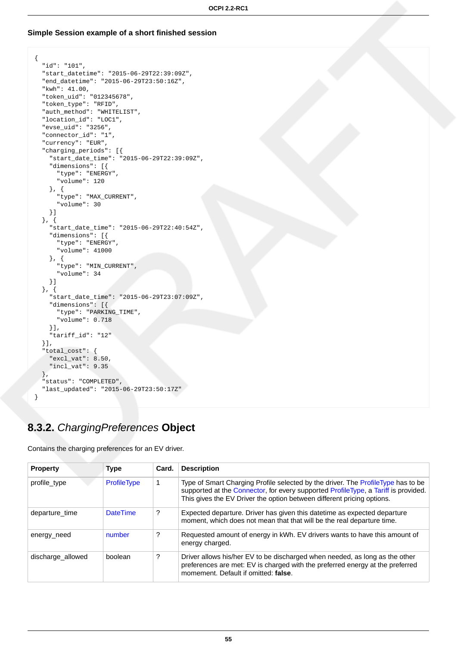#### **Simple Session example of a short finished session**

```
{
  "id": "101",
   "start_datetime": "2015-06-29T22:39:09Z",
   "end_datetime": "2015-06-29T23:50:16Z",
  "kwh": 41.00,
  "token_uid": "012345678",
  "token_type": "RFID",
   "auth_method": "WHITELIST",
   "location_id": "LOC1",
   "evse_uid": "3256",
  "connector_id": "1",
  "currency": "EUR",
   "charging_periods": [{
    "start_date_time": "2015-06-29T22:39:09Z",
     "dimensions": [{
      "type": "ENERGY",
       "volume": 120
     }, {
       "type": "MAX_CURRENT",
       "volume": 30
    }]
  }, {
     "start_date_time": "2015-06-29T22:40:54Z",
     "dimensions": [{
       "type": "ENERGY",
       "volume": 41000
     }, {
       "type": "MIN_CURRENT",
       "volume": 34
    }]
  }, {
     "start_date_time": "2015-06-29T23:07:09Z",
     "dimensions": [{
       "type": "PARKING_TIME",
      "volume": 0.718
    }],
     "tariff_id": "12"
  }],
   "total_cost": {
    "excl_vat": 8.50,
     "incl_vat": 9.35
   },
   "status": "COMPLETED",
   "last_updated": "2015-06-29T23:50:17Z"
}
```
## <span id="page-61-0"></span>**8.3.2.** ChargingPreferences **Object**

Contains the charging preferences for an EV driver.

| <b>Property</b>   | <b>Type</b>     | Card. | <b>Description</b>                                                                                                                                                                                                                               |
|-------------------|-----------------|-------|--------------------------------------------------------------------------------------------------------------------------------------------------------------------------------------------------------------------------------------------------|
| profile type      | ProfileType     |       | Type of Smart Charging Profile selected by the driver. The ProfileType has to be<br>supported at the Connector, for every supported ProfileType, a Tariff is provided.<br>This gives the EV Driver the option between different pricing options. |
| departure time    | <b>DateTime</b> | ?     | Expected departure. Driver has given this datetime as expected departure<br>moment, which does not mean that that will be the real departure time.                                                                                               |
| energy_need       | number          | ?     | Requested amount of energy in kWh. EV drivers wants to have this amount of<br>energy charged.                                                                                                                                                    |
| discharge allowed | boolean         | ?     | Driver allows his/her EV to be discharged when needed, as long as the other<br>preferences are met: EV is charged with the preferred energy at the preferred<br>momement. Default if omitted: false.                                             |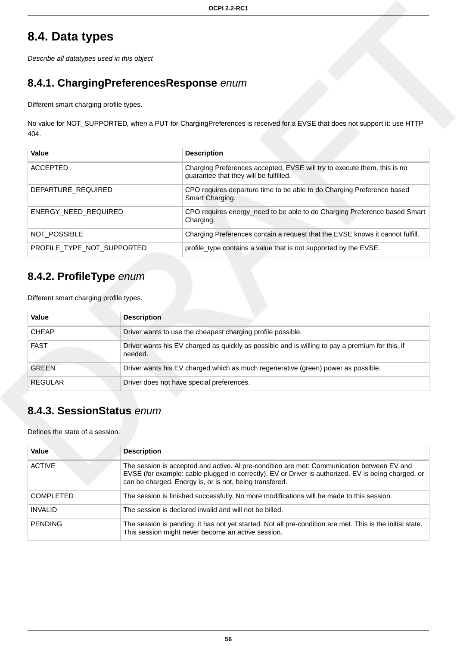# **8.4. Data types**

Describe all datatypes used in this object

## <span id="page-62-1"></span>**8.4.1. ChargingPreferencesResponse** enum

Different smart charging profile types.

No value for NOT\_SUPPORTED, when a PUT for ChargingPreferences is received for a EVSE that does not support it: use HTTP 404.

| Value                      | <b>Description</b>                                                                                                 |
|----------------------------|--------------------------------------------------------------------------------------------------------------------|
| ACCEPTED                   | Charging Preferences accepted, EVSE will try to execute them, this is no<br>guarantee that they will be fulfilled. |
| DEPARTURE REQUIRED         | CPO requires departure time to be able to do Charging Preference based<br>Smart Charging.                          |
| ENERGY NEED REQUIRED       | CPO requires energy_need to be able to do Charging Preference based Smart<br>Charging.                             |
| NOT POSSIBLE               | Charging Preferences contain a request that the EVSE knows it cannot fulfill.                                      |
| PROFILE TYPE NOT SUPPORTED | profile_type contains a value that is not supported by the EVSE.                                                   |

## <span id="page-62-0"></span>**8.4.2. ProfileType** enum

| Different smart charging profile types. |  |  |  |
|-----------------------------------------|--|--|--|
|-----------------------------------------|--|--|--|

| Value        | <b>Description</b>                                                                                         |
|--------------|------------------------------------------------------------------------------------------------------------|
| <b>CHEAP</b> | Driver wants to use the cheapest charging profile possible.                                                |
| <b>FAST</b>  | Driver wants his EV charged as quickly as possible and is willing to pay a premium for this, if<br>needed. |
| <b>GREEN</b> | Driver wants his EV charged which as much regenerative (green) power as possible.                          |
| REGULAR      | Driver does not have special preferences.                                                                  |

## <span id="page-62-2"></span>**8.4.3. SessionStatus** enum

Defines the state of a session.

| <b>Value</b>     | <b>Description</b>                                                                                                                                                                                                                                           |
|------------------|--------------------------------------------------------------------------------------------------------------------------------------------------------------------------------------------------------------------------------------------------------------|
| <b>ACTIVE</b>    | The session is accepted and active. Al pre-condition are met: Communication between EV and<br>EVSE (for example: cable plugged in correctly), EV or Driver is authorized. EV is being charged, or<br>can be charged. Energy is, or is not, being transfered. |
| <b>COMPLETED</b> | The session is finished successfully. No more modifications will be made to this session.                                                                                                                                                                    |
| <b>INVALID</b>   | The session is declared invalid and will not be billed.                                                                                                                                                                                                      |
| <b>PENDING</b>   | The session is pending, it has not yet started. Not all pre-condition are met. This is the initial state.<br>This session might never become an active session.                                                                                              |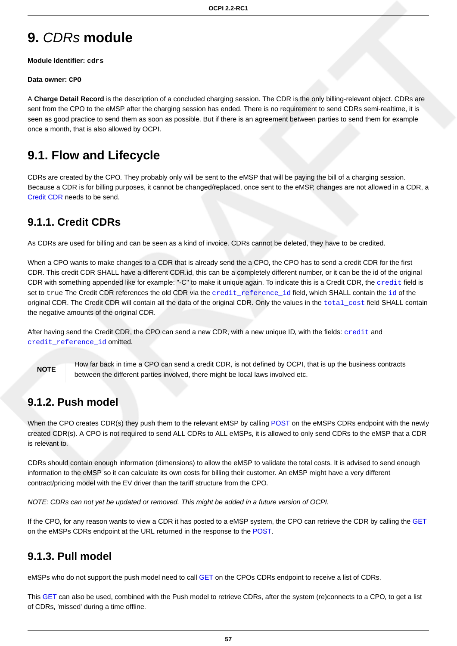# **9.** CDRs **module**

**Module Identifier: cdrs**

#### **Data owner: CPO**

A **Charge Detail Record** is the description of a concluded charging session. The CDR is the only billing-relevant object. CDRs are sent from the CPO to the eMSP after the charging session has ended. There is no requirement to send CDRs semi-realtime, it is seen as good practice to send them as soon as possible. But if there is an agreement between parties to send them for example once a month, that is also allowed by OCPI.

# **9.1. Flow and Lifecycle**

CDRs are created by the CPO. They probably only will be sent to the eMSP that will be paying the bill of a charging session. Because a CDR is for billing purposes, it cannot be changed/replaced, once sent to the eMSP, changes are not allowed in a CDR, a [Credit CDR](#page-63-0) needs to be send.

## <span id="page-63-0"></span>**9.1.1. Credit CDRs**

As CDRs are used for billing and can be seen as a kind of invoice. CDRs cannot be deleted, they have to be credited.

When a CPO wants to make changes to a CDR that is already send the a CPO, the CPO has to send a credit CDR for the first CDR. This credit CDR SHALL have a different CDR.id, this can be a completely different number, or it can be the id of the original CDR with something appended like for example: "-C" to make it unique again. To indicate this is a Credit CDR, the [credit](#page-66-0) field is set to true The Credit CDR references the old CDR via the credit reference [id](#page-66-0) field, which SHALL contain the id of the original CDR. The Credit CDR will contain all the data of the original CDR. Only the values in the [total\\_cost](#page-66-0) field SHALL contain the negative amounts of the original CDR.

After having send the Credit CDR, the CPO can send a new CDR, with a new unique ID, with the fields: [credit](#page-66-0) and credit reference id omitted.

**NOTE**

How far back in time a CPO can send a credit CDR, is not defined by OCPI, that is up the business contracts between the different parties involved, there might be local laws involved etc.

### **9.1.2. Push model**

When the CPO creates CDR(s) they push them to the relevant eMSP by calling [POST](#page-65-0) on the eMSPs CDRs endpoint with the newly created CDR(s). A CPO is not required to send ALL CDRs to ALL eMSPs, it is allowed to only send CDRs to the eMSP that a CDR is relevant to.

CDRs should contain enough information (dimensions) to allow the eMSP to validate the total costs. It is advised to send enough information to the eMSP so it can calculate its own costs for billing their customer. An eMSP might have a very different contract/pricing model with the EV driver than the tariff structure from the CPO.

NOTE: CDRs can not yet be updated or removed. This might be added in a future version of OCPI.

If the CPO, for any reason wants to view a CDR it has posted to a eMSP system, the CPO can retrieve the CDR by calling the [GET](#page-65-1) on the eMSPs CDRs endpoint at the URL returned in the response to the [POST.](#page-65-0)

### **9.1.3. Pull model**

eMSPs who do not support the push model need to call [GET](#page-64-0) on the CPOs CDRs endpoint to receive a list of CDRs.

This [GET](#page-64-0) can also be used, combined with the Push model to retrieve CDRs, after the system (re)connects to a CPO, to get a list of CDRs, 'missed' during a time offline.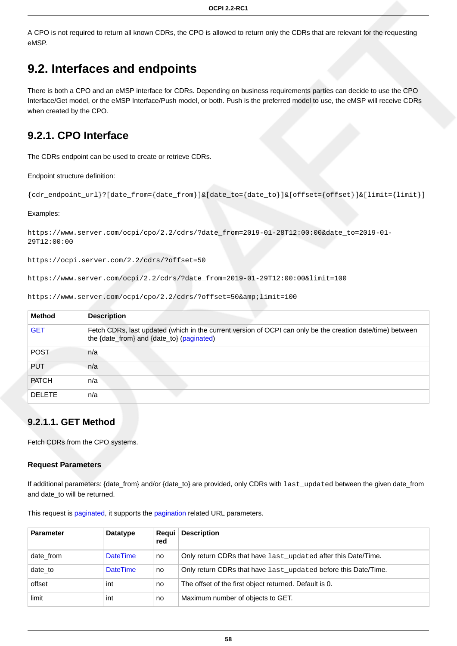A CPO is not required to return all known CDRs, the CPO is allowed to return only the CDRs that are relevant for the requesting eMSP.

# **9.2. Interfaces and endpoints**

There is both a CPO and an eMSP interface for CDRs. Depending on business requirements parties can decide to use the CPO Interface/Get model, or the eMSP Interface/Push model, or both. Push is the preferred model to use, the eMSP will receive CDRs when created by the CPO.

## **9.2.1. CPO Interface**

The CDRs endpoint can be used to create or retrieve CDRs.

#### Endpoint structure definition:

```
{cdr_endpoint_url}?[date_from={date_from}]&[date_to={date_to}]&[offset={offset}]&[limit={limit}]
```
#### Examples:

```
https://www.server.com/ocpi/cpo/2.2/cdrs/?date_from=2019-01-28T12:00:00&date_to=2019-01-
29T12:00:00
```
https://ocpi.server.com/2.2/cdrs/?offset=50

https://www.server.com/ocpi/2.2/cdrs/?date\_from=2019-01-29T12:00:00&limit=100

| <b>Method</b> | <b>Description</b>                                                                                                                                      |
|---------------|---------------------------------------------------------------------------------------------------------------------------------------------------------|
| <b>GET</b>    | Fetch CDRs, last updated (which in the current version of OCPI can only be the creation date/time) between<br>the {date_from} and {date_to} (paginated) |
| <b>POST</b>   | n/a                                                                                                                                                     |
| <b>PUT</b>    | n/a                                                                                                                                                     |
| <b>PATCH</b>  | n/a                                                                                                                                                     |
| <b>DELETE</b> | n/a                                                                                                                                                     |

https://www.server.com/ocpi/cpo/2.2/cdrs/?offset=50&limit=100

### <span id="page-64-0"></span>**9.2.1.1. GET Method**

Fetch CDRs from the CPO systems.

#### **Request Parameters**

If additional parameters: {date\_from} and/or {date\_to} are provided, only CDRs with last\_updated between the given date\_from and date\_to will be returned.

This request is [paginated,](#page-14-0) it supports the [pagination](#page-14-1) related URL parameters.

| <b>Parameter</b> | Datatype        | Requi<br>red | <b>Description</b>                                             |
|------------------|-----------------|--------------|----------------------------------------------------------------|
| date from        | <b>DateTime</b> | no           | Only return CDRs that have last updated after this Date/Time.  |
| date_to          | <b>DateTime</b> | no           | Only return CDRs that have last_updated before this Date/Time. |
| offset           | int             | no           | The offset of the first object returned. Default is 0.         |
| limit            | int             | no           | Maximum number of objects to GET.                              |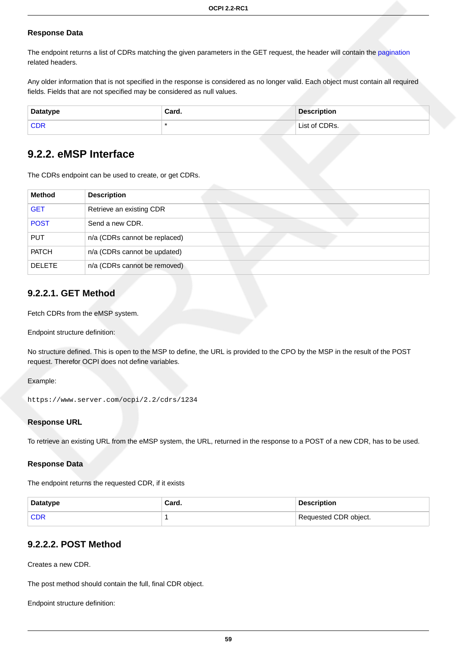#### **Response Data**

The endpoint returns a list of CDRs matching the given parameters in the GET request, the header will contain the [pagination](#page-14-2) related headers.

Any older information that is not specified in the response is considered as no longer valid. Each object must contain all required fields. Fields that are not specified may be considered as null values.

| <b>Datatype</b> | Card. | <b>Description</b> |
|-----------------|-------|--------------------|
| <b>CDF</b>      |       | List of CDRs.      |

### **9.2.2. eMSP Interface**

The CDRs endpoint can be used to create, or get CDRs.

| Method        | <b>Description</b>            |
|---------------|-------------------------------|
| <b>GET</b>    | Retrieve an existing CDR      |
| <b>POST</b>   | Send a new CDR.               |
| <b>PUT</b>    | n/a (CDRs cannot be replaced) |
| <b>PATCH</b>  | n/a (CDRs cannot be updated)  |
| <b>DELETE</b> | n/a (CDRs cannot be removed)  |

### <span id="page-65-1"></span>**9.2.2.1. GET Method**

Fetch CDRs from the eMSP system.

Endpoint structure definition:

No structure defined. This is open to the MSP to define, the URL is provided to the CPO by the MSP in the result of the POST request. Therefor OCPI does not define variables.

Example:

```
https://www.server.com/ocpi/2.2/cdrs/1234
```
#### **Response URL**

To retrieve an existing URL from the eMSP system, the URL, returned in the response to a POST of a new CDR, has to be used.

#### **Response Data**

The endpoint returns the requested CDR, if it exists

| Datatype   | Card. | <b>Description</b>    |
|------------|-------|-----------------------|
| <b>CDF</b> |       | Requested CDR object. |

### <span id="page-65-0"></span>**9.2.2.2. POST Method**

Creates a new CDR.

The post method should contain the full, final CDR object.

Endpoint structure definition: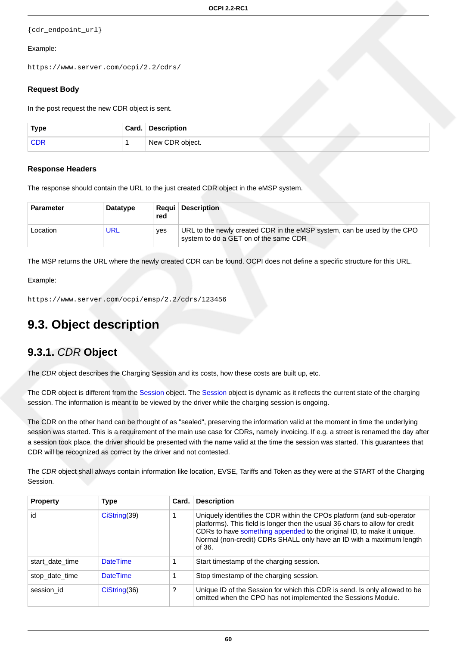```
{cdr_endpoint_url}
```
#### Example:

https://www.server.com/ocpi/2.2/cdrs/

#### **Request Body**

In the post request the new CDR object is sent.

| <b>Type</b> | Card. | <b>Description</b> |  |
|-------------|-------|--------------------|--|
|             |       | New CDR object.    |  |

#### **Response Headers**

The response should contain the URL to the just created CDR object in the eMSP system.

| <b>Parameter</b> | Datatype | red | <b>Requi</b> Description                                                                                         |
|------------------|----------|-----|------------------------------------------------------------------------------------------------------------------|
| Location         | URL      | ves | URL to the newly created CDR in the eMSP system, can be used by the CPO<br>system to do a GET on of the same CDR |

The MSP returns the URL where the newly created CDR can be found. OCPI does not define a specific structure for this URL.

Example:

```
https://www.server.com/ocpi/emsp/2.2/cdrs/123456
```
# **9.3. Object description**

### <span id="page-66-0"></span>**9.3.1.** CDR **Object**

The CDR object describes the Charging Session and its costs, how these costs are built up, etc.

The CDR object is different from the [Session](#page-60-0) object. The [Session](#page-60-0) object is dynamic as it reflects the current state of the charging session. The information is meant to be viewed by the driver while the charging session is ongoing.

The CDR on the other hand can be thought of as "sealed", preserving the information valid at the moment in time the underlying session was started. This is a requirement of the main use case for CDRs, namely invoicing. If e.g. a street is renamed the day after a session took place, the driver should be presented with the name valid at the time the session was started. This guarantees that CDR will be recognized as correct by the driver and not contested.

The CDR object shall always contain information like location, EVSE, Tariffs and Token as they were at the START of the Charging Session.

| <b>Property</b> | <b>Type</b>     | Card. | <b>Description</b>                                                                                                                                                                                                                                                                                                 |
|-----------------|-----------------|-------|--------------------------------------------------------------------------------------------------------------------------------------------------------------------------------------------------------------------------------------------------------------------------------------------------------------------|
| id              | Cisstring(39)   |       | Uniquely identifies the CDR within the CPOs platform (and sub-operator<br>platforms). This field is longer then the usual 36 chars to allow for credit<br>CDRs to have something appended to the original ID, to make it unique.<br>Normal (non-credit) CDRs SHALL only have an ID with a maximum length<br>of 36. |
| start date time | <b>DateTime</b> |       | Start timestamp of the charging session.                                                                                                                                                                                                                                                                           |
| stop_date_time  | <b>DateTime</b> |       | Stop timestamp of the charging session.                                                                                                                                                                                                                                                                            |
| session id      | Cisstring(36)   | ?     | Unique ID of the Session for which this CDR is send. Is only allowed to be<br>omitted when the CPO has not implemented the Sessions Module.                                                                                                                                                                        |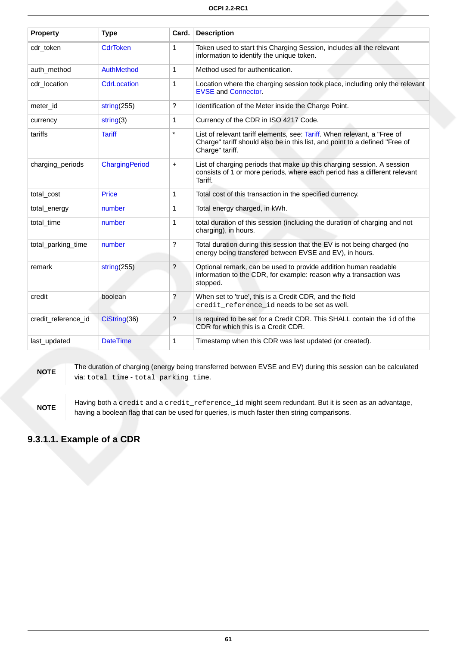| <b>Property</b>     | <b>Type</b>        | Card.                | <b>Description</b>                                                                                                                                                         |
|---------------------|--------------------|----------------------|----------------------------------------------------------------------------------------------------------------------------------------------------------------------------|
| cdr_token           | <b>CdrToken</b>    | $\mathbf{1}$         | Token used to start this Charging Session, includes all the relevant<br>information to identify the unique token.                                                          |
| auth method         | AuthMethod         | 1                    | Method used for authentication.                                                                                                                                            |
| cdr location        | <b>CdrLocation</b> | $\mathbf{1}$         | Location where the charging session took place, including only the relevant<br><b>EVSE and Connector.</b>                                                                  |
| meter_id            | string(255)        | $\ddot{?}$           | Identification of the Meter inside the Charge Point.                                                                                                                       |
| currency            | string(3)          | $\mathbf{1}$         | Currency of the CDR in ISO 4217 Code.                                                                                                                                      |
| tariffs             | <b>Tariff</b>      | $\star$              | List of relevant tariff elements, see: Tariff. When relevant, a "Free of<br>Charge" tariff should also be in this list, and point to a defined "Free of<br>Charge" tariff. |
| charging_periods    | ChargingPeriod     | $\ddot{}$            | List of charging periods that make up this charging session. A session<br>consists of 1 or more periods, where each period has a different relevant<br>Tariff.             |
| total_cost          | Price              | 1                    | Total cost of this transaction in the specified currency.                                                                                                                  |
| total_energy        | number             | 1                    | Total energy charged, in kWh.                                                                                                                                              |
| total time          | number             | $\mathbf 1$          | total duration of this session (including the duration of charging and not<br>charging), in hours.                                                                         |
| total_parking_time  | number             | $\ddot{?}$           | Total duration during this session that the EV is not being charged (no<br>energy being transfered between EVSE and EV), in hours.                                         |
| remark              | string $(255)$     | $\overline{?}$       | Optional remark, can be used to provide addition human readable<br>information to the CDR, for example: reason why a transaction was<br>stopped.                           |
| credit              | boolean            | $\tilde{?}$          | When set to 'true', this is a Credit CDR, and the field<br>credit reference id needs to be set as well.                                                                    |
| credit_reference_id | CiString(36)       | $\ddot{\phantom{0}}$ | Is required to be set for a Credit CDR. This SHALL contain the id of the<br>CDR for which this is a Credit CDR.                                                            |
| last_updated        | <b>DateTime</b>    | 1                    | Timestamp when this CDR was last updated (or created).                                                                                                                     |

#### **NOTE**

The duration of charging (energy being transferred between EVSE and EV) during this session can be calculated via: total\_time - total\_parking\_time.

**NOTE** Having both a credit and a credit\_reference\_id might seem redundant. But it is seen as an advantage, having a boolean flag that can be used for queries, is much faster then string comparisons.

### **9.3.1.1. Example of a CDR**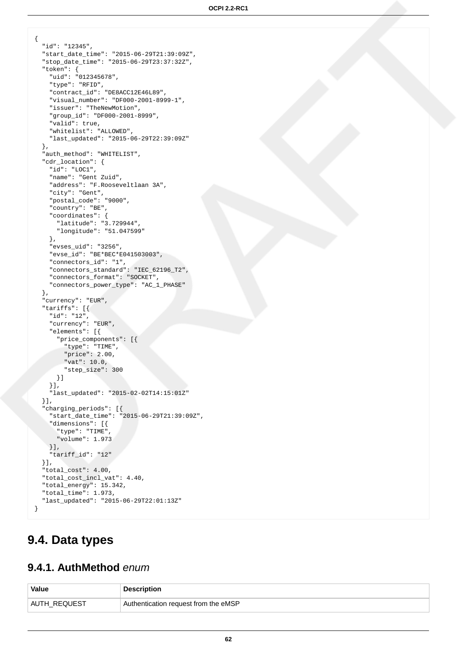```
{
   "id": "12345",
   "start_date_time": "2015-06-29T21:39:09Z",
   "stop_date_time": "2015-06-29T23:37:32Z",
   "token": {
     "uid": "012345678",
     "type": "RFID",
     "contract_id": "DE8ACC12E46L89",
     "visual_number": "DF000-2001-8999-1",
     "issuer": "TheNewMotion",
     "group_id": "DF000-2001-8999",
     "valid": true,
     "whitelist": "ALLOWED",
     "last_updated": "2015-06-29T22:39:09Z"
   },
   "auth_method": "WHITELIST",
   "cdr_location": {
     "id": "LOC1",
     "name": "Gent Zuid",
     "address": "F.Rooseveltlaan 3A",
     "city": "Gent",
     "postal_code": "9000",
     "country": "BE",
     "coordinates": {
       "latitude": "3.729944",
       "longitude": "51.047599"
     },
     "evses_uid": "3256",
     "evse_id": "BE*BEC*E041503003",
     "connectors_id": "1",
     "connectors_standard": "IEC_62196_T2",
     "connectors_format": "SOCKET",
     "connectors_power_type": "AC_1_PHASE"
   },
   "currency": "EUR",
   "tariffs": [{
     "id": "12",
     "currency": "EUR",
     "elements": [{
       "price_components": [{
         "type": "TIME",
         "price": 2.00,
        "vat": 10.0,
         "step_size": 300
       }]
     }],
     "last_updated": "2015-02-02T14:15:01Z"
  \}],
   "charging_periods": [{
     "start_date_time": "2015-06-29T21:39:09Z",
     "dimensions": [{
      "type": "TIME",
       "volume": 1.973
    }],
     "tariff_id": "12"
   }],
   "total_cost": 4.00,
   "total_cost_incl_vat": 4.40,
   "total_energy": 15.342,
   "total_time": 1.973,
   "last_updated": "2015-06-29T22:01:13Z"
}
```
## **9.4. Data types**

### <span id="page-68-0"></span>**9.4.1. AuthMethod** enum

| <b>Value</b> | <b>Description</b>                   |
|--------------|--------------------------------------|
| AUTH REQUEST | Authentication request from the eMSP |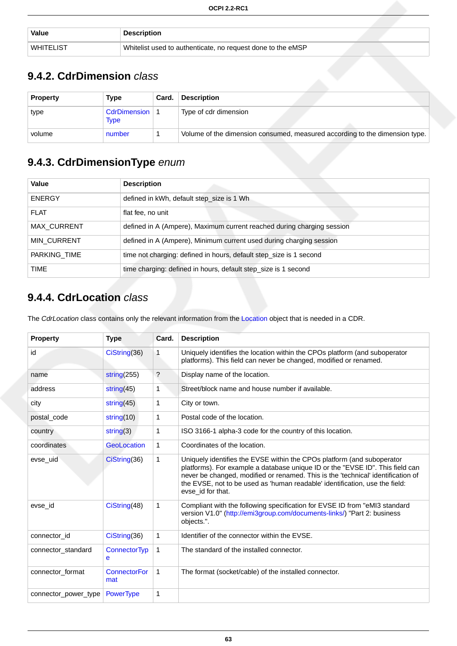| <b>Value</b>     | Description                                                 |  |
|------------------|-------------------------------------------------------------|--|
| <b>WHITELIST</b> | Whitelist used to authenticate, no request done to the eMSP |  |

## <span id="page-69-2"></span>**9.4.2. CdrDimension** class

| <b>Property</b> | Type                     | Card. | <b>Description</b>                                                          |
|-----------------|--------------------------|-------|-----------------------------------------------------------------------------|
| type            | CdrDimension   1<br>Type |       | Type of cdr dimension                                                       |
| volume          | number                   |       | Volume of the dimension consumed, measured according to the dimension type. |

## <span id="page-69-1"></span>**9.4.3. CdrDimensionType** enum

| Value              | <b>Description</b>                                                     |
|--------------------|------------------------------------------------------------------------|
| <b>ENERGY</b>      | defined in kWh, default step_size is 1 Wh                              |
| <b>FLAT</b>        | flat fee, no unit                                                      |
| MAX_CURRENT        | defined in A (Ampere), Maximum current reached during charging session |
| <b>MIN CURRENT</b> | defined in A (Ampere), Minimum current used during charging session    |
| PARKING TIME       | time not charging: defined in hours, default step_size is 1 second     |
| TIME               | time charging: defined in hours, default step_size is 1 second         |

## <span id="page-69-0"></span>**9.4.4. CdrLocation** class

The Cdr[Location](#page-43-0) class contains only the relevant information from the Location object that is needed in a CDR.

| <b>Property</b>      | <b>Type</b>                | Card.                | <b>Description</b>                                                                                                                                                                                                                                                                                                                              |
|----------------------|----------------------------|----------------------|-------------------------------------------------------------------------------------------------------------------------------------------------------------------------------------------------------------------------------------------------------------------------------------------------------------------------------------------------|
| id                   | CiString(36)               | 1                    | Uniquely identifies the location within the CPOs platform (and suboperator<br>platforms). This field can never be changed, modified or renamed.                                                                                                                                                                                                 |
| name                 | string $(255)$             | $\ddot{\phantom{0}}$ | Display name of the location.                                                                                                                                                                                                                                                                                                                   |
| address              | string $(45)$              | 1                    | Street/block name and house number if available.                                                                                                                                                                                                                                                                                                |
| city                 | string $(45)$              | 1                    | City or town.                                                                                                                                                                                                                                                                                                                                   |
| postal_code          | string $(10)$              | 1                    | Postal code of the location.                                                                                                                                                                                                                                                                                                                    |
| country              | string(3)                  | 1                    | ISO 3166-1 alpha-3 code for the country of this location.                                                                                                                                                                                                                                                                                       |
| coordinates          | <b>GeoLocation</b>         | 1                    | Coordinates of the location.                                                                                                                                                                                                                                                                                                                    |
| evse_uid             | CiString(36)               | 1                    | Uniquely identifies the EVSE within the CPOs platform (and suboperator<br>platforms). For example a database unique ID or the "EVSE ID". This field can<br>never be changed, modified or renamed. This is the 'technical' identification of<br>the EVSE, not to be used as 'human readable' identification, use the field:<br>evse id for that. |
| evse_id              | CiString(48)               | $\mathbf{1}$         | Compliant with the following specification for EVSE ID from "eMI3 standard<br>version V1.0" (http://emi3group.com/documents-links/) "Part 2: business<br>objects.".                                                                                                                                                                             |
| connector_id         | Cisstring(36)              | 1                    | Identifier of the connector within the EVSE.                                                                                                                                                                                                                                                                                                    |
| connector standard   | <b>ConnectorTyp</b><br>e   | 1                    | The standard of the installed connector.                                                                                                                                                                                                                                                                                                        |
| connector_format     | <b>ConnectorFor</b><br>mat | $\mathbf{1}$         | The format (socket/cable) of the installed connector.                                                                                                                                                                                                                                                                                           |
| connector_power_type | <b>PowerType</b>           | 1                    |                                                                                                                                                                                                                                                                                                                                                 |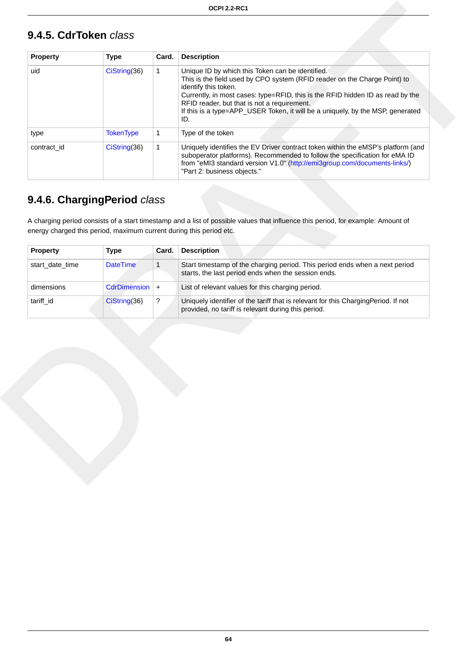# <span id="page-70-0"></span>**9.4.5. CdrToken** class

| <b>Property</b> | <b>Type</b>      | Card. | <b>Description</b>                                                                                                                                                                                                                                                                                                                                                              |
|-----------------|------------------|-------|---------------------------------------------------------------------------------------------------------------------------------------------------------------------------------------------------------------------------------------------------------------------------------------------------------------------------------------------------------------------------------|
| uid             | Cisstring(36)    | 1     | Unique ID by which this Token can be identified.<br>This is the field used by CPO system (RFID reader on the Charge Point) to<br>identify this token.<br>Currently, in most cases: type=RFID, this is the RFID hidden ID as read by the<br>RFID reader, but that is not a requirement.<br>If this is a type=APP_USER Token, it will be a uniquely, by the MSP, generated<br>ID. |
| type            | <b>TokenType</b> | 1     | Type of the token                                                                                                                                                                                                                                                                                                                                                               |
| contract id     | Cis string(36)   | 1     | Uniquely identifies the EV Driver contract token within the eMSP's platform (and<br>suboperator platforms). Recommended to follow the specification for eMA ID<br>from "eMI3 standard version V1.0" (http://emi3group.com/documents-links/)<br>"Part 2: business objects."                                                                                                      |

# <span id="page-70-1"></span>**9.4.6. ChargingPeriod** class

A charging period consists of a start timestamp and a list of possible values that influence this period, for example: Amount of energy charged this period, maximum current during this period etc.

| <b>Property</b> | Type              | Card. | <b>Description</b>                                                                                                                        |
|-----------------|-------------------|-------|-------------------------------------------------------------------------------------------------------------------------------------------|
| start date time | <b>DateTime</b>   |       | Start timestamp of the charging period. This period ends when a next period<br>starts, the last period ends when the session ends.        |
| dimensions      | CdrDimension $ +$ |       | List of relevant values for this charging period.                                                                                         |
| tariff id       | CisString(36)     | ?     | Uniquely identifier of the tariff that is relevant for this ChargingPeriod. If not<br>provided, no tariff is relevant during this period. |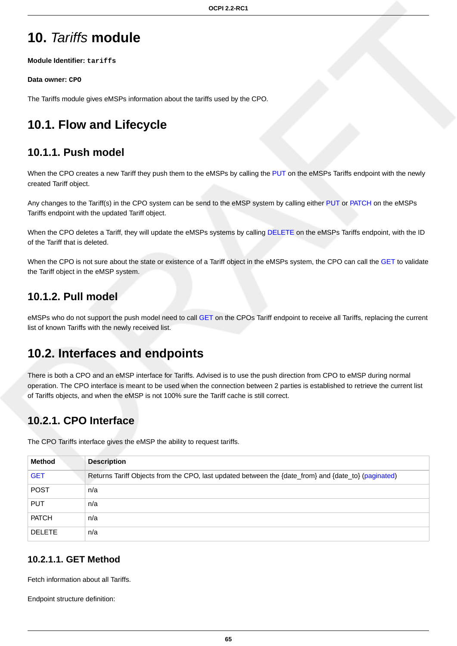# <span id="page-71-0"></span>**10.** Tariffs **module**

**Module Identifier: tariffs**

#### **Data owner: CPO**

The Tariffs module gives eMSPs information about the tariffs used by the CPO.

# **10.1. Flow and Lifecycle**

### **10.1.1. Push model**

When the CPO creates a new Tariff they push them to the eMSPs by calling the [PUT](#page-73-0) on the eMSPs Tariffs endpoint with the newly created Tariff object.

Any changes to the Tariff(s) in the CPO system can be send to the eMSP system by calling either [PUT](#page-73-0) or [PATCH](#page-74-1) on the eMSPs Tariffs endpoint with the updated Tariff object.

When the CPO deletes a Tariff, they will update the eMSPs systems by calling [DELETE](#page-74-2) on the eMSPs Tariffs endpoint, with the ID of the Tariff that is deleted.

When the CPO is not sure about the state or existence of a Tariff object in the eMSPs system, the CPO can call the [GET](#page-73-1) to validate the Tariff object in the eMSP system.

### **10.1.2. Pull model**

eMSPs who do not support the push model need to call [GET](#page-71-1) on the CPOs Tariff endpoint to receive all Tariffs, replacing the current list of known Tariffs with the newly received list.

## **10.2. Interfaces and endpoints**

There is both a CPO and an eMSP interface for Tariffs. Advised is to use the push direction from CPO to eMSP during normal operation. The CPO interface is meant to be used when the connection between 2 parties is established to retrieve the current list of Tariffs objects, and when the eMSP is not 100% sure the Tariff cache is still correct.

## **10.2.1. CPO Interface**

The CPO Tariffs interface gives the eMSP the ability to request tariffs.

| <b>Method</b> | <b>Description</b>                                                                                  |
|---------------|-----------------------------------------------------------------------------------------------------|
| <b>GET</b>    | Returns Tariff Objects from the CPO, last updated between the {date_from} and {date_to} (paginated) |
| <b>POST</b>   | n/a                                                                                                 |
| <b>PUT</b>    | n/a                                                                                                 |
| <b>PATCH</b>  | n/a                                                                                                 |
| <b>DELETE</b> | n/a                                                                                                 |

### <span id="page-71-1"></span>**10.2.1.1. GET Method**

Fetch information about all Tariffs.

Endpoint structure definition: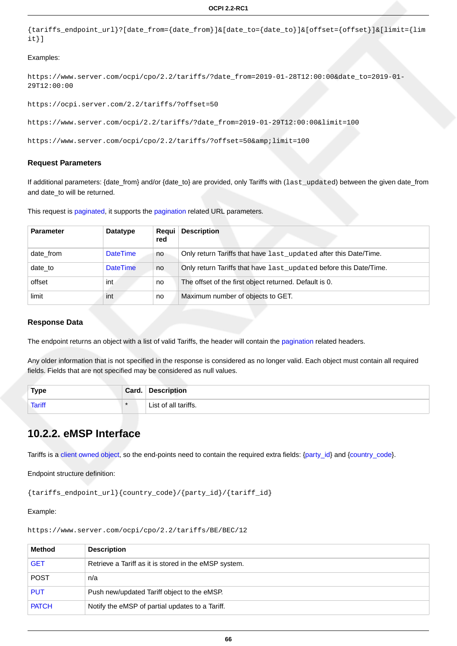```
{tariffs_endpoint_url}?[date_from={date_from}]&[date_to={date_to}]&[offset={offset}]&[limit={lim
it}]
```
#### Examples:

```
https://www.server.com/ocpi/cpo/2.2/tariffs/?date_from=2019-01-28T12:00:00&date_to=2019-01-
29T12:00:00
```

```
https://ocpi.server.com/2.2/tariffs/?offset=50
```

```
https://www.server.com/ocpi/2.2/tariffs/?date_from=2019-01-29T12:00:00&limit=100
```

```
https://www.server.com/ocpi/cpo/2.2/tariffs/?offset=50&limit=100
```
#### **Request Parameters**

If additional parameters: {date\_from} and/or {date\_to} are provided, only Tariffs with (last\_updated) between the given date\_from and date to will be returned.

This request is [paginated,](#page-14-0) it supports the [pagination](#page-14-1) related URL parameters.

| <b>Parameter</b> | <b>Datatype</b> | Regui<br>red | <b>Description</b>                                                |
|------------------|-----------------|--------------|-------------------------------------------------------------------|
| date from        | <b>DateTime</b> | no           | Only return Tariffs that have last_updated after this Date/Time.  |
| date to          | <b>DateTime</b> | no           | Only return Tariffs that have last_updated before this Date/Time. |
| offset           | int             | no           | The offset of the first object returned. Default is 0.            |
| limit            | int             | no           | Maximum number of objects to GET.                                 |

#### **Response Data**

The endpoint returns an object with a list of valid Tariffs, the header will contain the [pagination](#page-14-2) related headers.

Any older information that is not specified in the response is considered as no longer valid. Each object must contain all required fields. Fields that are not specified may be considered as null values.

| <b>Type</b>   | Card.  | <b>Description</b>   |
|---------------|--------|----------------------|
| <b>Tariff</b> | $\ast$ | List of all tariffs. |

## **10.2.2. eMSP Interface**

Tariffs is a [client owned object](#page-16-0), so the end-points need to contain the required extra fields: {[party\\_id](#page-35-0)} and [{country\\_code](#page-35-0)}.

Endpoint structure definition:

{tariffs\_endpoint\_url}{country\_code}/{party\_id}/{tariff\_id}

Example:

https://www.server.com/ocpi/cpo/2.2/tariffs/BE/BEC/12

| Method       | <b>Description</b>                                    |
|--------------|-------------------------------------------------------|
| <b>GET</b>   | Retrieve a Tariff as it is stored in the eMSP system. |
| <b>POST</b>  | n/a                                                   |
| <b>PUT</b>   | Push new/updated Tariff object to the eMSP.           |
| <b>PATCH</b> | Notify the eMSP of partial updates to a Tariff.       |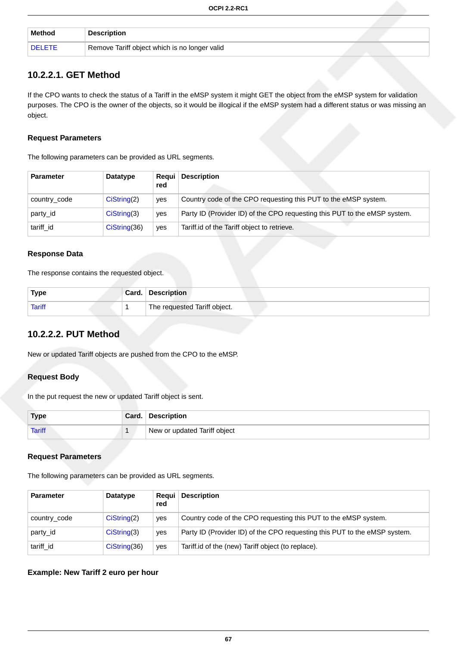| Method        | <b>Description</b>                            |
|---------------|-----------------------------------------------|
| <b>DELETE</b> | Remove Tariff object which is no longer valid |

## <span id="page-73-0"></span>**10.2.2.1. GET Method**

If the CPO wants to check the status of a Tariff in the eMSP system it might GET the object from the eMSP system for validation purposes. The CPO is the owner of the objects, so it would be illogical if the eMSP system had a different status or was missing an object.

#### **Request Parameters**

The following parameters can be provided as URL segments.

| <b>Parameter</b> | Datatype      | Reaui<br>red | <b>Description</b>                                                        |
|------------------|---------------|--------------|---------------------------------------------------------------------------|
| country_code     | Cisstring(2)  | ves          | Country code of the CPO requesting this PUT to the eMSP system.           |
| party id         | Cisstring(3)  | ves          | Party ID (Provider ID) of the CPO requesting this PUT to the eMSP system. |
| tariff id        | Cisstring(36) | yes          | Tariff.id of the Tariff object to retrieve.                               |

#### **Response Data**

The response contains the requested object.

| <b>Type</b>   | Card. | <b>Description</b>           |
|---------------|-------|------------------------------|
| <b>Tariff</b> |       | The requested Tariff object. |

### <span id="page-73-1"></span>**10.2.2.2. PUT Method**

New or updated Tariff objects are pushed from the CPO to the eMSP.

#### **Request Body**

In the put request the new or updated Tariff object is sent.

| <b>Type</b>   | Card. | <b>Description</b>           |
|---------------|-------|------------------------------|
| <b>Tariff</b> |       | New or updated Tariff object |

#### **Request Parameters**

The following parameters can be provided as URL segments.

| <b>Parameter</b> | Datatype      | Reaui I<br>red | <b>Description</b>                                                        |
|------------------|---------------|----------------|---------------------------------------------------------------------------|
| country_code     | Cisstring(2)  | ves            | Country code of the CPO requesting this PUT to the eMSP system.           |
| party id         | Cisstring(3)  | yes            | Party ID (Provider ID) of the CPO requesting this PUT to the eMSP system. |
| tariff id        | CisString(36) | yes            | Tariff.id of the (new) Tariff object (to replace).                        |

#### **Example: New Tariff 2 euro per hour**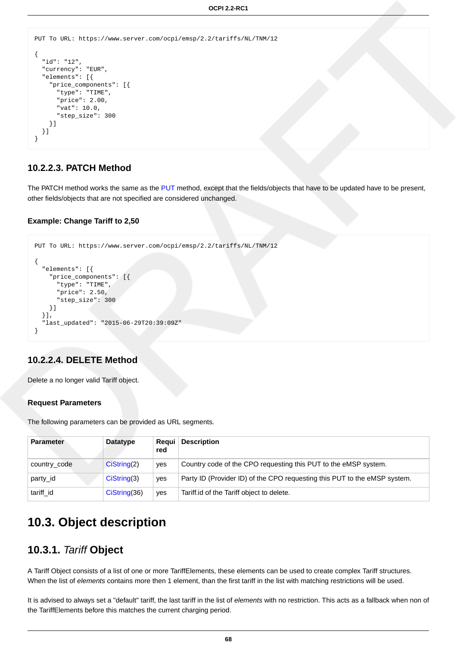```
PUT To URL: https://www.server.com/ocpi/emsp/2.2/tariffs/NL/TNM/12
{
   "id": "12",
   "currency": "EUR",
   "elements": [{
     "price_components": [{
       "type": "TIME",
       "price": 2.00,
       "vat": 10.0,
       "step_size": 300
     }]
   }]
}
```
### <span id="page-74-1"></span>**10.2.2.3. PATCH Method**

The PATCH method works the same as the [PUT](#page-73-1) method, except that the fields/objects that have to be updated have to be present, other fields/objects that are not specified are considered unchanged.

#### **Example: Change Tariff to 2,50**

```
PUT To URL: https://www.server.com/ocpi/emsp/2.2/tariffs/NL/TNM/12
{
   "elements": [{
     "price_components": [{
       "type": "TIME",
       "price": 2.50,
       "step_size": 300
     }]
   }],
    "last_updated": "2015-06-29T20:39:09Z"
}
```
#### <span id="page-74-2"></span>**10.2.2.4. DELETE Method**

Delete a no longer valid Tariff object.

#### **Request Parameters**

The following parameters can be provided as URL segments.

| <b>Parameter</b> | <b>Datatype</b> | Reaui<br>red | <b>Description</b>                                                        |
|------------------|-----------------|--------------|---------------------------------------------------------------------------|
| country_code     | Cisstring(2)    | yes          | Country code of the CPO requesting this PUT to the eMSP system.           |
| party_id         | CisString(3)    | yes          | Party ID (Provider ID) of the CPO requesting this PUT to the eMSP system. |
| tariff_id        | CisString(36)   | ves          | Tariff.id of the Tariff object to delete.                                 |

# **10.3. Object description**

## <span id="page-74-0"></span>**10.3.1.** Tariff **Object**

A Tariff Object consists of a list of one or more TariffElements, these elements can be used to create complex Tariff structures. When the list of elements contains more then 1 element, than the first tariff in the list with matching restrictions will be used.

It is advised to always set a "default" tariff, the last tariff in the list of elements with no restriction. This acts as a fallback when non of the TariffElements before this matches the current charging period.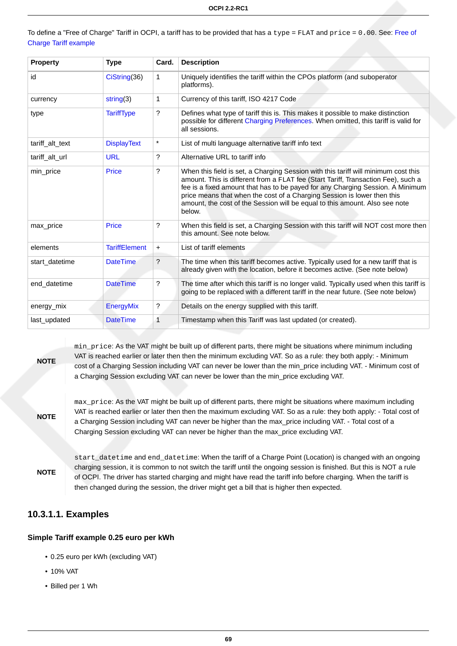|                       | To define a "Free of Charge" Tariff in OCPI, a tariff has to be provided that has a type = FLAT and price = 0.00. See: Free of |  |
|-----------------------|--------------------------------------------------------------------------------------------------------------------------------|--|
| Charge Tariff example |                                                                                                                                |  |

| <b>Property</b> | <b>Type</b>          | Card.     | <b>Description</b>                                                                                                                                                                                                                                                                                                                                                                                                            |
|-----------------|----------------------|-----------|-------------------------------------------------------------------------------------------------------------------------------------------------------------------------------------------------------------------------------------------------------------------------------------------------------------------------------------------------------------------------------------------------------------------------------|
| id              | CiString(36)         | 1         | Uniquely identifies the tariff within the CPOs platform (and suboperator<br>platforms).                                                                                                                                                                                                                                                                                                                                       |
| currency        | string(3)            | 1         | Currency of this tariff, ISO 4217 Code                                                                                                                                                                                                                                                                                                                                                                                        |
| type            | <b>TariffType</b>    | ?         | Defines what type of tariff this is. This makes it possible to make distinction<br>possible for different Charging Preferences. When omitted, this tariff is valid for<br>all sessions.                                                                                                                                                                                                                                       |
| tariff_alt_text | <b>DisplayText</b>   | $\star$   | List of multi language alternative tariff info text                                                                                                                                                                                                                                                                                                                                                                           |
| tariff alt url  | <b>URL</b>           | ?         | Alternative URL to tariff info                                                                                                                                                                                                                                                                                                                                                                                                |
| min_price       | Price                | ?         | When this field is set, a Charging Session with this tariff will minimum cost this<br>amount. This is different from a FLAT fee (Start Tariff, Transaction Fee), such a<br>fee is a fixed amount that has to be payed for any Charging Session. A Minimum<br>price means that when the cost of a Charging Session is lower then this<br>amount, the cost of the Session will be equal to this amount. Also see note<br>below. |
| max price       | <b>Price</b>         | ?         | When this field is set, a Charging Session with this tariff will NOT cost more then<br>this amount. See note below.                                                                                                                                                                                                                                                                                                           |
| elements        | <b>TariffElement</b> | $\ddot{}$ | List of tariff elements                                                                                                                                                                                                                                                                                                                                                                                                       |
| start_datetime  | <b>DateTime</b>      | ?         | The time when this tariff becomes active. Typically used for a new tariff that is<br>already given with the location, before it becomes active. (See note below)                                                                                                                                                                                                                                                              |
| end datetime    | <b>DateTime</b>      | ?         | The time after which this tariff is no longer valid. Typically used when this tariff is<br>going to be replaced with a different tariff in the near future. (See note below)                                                                                                                                                                                                                                                  |
| energy_mix      | EnergyMix            | ?         | Details on the energy supplied with this tariff.                                                                                                                                                                                                                                                                                                                                                                              |
| last_updated    | <b>DateTime</b>      | 1         | Timestamp when this Tariff was last updated (or created).                                                                                                                                                                                                                                                                                                                                                                     |

## **NOTE**

min\_price: As the VAT might be built up of different parts, there might be situations where minimum including VAT is reached earlier or later then then the minimum excluding VAT. So as a rule: they both apply: - Minimum cost of a Charging Session including VAT can never be lower than the min\_price including VAT. - Minimum cost of a Charging Session excluding VAT can never be lower than the min\_price excluding VAT.

**NOTE**

max\_price: As the VAT might be built up of different parts, there might be situations where maximum including VAT is reached earlier or later then then the maximum excluding VAT. So as a rule: they both apply: - Total cost of a Charging Session including VAT can never be higher than the max\_price including VAT. - Total cost of a Charging Session excluding VAT can never be higher than the max\_price excluding VAT.

**NOTE** start\_datetime and end\_datetime: When the tariff of a Charge Point (Location) is changed with an ongoing charging session, it is common to not switch the tariff until the ongoing session is finished. But this is NOT a rule of OCPI. The driver has started charging and might have read the tariff info before charging. When the tariff is then changed during the session, the driver might get a bill that is higher then expected.

### **10.3.1.1. Examples**

#### **Simple Tariff example 0.25 euro per kWh**

- 0.25 euro per kWh (excluding VAT)
- 10% VAT
- Billed per 1 Wh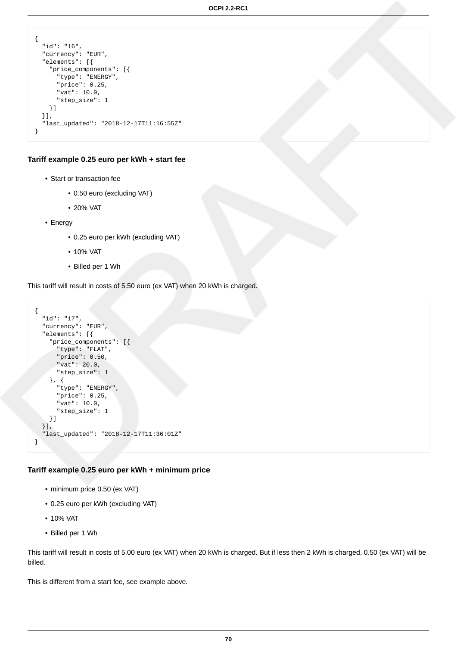```
\{ "id": "16",
  "currency": "EUR",
   "elements": [{
    "price_components": [{
 "type": "ENERGY",
 "price": 0.25,
      "vat": 10.0,
      "step_size": 1
    }]
   }],
   "last_updated": "2018-12-17T11:16:55Z"
}
```
#### **Tariff example 0.25 euro per kWh + start fee**

- Start or transaction fee
	- 0.50 euro (excluding VAT)
	- 20% VAT
- Energy
	- 0.25 euro per kWh (excluding VAT)
	- 10% VAT
	- Billed per 1 Wh

This tariff will result in costs of 5.50 euro (ex VAT) when 20 kWh is charged.

```
{
   "id": "17",
   "currency": "EUR",
   "elements": [{
     "price_components": [{
       "type": "FLAT",
       "price": 0.50,
       "vat": 20.0,
       "step_size": 1
     }, {
       "type": "ENERGY",
       "price": 0.25,
       "vat": 10.0,
       "step_size": 1
     }]
   }],
   "last_updated": "2018-12-17T11:36:01Z"
}
```
#### **Tariff example 0.25 euro per kWh + minimum price**

- minimum price 0.50 (ex VAT)
- 0.25 euro per kWh (excluding VAT)
- 10% VAT
- Billed per 1 Wh

This tariff will result in costs of 5.00 euro (ex VAT) when 20 kWh is charged. But if less then 2 kWh is charged, 0.50 (ex VAT) will be billed.

This is different from a start fee, see example above.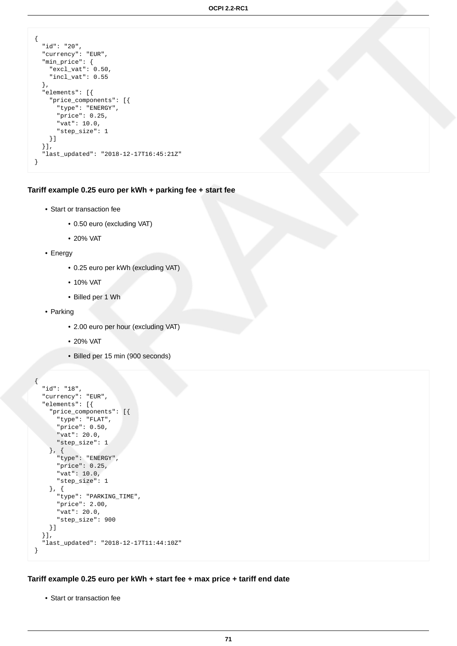```
\{ "id": "20",
  "currency": "EUR",
  "min_price": {
    "excl_vat": 0.50,
     "incl_vat": 0.55
  },
   "elements": [{
     "price_components": [{
 "type": "ENERGY",
 "price": 0.25,
       "vat": 10.0,
      "step_size": 1
    }]
 \}],
   "last_updated": "2018-12-17T16:45:21Z"
}
```
**Tariff example 0.25 euro per kWh + parking fee + start fee**

- Start or transaction fee
	- 0.50 euro (excluding VAT)
	- 20% VAT
- Energy
	- 0.25 euro per kWh (excluding VAT)
	- 10% VAT
	- Billed per 1 Wh
- Parking
	- 2.00 euro per hour (excluding VAT)
	- 20% VAT
	- Billed per 15 min (900 seconds)

```
{
   "id": "18",
   "currency": "EUR",
   "elements": [{
     "price_components": [{
       "type": "FLAT",
       "price": 0.50,
       "vat": 20.0,
       "step_size": 1
     }, {
       "type": "ENERGY",
       "price": 0.25,
       "vat": 10.0,
       "step_size": 1
     }, {
       "type": "PARKING_TIME",
       "price": 2.00,
       "vat": 20.0,
       "step_size": 900
     }]
   }],
   "last_updated": "2018-12-17T11:44:10Z"
}
```
**Tariff example 0.25 euro per kWh + start fee + max price + tariff end date**

• Start or transaction fee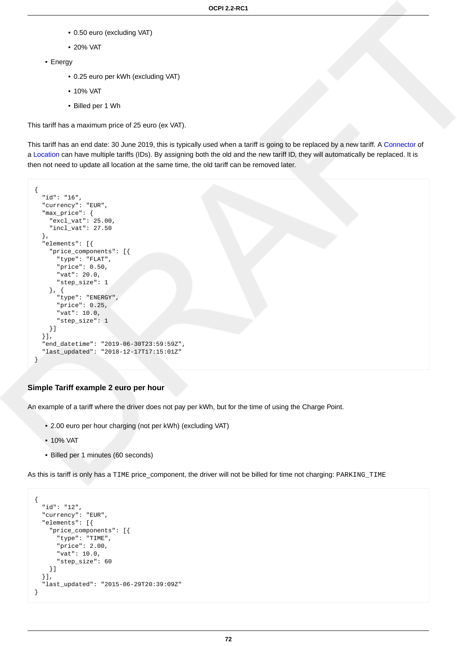- 0.50 euro (excluding VAT)
- 20% VAT
- Energy
	- 0.25 euro per kWh (excluding VAT)
	- 10% VAT
	- Billed per 1 Wh

This tariff has a maximum price of 25 euro (ex VAT).

This tariff has an end date: 30 June 2019, this is typically used when a tariff is going to be replaced by a new tariff. A [Connector](#page-46-0) of a [Location](#page-43-0) can have multiple tariffs (IDs). By assigning both the old and the new tariff ID, they will automatically be replaced. It is then not need to update all location at the same time, the old tariff can be removed later.

```
{
  "id": "16",
   "currency": "EUR",
   "max_price": {
     "excl_vat": 25.00,
     "incl_vat": 27.50
   },
   "elements": [{
     "price_components": [{
       "type": "FLAT",
       "price": 0.50,
       "vat": 20.0,
       "step_size": 1
     }, {
       "type": "ENERGY",
       "price": 0.25,
       "vat": 10.0,
       "step_size": 1
     }]
   }],
   "end_datetime": "2019-06-30T23:59:59Z",
   "last_updated": "2018-12-17T17:15:01Z"
}
```
#### **Simple Tariff example 2 euro per hour**

An example of a tariff where the driver does not pay per kWh, but for the time of using the Charge Point.

- 2.00 euro per hour charging (not per kWh) (excluding VAT)
- 10% VAT
- Billed per 1 minutes (60 seconds)

As this is tariff is only has a TIME price\_component, the driver will not be billed for time not charging: PARKING\_TIME

```
{
   "id": "12",
   "currency": "EUR",
   "elements": [{
     "price_components": [{
       "type": "TIME",
       "price": 2.00,
       "vat": 10.0,
       "step_size": 60
     }]
   }],
   "last_updated": "2015-06-29T20:39:09Z"
}
```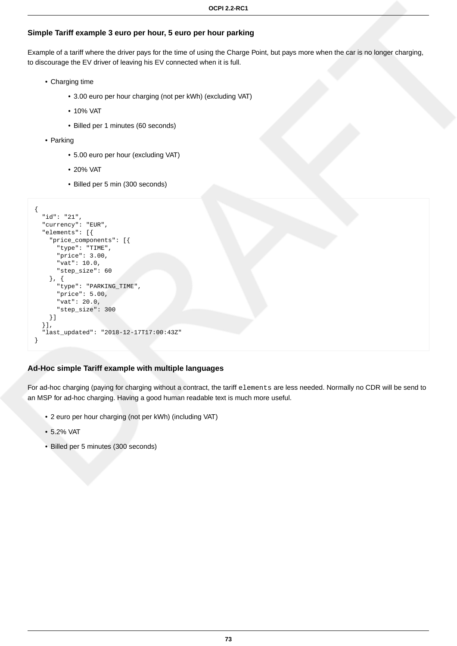### **Simple Tariff example 3 euro per hour, 5 euro per hour parking**

Example of a tariff where the driver pays for the time of using the Charge Point, but pays more when the car is no longer charging, to discourage the EV driver of leaving his EV connected when it is full.

- Charging time
	- 3.00 euro per hour charging (not per kWh) (excluding VAT)
	- 10% VAT
	- Billed per 1 minutes (60 seconds)
- Parking
	- 5.00 euro per hour (excluding VAT)
	- 20% VAT
	- Billed per 5 min (300 seconds)

```
{
   "id": "21",
   "currency": "EUR",
   "elements": [{
     "price_components": [{
       "type": "TIME",
       "price": 3.00,
       "vat": 10.0,
       "step_size": 60
     }, {
       "type": "PARKING_TIME",
       "price": 5.00,
       "vat": 20.0,
       "step_size": 300
     }]
   }],
   "last_updated": "2018-12-17T17:00:43Z"
}
```
### **Ad-Hoc simple Tariff example with multiple languages**

For ad-hoc charging (paying for charging without a contract, the tariff elements are less needed. Normally no CDR will be send to an MSP for ad-hoc charging. Having a good human readable text is much more useful.

- 2 euro per hour charging (not per kWh) (including VAT)
- 5.2% VAT
- Billed per 5 minutes (300 seconds)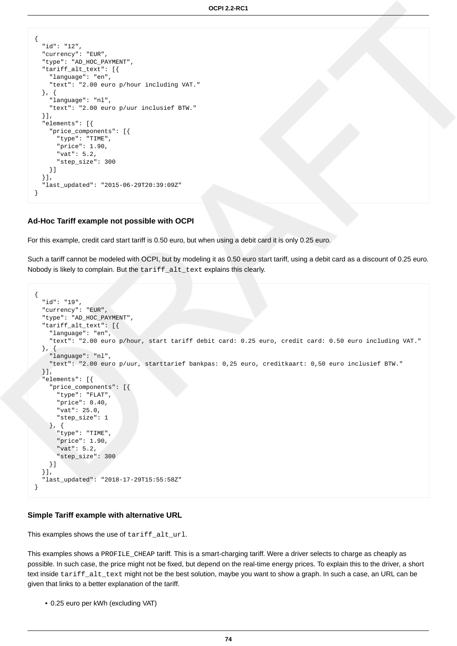```
\{ "id": "12",
  "currency": "EUR",
  "type": "AD_HOC_PAYMENT",
   "tariff_alt_text": [{
     "language": "en",
     "text": "2.00 euro p/hour including VAT."
  }, {
     "language": "nl",
     "text": "2.00 euro p/uur inclusief BTW."
   }],
  .<br>"elements": [{
     "price_components": [{
       "type": "TIME",
       "price": 1.90,
       "vat": 5.2,
       "step_size": 300
     }]
  }],
   "last_updated": "2015-06-29T20:39:09Z"
}
```
#### **Ad-Hoc Tariff example not possible with OCPI**

For this example, credit card start tariff is 0.50 euro, but when using a debit card it is only 0.25 euro.

Such a tariff cannot be modeled with OCPI, but by modeling it as 0.50 euro start tariff, using a debit card as a discount of 0.25 euro. Nobody is likely to complain. But the tariff\_alt\_text explains this clearly.

```
{
  "id": "19",
   "currency": "EUR",
   "type": "AD_HOC_PAYMENT",
   "tariff_alt_text": [{
     "language": "en",
     "text": "2.00 euro p/hour, start tariff debit card: 0.25 euro, credit card: 0.50 euro including VAT."
   }, {
     "language": "nl",
     "text": "2.00 euro p/uur, starttarief bankpas: 0,25 euro, creditkaart: 0,50 euro inclusief BTW."
   }],
   "elements": [{
     "price_components": [{
       "type": "FLAT",
       "price": 0.40,
       "vat": 25.0,
       "step_size": 1
     }, {
       "type": "TIME",
       "price": 1.90,
       "vat": 5.2,
       "step_size": 300
     }]
   }],
   "last_updated": "2018-17-29T15:55:58Z"
}
```
#### **Simple Tariff example with alternative URL**

This examples shows the use of tariff\_alt\_url.

This examples shows a PROFILE\_CHEAP tariff. This is a smart-charging tariff. Were a driver selects to charge as cheaply as possible. In such case, the price might not be fixed, but depend on the real-time energy prices. To explain this to the driver, a short text inside tariff\_alt\_text might not be the best solution, maybe you want to show a graph. In such a case, an URL can be given that links to a better explanation of the tariff.

• 0.25 euro per kWh (excluding VAT)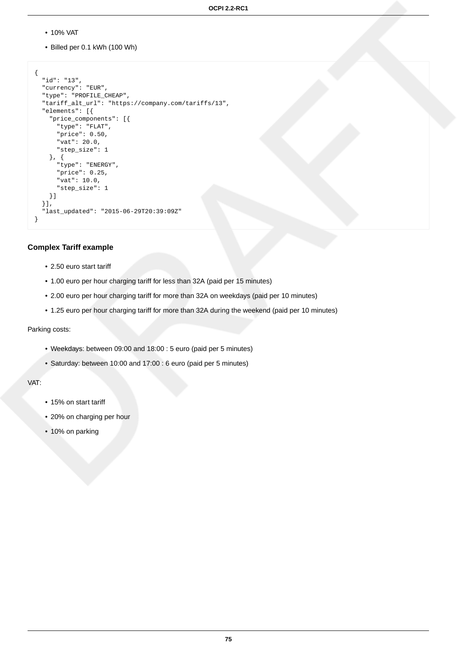- 10% VAT
- Billed per 0.1 kWh (100 Wh)

```
{
   "id": "13",
   "currency": "EUR",
   "type": "PROFILE_CHEAP",
   "tariff_alt_url": "https://company.com/tariffs/13",
   "elements": [{
     "price_components": [{
       "type": "FLAT",
       "price": 0.50,
       "vat": 20.0,
       "step_size": 1
     }, {
       "type": "ENERGY",
       "price": 0.25,
       "vat": 10.0,
       "step_size": 1
     }]
   }],
   "last_updated": "2015-06-29T20:39:09Z"
}
```
#### **Complex Tariff example**

- 2.50 euro start tariff
- 1.00 euro per hour charging tariff for less than 32A (paid per 15 minutes)
- 2.00 euro per hour charging tariff for more than 32A on weekdays (paid per 10 minutes)
- 1.25 euro per hour charging tariff for more than 32A during the weekend (paid per 10 minutes)

#### Parking costs:

- Weekdays: between 09:00 and 18:00 : 5 euro (paid per 5 minutes)
- Saturday: between 10:00 and 17:00 : 6 euro (paid per 5 minutes)

VAT:

- 15% on start tariff
- 20% on charging per hour
- 10% on parking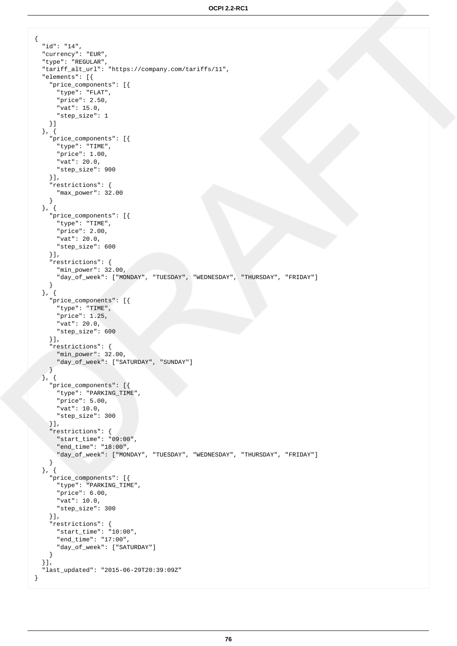```
\{ "id": "14",
   "currency": "EUR",
   "type": "REGULAR",
   "tariff_alt_url": "https://company.com/tariffs/11",
   "elements": [{
     "price_components": [{
       "type": "FLAT",
       "price": 2.50,
       "vat": 15.0,
       "step_size": 1
    }]
   }, {
     "price_components": [{
       "type": "TIME",
       "price": 1.00,
       "vat": 20.0,
      "step_size": 900
     }],
     "restrictions": {
       "max_power": 32.00
     }
  }, {
     "price_components": [{
       "type": "TIME",
       "price": 2.00,
       "vat": 20.0,
      "step_size": 600
     }],
     "restrictions": {
       "min_power": 32.00,
       "day_of_week": ["MONDAY", "TUESDAY", "WEDNESDAY", "THURSDAY", "FRIDAY"]
    }
   }, {
     "price_components": [{
       "type": "TIME",
       "price": 1.25,
       "vat": 20.0,
       "step_size": 600
     }],
     "restrictions": {
       "min_power": 32.00,
       "day_of_week": ["SATURDAY", "SUNDAY"]
    }
   }, {
     "price_components": [{
       "type": "PARKING_TIME",
       "price": 5.00,
       "vat": 10.0,
       "step_size": 300
     }],
     "restrictions": {
       "start_time": "09:00",
       "end_time": "18:00",
       "day_of_week": ["MONDAY", "TUESDAY", "WEDNESDAY", "THURSDAY", "FRIDAY"]
     }
   }, {
     "price_components": [{
       "type": "PARKING_TIME",
       "price": 6.00,
       "vat": 10.0,
       "step_size": 300
     }],
     "restrictions": {
       "start_time": "10:00",
       "end_time": "17:00",
       "day_of_week": ["SATURDAY"]
    }
  }],
   "last_updated": "2015-06-29T20:39:09Z"
}
```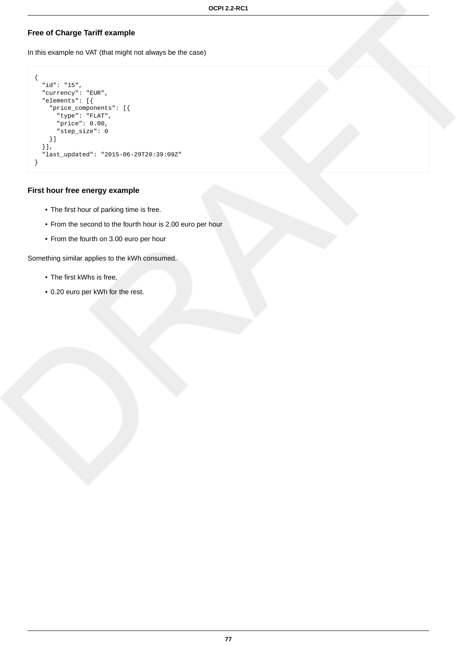### <span id="page-83-0"></span>**Free of Charge Tariff example**

In this example no VAT (that might not always be the case)

```
{
  "id": "15",
  "currency": "EUR",
   "elements": [{
 "price_components": [{
 "type": "FLAT",
 "price": 0.00,
      "step_size": 0
    }]
   }],
   "last_updated": "2015-06-29T20:39:09Z"
}
```
#### **First hour free energy example**

- The first hour of parking time is free.
- From the second to the fourth hour is 2.00 euro per hour
- From the fourth on 3.00 euro per hour

Something similar applies to the kWh consumed.

- The first kWhs is free,
- 0.20 euro per kWh for the rest.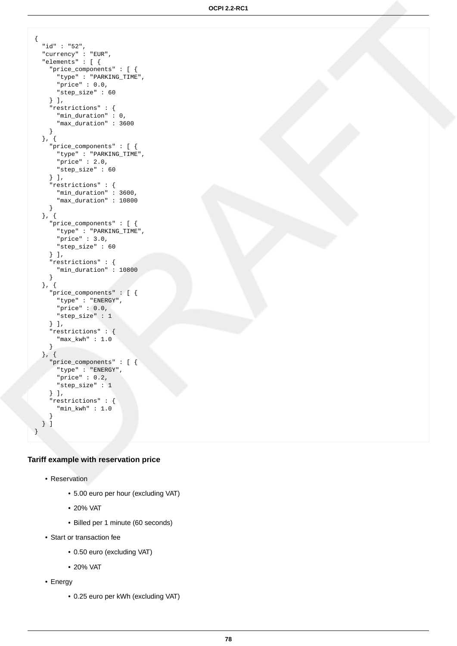```
\{ "id" : "52",
   "currency" : "EUR",
   "elements" : [ {
     "price_components" : [ {
       "type" : "PARKING_TIME",
       "price" : 0.0,
       "step_size" : 60
     } ],
     "restrictions" : {
       "min_duration" : 0,
       "max_duration" : 3600
     }
   }, {
     "price_components" : [ {
       "type" : "PARKING_TIME",
       "price" : 2.0,
      "step_size" : 60
     } ],
     "restrictions" : {
       "min_duration" : 3600,
       "max_duration" : 10800
     }
   }, {
     "price_components" : [ {
       "type" : "PARKING_TIME",
      "price" : 3.0,
       "step_size" : 60
     } ],
     "restrictions" : {
       "min_duration" : 10800
     }
   }, {
     "price_components" : [ {
       "type" : "ENERGY",
      "price" : 0.0,
       "step_size" : 1
     } ],
     "restrictions" : {
       "max_kwh" : 1.0
     }
   }, {
     "price_components" : [ {
 "type" : "ENERGY",
 "price" : 0.2,
       "step_size" : 1
     } ],
    .<br>"restrictions" : {
       "min_kwh" : 1.0
 }
   } ]
}
```
### **Tariff example with reservation price**

- Reservation
	- 5.00 euro per hour (excluding VAT)
	- 20% VAT
	- Billed per 1 minute (60 seconds)
- Start or transaction fee
	- 0.50 euro (excluding VAT)
	- 20% VAT
- Energy
	- 0.25 euro per kWh (excluding VAT)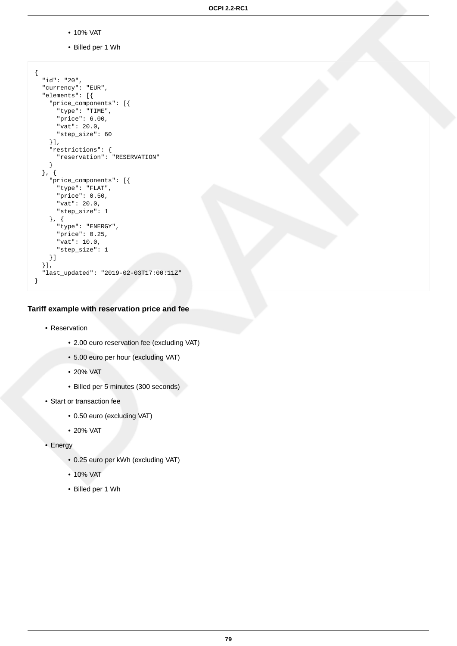- 10% VAT
- Billed per 1 Wh

```
{
  "id": "20",
   "currency": "EUR",
   "elements": [{
     "price_components": [{
 "type": "TIME",
 "price": 6.00,
      "vat": 20.0,
       "step_size": 60
     }],
     "restrictions": {
       "reservation": "RESERVATION"
     }
   }, {
     "price_components": [{
       "type": "FLAT",
      "price": 0.50,
       "vat": 20.0,
       "step_size": 1
     }, {
       "type": "ENERGY",
       "price": 0.25,
       "vat": 10.0,
       "step_size": 1
     }]
 \overline{\mathcal{U}} "last_updated": "2019-02-03T17:00:11Z"
}
```
**Tariff example with reservation price and fee**

- Reservation
	- 2.00 euro reservation fee (excluding VAT)
	- 5.00 euro per hour (excluding VAT)
	- 20% VAT
	- Billed per 5 minutes (300 seconds)
- Start or transaction fee
	- 0.50 euro (excluding VAT)
	- 20% VAT
- Energy
	- 0.25 euro per kWh (excluding VAT)
	- 10% VAT
	- Billed per 1 Wh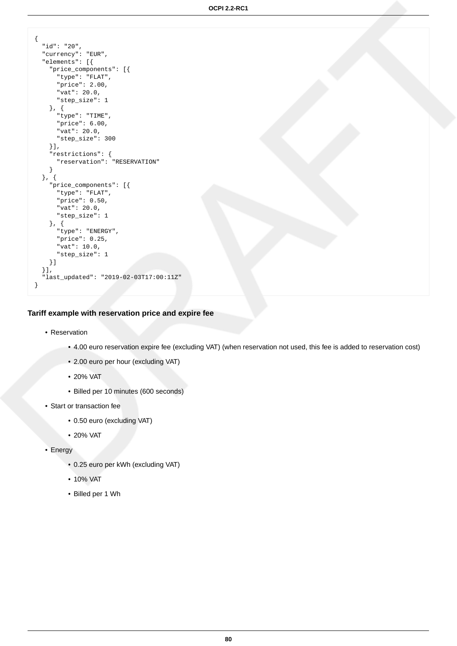**OCPI 2.2-RC1**

```
\{ "id": "20",
   "currency": "EUR",
   "elements": [{
     "price_components": [{
 "type": "FLAT",
 "price": 2.00,
       "vat": 20.0,
       "step_size": 1
     }, {
       "type": "TIME",
       "price": 6.00,
       "vat": 20.0,
       "step_size": 300
     }],
     "restrictions": {
       "reservation": "RESERVATION"
     }
   }, {
     "price_components": [{
       "type": "FLAT",
       "price": 0.50,
       "vat": 20.0,
       "step_size": 1
     }, {
       "type": "ENERGY",
       "price": 0.25,
       "vat": 10.0,
       "step_size": 1
     }]
 \overline{\mathcal{U}} "last_updated": "2019-02-03T17:00:11Z"
}
```
**Tariff example with reservation price and expire fee**

- Reservation
	- 4.00 euro reservation expire fee (excluding VAT) (when reservation not used, this fee is added to reservation cost)
	- 2.00 euro per hour (excluding VAT)
	- 20% VAT
	- Billed per 10 minutes (600 seconds)
- Start or transaction fee
	- 0.50 euro (excluding VAT)
	- 20% VAT
- Energy
	- 0.25 euro per kWh (excluding VAT)
	- 10% VAT
	- Billed per 1 Wh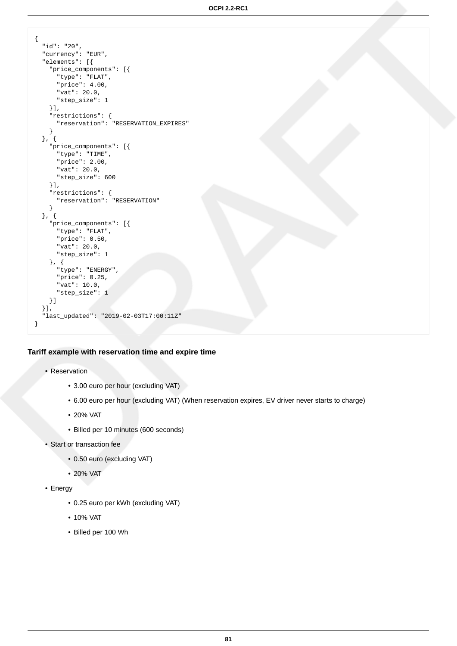```
\{ "id": "20",
   "currency": "EUR",
   "elements": [{
    "price_components": [{
 "type": "FLAT",
 "price": 4.00,
       "vat": 20.0,
      "step_size": 1
     }],
     "restrictions": {
       "reservation": "RESERVATION_EXPIRES"
     }
   }, {
     "price_components": [{
       "type": "TIME",
      "price": 2.00,
      "vat": 20.0,
      "step_size": 600
     }],
     "restrictions": {
       "reservation": "RESERVATION"
     }
   }, {
     "price_components": [{
       "type": "FLAT",
      "price": 0.50,
       "vat": 20.0,
       "step_size": 1
     }, {
       "type": "ENERGY",
       "price": 0.25,
       "vat": 10.0,
       "step_size": 1
    }]
 \overline{\mathcal{H}} "last_updated": "2019-02-03T17:00:11Z"
}
```
#### **Tariff example with reservation time and expire time**

- Reservation
	- 3.00 euro per hour (excluding VAT)
	- 6.00 euro per hour (excluding VAT) (When reservation expires, EV driver never starts to charge)
	- 20% VAT
	- Billed per 10 minutes (600 seconds)
- Start or transaction fee
	- 0.50 euro (excluding VAT)
	- 20% VAT
- Energy
	- 0.25 euro per kWh (excluding VAT)
	- 10% VAT
	- Billed per 100 Wh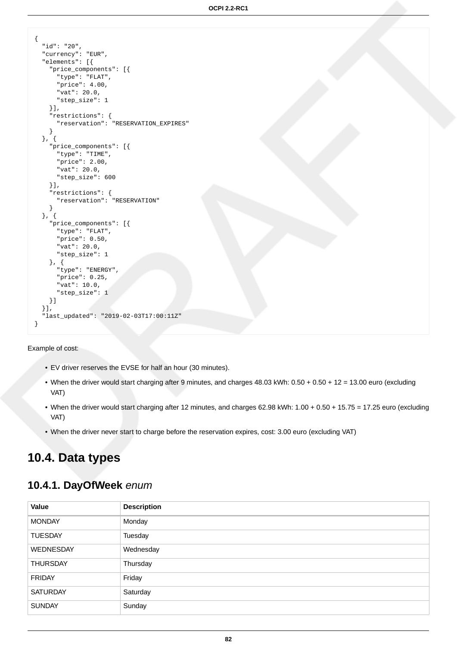```
{
   "id": "20",
   "currency": "EUR",
   "elements": [{
     "price_components": [{
       "type": "FLAT",
       "price": 4.00,
       "vat": 20.0,
      "step_size": 1
     }],
     "restrictions": {
       "reservation": "RESERVATION_EXPIRES"
     }
   }, {
     "price_components": [{
       "type": "TIME",
       "price": 2.00,
       "vat": 20.0,
       "step_size": 600
     }],
     "restrictions": {
       "reservation": "RESERVATION"
     }
   }, {
     "price_components": [{
       "type": "FLAT",
       "price": 0.50,
       "vat": 20.0,
       "step_size": 1
     }, {
       "type": "ENERGY",
       "price": 0.25,
       "vat": 10.0,
       "step_size": 1
     }]
 \overline{\ } "last_updated": "2019-02-03T17:00:11Z"
}
```
Example of cost:

- EV driver reserves the EVSE for half an hour (30 minutes).
- When the driver would start charging after 9 minutes, and charges 48.03 kWh: 0.50 + 0.50 + 12 = 13.00 euro (excluding VAT)
- When the driver would start charging after 12 minutes, and charges 62.98 kWh: 1.00 + 0.50 + 15.75 = 17.25 euro (excluding VAT)
- When the driver never start to charge before the reservation expires, cost: 3.00 euro (excluding VAT)

# **10.4. Data types**

## <span id="page-88-0"></span>**10.4.1. DayOfWeek** enum

| Value            | <b>Description</b> |
|------------------|--------------------|
| <b>MONDAY</b>    | Monday             |
| <b>TUESDAY</b>   | Tuesday            |
| <b>WEDNESDAY</b> | Wednesday          |
| <b>THURSDAY</b>  | Thursday           |
| <b>FRIDAY</b>    | Friday             |
| <b>SATURDAY</b>  | Saturday           |
| <b>SUNDAY</b>    | Sunday             |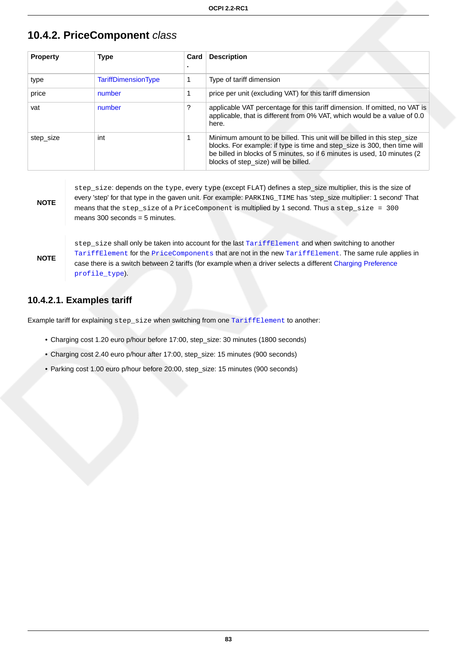## <span id="page-89-0"></span>**10.4.2. PriceComponent** class

| <b>Property</b> | <b>Type</b>                | Card | <b>Description</b>                                                                                                                                                                                                                                                        |
|-----------------|----------------------------|------|---------------------------------------------------------------------------------------------------------------------------------------------------------------------------------------------------------------------------------------------------------------------------|
| type            | <b>TariffDimensionType</b> |      | Type of tariff dimension                                                                                                                                                                                                                                                  |
| price           | number                     |      | price per unit (excluding VAT) for this tariff dimension                                                                                                                                                                                                                  |
| vat             | number                     | ?    | applicable VAT percentage for this tariff dimension. If omitted, no VAT is<br>applicable, that is different from 0% VAT, which would be a value of 0.0<br>here.                                                                                                           |
| step_size       | int                        |      | Minimum amount to be billed. This unit will be billed in this step_size<br>blocks. For example: if type is time and step_size is 300, then time will<br>be billed in blocks of 5 minutes, so if 6 minutes is used, 10 minutes (2)<br>blocks of step_size) will be billed. |

**NOTE**

step\_size: depends on the type, every type (except FLAT) defines a step\_size multiplier, this is the size of every 'step' for that type in the gaven unit. For example: PARKING\_TIME has 'step\_size multiplier: 1 second' That means that the step\_size of a PriceComponent is multiplied by 1 second. Thus a step\_size = 300 means  $300$  seconds = 5 minutes.

**NOTE**

step\_size shall only be taken into account for the last [TariffElement](#page-91-0) and when switching to another [TariffElement](#page-91-0) for the [PriceComponents](#page-89-0) that are not in the new [TariffElement](#page-91-0). The same rule applies in case there is a switch between 2 tariffs (for example when a driver selects a different [Charging Preference](#page-56-0) [profile\\_type](#page-62-0)).

## **10.4.2.1. Examples tariff**

Example tariff for explaining step\_size when switching from one [TariffElement](#page-91-0) to another:

- Charging cost 1.20 euro p/hour before 17:00, step\_size: 30 minutes (1800 seconds)
- Charging cost 2.40 euro p/hour after 17:00, step\_size: 15 minutes (900 seconds)
- Parking cost 1.00 euro p/hour before 20:00, step\_size: 15 minutes (900 seconds)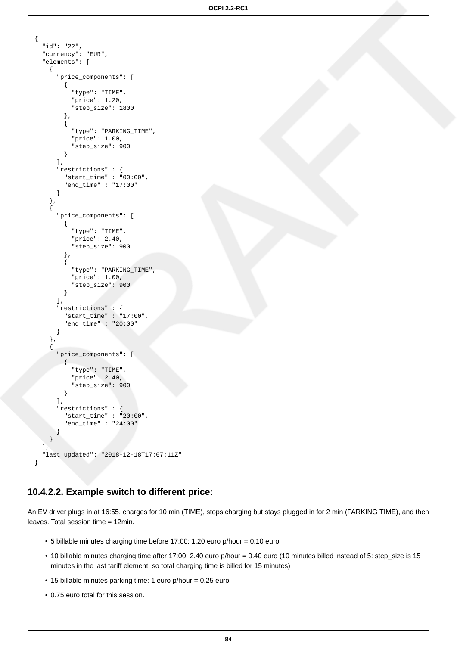```
\{ "id": "22",
   "currency": "EUR",
   "elements": [
     {
       "price_components": [
         {
            "type": "TIME",
           "price": 1.20,
            "step_size": 1800
         },
         {
            "type": "PARKING_TIME",
           "price": 1.00,
            "step_size": 900
         }
       ],
       "restrictions" : {
         "start_time" : "00:00",
         "end_time" : "17:00"
       }
     },
\{ "price_components": [
         {
            "type": "TIME",
           "price": 2.40,
            "step_size": 900
         },
         {
            "type": "PARKING_TIME",
            "price": 1.00,
           "step_size": 900
         }
       ],
       "restrictions" : {
         "start_time" : "17:00",
         "end_time" : "20:00"
       }
 },
\{ "price_components": [
        \left\{ \right. "type": "TIME",
 "price": 2.40,
            "step_size": 900
         }
       ],
       "restrictions" : {
         "start_time" : "20:00",
         "end_time" : "24:00"
       }
     }
   ],
   "last_updated": "2018-12-18T17:07:11Z"
}
```
### **10.4.2.2. Example switch to different price:**

An EV driver plugs in at 16:55, charges for 10 min (TIME), stops charging but stays plugged in for 2 min (PARKING TIME), and then leaves. Total session time = 12min.

- 5 billable minutes charging time before 17:00: 1.20 euro p/hour = 0.10 euro
- 10 billable minutes charging time after 17:00: 2.40 euro p/hour = 0.40 euro (10 minutes billed instead of 5: step\_size is 15 minutes in the last tariff element, so total charging time is billed for 15 minutes)
- 15 billable minutes parking time: 1 euro p/hour = 0.25 euro
- 0.75 euro total for this session.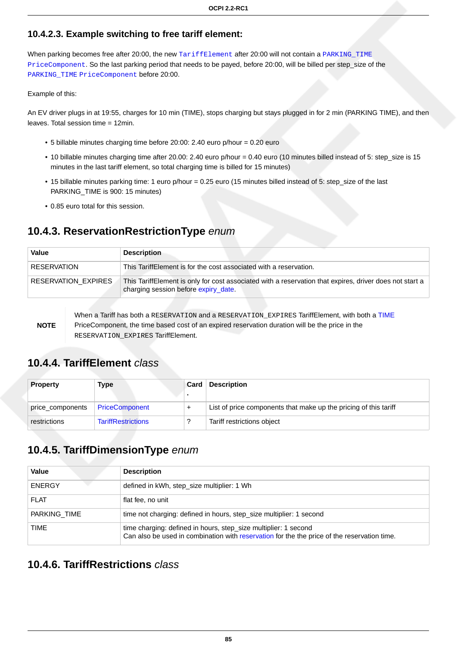## **10.4.2.3. Example switching to free tariff element:**

When parking becomes free after 20:00, the new [TariffElement](#page-91-0) after 20:00 will not contain a [PARKING\\_TIME](#page-91-1) [PriceComponent](#page-89-0). So the last parking period that needs to be payed, before 20:00, will be billed per step\_size of the [PARKING\\_TIME](#page-91-1) [PriceComponent](#page-89-0) before 20:00.

#### Example of this:

An EV driver plugs in at 19:55, charges for 10 min (TIME), stops charging but stays plugged in for 2 min (PARKING TIME), and then leaves. Total session time = 12min.

- 5 billable minutes charging time before 20:00: 2.40 euro p/hour = 0.20 euro
- 10 billable minutes charging time after 20.00: 2.40 euro p/hour = 0.40 euro (10 minutes billed instead of 5: step\_size is 15 minutes in the last tariff element, so total charging time is billed for 15 minutes)
- 15 billable minutes parking time: 1 euro p/hour = 0.25 euro (15 minutes billed instead of 5: step\_size of the last PARKING TIME is 900: 15 minutes)
- 0.85 euro total for this session.

# <span id="page-91-3"></span>**10.4.3. ReservationRestrictionType** enum

| Value                      | <b>Description</b>                                                                                                                              |
|----------------------------|-------------------------------------------------------------------------------------------------------------------------------------------------|
| <b>RESERVATION</b>         | This TariffElement is for the cost associated with a reservation.                                                                               |
| <b>RESERVATION EXPIRES</b> | This TariffElement is only for cost associated with a reservation that expires, driver does not start a<br>charging session before expiry_date. |

**NOTE**

When a Tariff has both a RESERVATION and a RESERVATION\_EXPIRES TariffElement, with both a [TIME](#page-91-1) PriceComponent, the time based cost of an expired reservation duration will be the price in the RESERVATION\_EXPIRES TariffElement.

## <span id="page-91-0"></span>**10.4.4. TariffElement** class

| <b>Property</b>  | Type                      | Card | <b>Description</b>                                               |
|------------------|---------------------------|------|------------------------------------------------------------------|
| price_components | <b>PriceComponent</b>     |      | List of price components that make up the pricing of this tariff |
| restrictions     | <b>TariffRestrictions</b> |      | Tariff restrictions object                                       |

# <span id="page-91-1"></span>**10.4.5. TariffDimensionType** enum

| Value         | <b>Description</b>                                                                                                                                             |
|---------------|----------------------------------------------------------------------------------------------------------------------------------------------------------------|
| <b>ENERGY</b> | defined in kWh, step_size multiplier: 1 Wh                                                                                                                     |
| <b>FLAT</b>   | flat fee, no unit                                                                                                                                              |
| PARKING TIME  | time not charging: defined in hours, step_size multiplier: 1 second                                                                                            |
| TIME          | time charging: defined in hours, step_size multiplier: 1 second<br>Can also be used in combination with reservation for the the price of the reservation time. |

## <span id="page-91-2"></span>**10.4.6. TariffRestrictions** class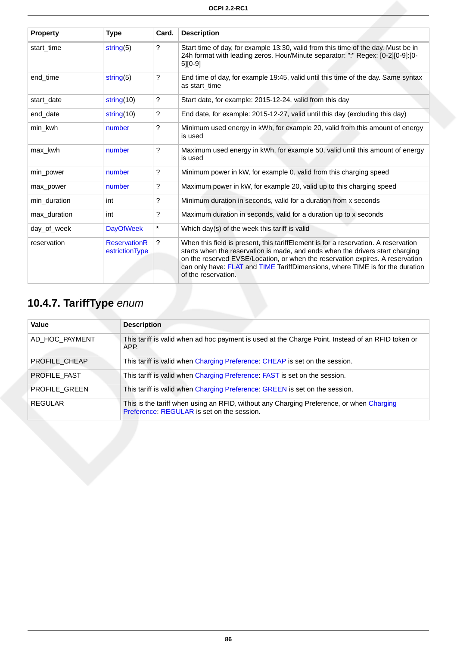| <b>Property</b> | <b>Type</b>                           | Card.   | <b>Description</b>                                                                                                                                                                                                                                                                                                                                           |
|-----------------|---------------------------------------|---------|--------------------------------------------------------------------------------------------------------------------------------------------------------------------------------------------------------------------------------------------------------------------------------------------------------------------------------------------------------------|
| start time      | string(5)                             | ?       | Start time of day, for example 13:30, valid from this time of the day. Must be in<br>24h format with leading zeros. Hour/Minute separator: ":" Regex: [0-2][0-9]:[0-<br>$5$ [ $0-9$ ]                                                                                                                                                                        |
| end time        | string $(5)$                          | ?       | End time of day, for example 19:45, valid until this time of the day. Same syntax<br>as start time                                                                                                                                                                                                                                                           |
| start_date      | string $(10)$                         | ?       | Start date, for example: 2015-12-24, valid from this day                                                                                                                                                                                                                                                                                                     |
| end_date        | string $(10)$                         | ?       | End date, for example: 2015-12-27, valid until this day (excluding this day)                                                                                                                                                                                                                                                                                 |
| min_kwh         | number                                | ?       | Minimum used energy in kWh, for example 20, valid from this amount of energy<br>is used                                                                                                                                                                                                                                                                      |
| max kwh         | number                                | ?       | Maximum used energy in kWh, for example 50, valid until this amount of energy<br>is used                                                                                                                                                                                                                                                                     |
| min_power       | number                                | ?       | Minimum power in kW, for example 0, valid from this charging speed                                                                                                                                                                                                                                                                                           |
| max_power       | number                                | ?       | Maximum power in kW, for example 20, valid up to this charging speed                                                                                                                                                                                                                                                                                         |
| min_duration    | int                                   | ?       | Minimum duration in seconds, valid for a duration from x seconds                                                                                                                                                                                                                                                                                             |
| max_duration    | int                                   | ?       | Maximum duration in seconds, valid for a duration up to x seconds                                                                                                                                                                                                                                                                                            |
| day of week     | <b>DayOfWeek</b>                      | $\star$ | Which day(s) of the week this tariff is valid                                                                                                                                                                                                                                                                                                                |
| reservation     | <b>ReservationR</b><br>estrictionType | ?       | When this field is present, this tariffElement is for a reservation. A reservation<br>starts when the reservation is made, and ends when the drivers start charging<br>on the reserved EVSE/Location, or when the reservation expires. A reservation<br>can only have: FLAT and TIME TariffDimensions, where TIME is for the duration<br>of the reservation. |

# <span id="page-92-0"></span>**10.4.7. TariffType** enum

| Value          | <b>Description</b>                                                                                                                     |
|----------------|----------------------------------------------------------------------------------------------------------------------------------------|
| AD_HOC_PAYMENT | This tariff is valid when ad hoc payment is used at the Charge Point. Instead of an RFID token or<br>APP.                              |
| PROFILE CHEAP  | This tariff is valid when Charging Preference: CHEAP is set on the session.                                                            |
| PROFILE FAST   | This tariff is valid when Charging Preference: FAST is set on the session.                                                             |
| PROFILE GREEN  | This tariff is valid when Charging Preference: GREEN is set on the session.                                                            |
| REGULAR        | This is the tariff when using an RFID, without any Charging Preference, or when Charging<br>Preference: REGULAR is set on the session. |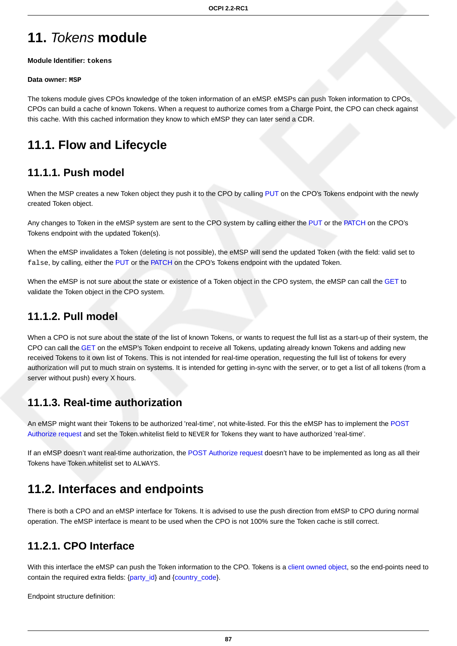# **11.** Tokens **module**

**Module Identifier: tokens**

#### **Data owner: MSP**

The tokens module gives CPOs knowledge of the token information of an eMSP. eMSPs can push Token information to CPOs, CPOs can build a cache of known Tokens. When a request to authorize comes from a Charge Point, the CPO can check against this cache. With this cached information they know to which eMSP they can later send a CDR.

# **11.1. Flow and Lifecycle**

## **11.1.1. Push model**

When the MSP creates a new Token object they push it to the CPO by calling [PUT](#page-94-0) on the CPO's Tokens endpoint with the newly created Token object.

Any changes to Token in the eMSP system are sent to the CPO system by calling either the [PUT](#page-94-0) or the [PATCH](#page-95-0) on the CPO's Tokens endpoint with the updated Token(s).

When the eMSP invalidates a Token (deleting is not possible), the eMSP will send the updated Token (with the field: valid set to false, by calling, either the [PUT](#page-94-0) or the [PATCH](#page-95-0) on the CPO's Tokens endpoint with the updated Token.

When the eMSP is not sure about the state or existence of a Token object in the CPO system, the eMSP can call the [GET](#page-94-1) to validate the Token object in the CPO system.

## **11.1.2. Pull model**

When a CPO is not sure about the state of the list of known Tokens, or wants to request the full list as a start-up of their system, the CPO can call the [GET](#page-95-1) on the eMSP's Token endpoint to receive all Tokens, updating already known Tokens and adding new received Tokens to it own list of Tokens. This is not intended for real-time operation, requesting the full list of tokens for every authorization will put to much strain on systems. It is intended for getting in-sync with the server, or to get a list of all tokens (from a server without push) every X hours.

## <span id="page-93-0"></span>**11.1.3. Real-time authorization**

An eMSP might want their Tokens to be authorized 'real-time', not white-listed. For this the eMSP has to implement the [POST](#page-96-0) [Authorize request](#page-96-0) and set the Token.whitelist field to NEVER for Tokens they want to have authorized 'real-time'.

If an eMSP doesn't want real-time authorization, the [POST Authorize request](#page-96-0) doesn't have to be implemented as long as all their Tokens have Token.whitelist set to ALWAYS.

# **11.2. Interfaces and endpoints**

There is both a CPO and an eMSP interface for Tokens. It is advised to use the push direction from eMSP to CPO during normal operation. The eMSP interface is meant to be used when the CPO is not 100% sure the Token cache is still correct.

## **11.2.1. CPO Interface**

With this interface the eMSP can push the Token information to the CPO. Tokens is a [client owned object,](#page-16-0) so the end-points need to contain the required extra fields: [{party\\_id}](#page-35-0) and {[country\\_code}](#page-35-0).

Endpoint structure definition: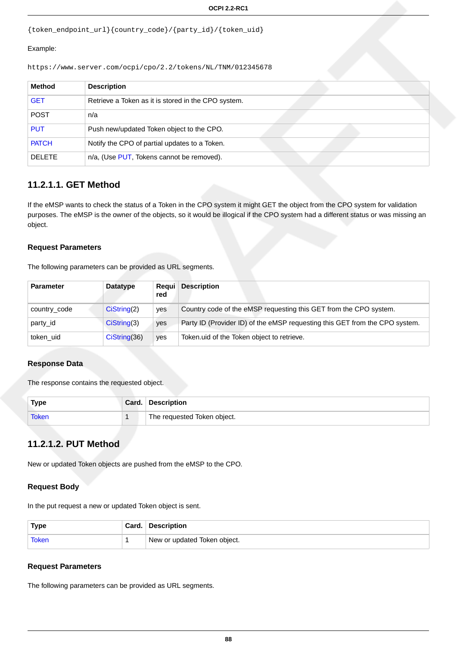```
{token_endpoint_url}{country_code}/{party_id}/{token_uid}
```
#### Example:

```
https://www.server.com/ocpi/cpo/2.2/tokens/NL/TNM/012345678
```

| <b>Method</b> | <b>Description</b>                                  |
|---------------|-----------------------------------------------------|
| <b>GET</b>    | Retrieve a Token as it is stored in the CPO system. |
| <b>POST</b>   | n/a                                                 |
| <b>PUT</b>    | Push new/updated Token object to the CPO.           |
| <b>PATCH</b>  | Notify the CPO of partial updates to a Token.       |
| <b>DELETE</b> | n/a, (Use PUT, Tokens cannot be removed).           |

## <span id="page-94-1"></span>**11.2.1.1. GET Method**

If the eMSP wants to check the status of a Token in the CPO system it might GET the object from the CPO system for validation purposes. The eMSP is the owner of the objects, so it would be illogical if the CPO system had a different status or was missing an object.

## **Request Parameters**

The following parameters can be provided as URL segments.

| <b>Parameter</b> | Datatype      | <b>Reaui</b><br>red | <b>Description</b>                                                          |
|------------------|---------------|---------------------|-----------------------------------------------------------------------------|
| country_code     | Cisstring(2)  | yes                 | Country code of the eMSP requesting this GET from the CPO system.           |
| party id         | Cisstring(3)  | yes                 | Party ID (Provider ID) of the eMSP requesting this GET from the CPO system. |
| token uid        | CisString(36) | ves                 | Token uid of the Token object to retrieve.                                  |

### **Response Data**

The response contains the requested object.

| Type         | Card. | <b>Description</b>          |
|--------------|-------|-----------------------------|
| <b>Token</b> |       | The requested Token object. |

## <span id="page-94-0"></span>**11.2.1.2. PUT Method**

New or updated Token objects are pushed from the eMSP to the CPO.

### **Request Body**

In the put request a new or updated Token object is sent.

| <b>Type</b>  | Card. Description            |
|--------------|------------------------------|
| <b>Token</b> | New or updated Token object. |

### **Request Parameters**

The following parameters can be provided as URL segments.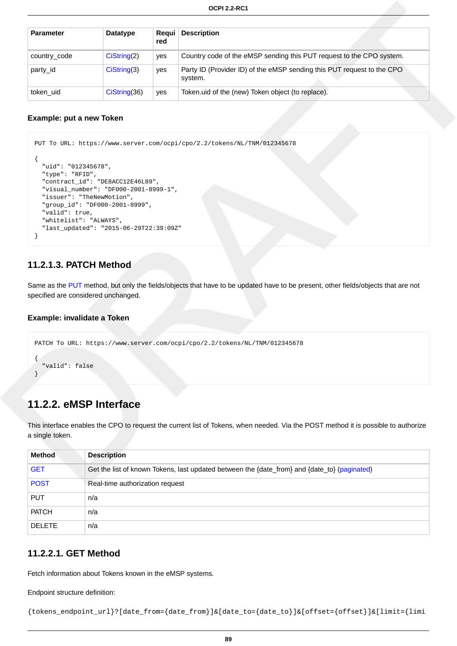| <b>Parameter</b> | <b>Datatype</b> | <b>Reaui</b><br>red | <b>Description</b>                                                                |
|------------------|-----------------|---------------------|-----------------------------------------------------------------------------------|
| country_code     | Cisstring(2)    | ves                 | Country code of the eMSP sending this PUT request to the CPO system.              |
| party id         | Cisstring(3)    | yes                 | Party ID (Provider ID) of the eMSP sending this PUT request to the CPO<br>system. |
| token uid        | Cisstring(36)   | yes                 | Token uid of the (new) Token object (to replace).                                 |

#### **Example: put a new Token**

```
PUT To URL: https://www.server.com/ocpi/cpo/2.2/tokens/NL/TNM/012345678
{
   "uid": "012345678",
   "type": "RFID",
   "contract_id": "DE8ACC12E46L89",
   "visual_number": "DF000-2001-8999-1",
   "issuer": "TheNewMotion",
   "group_id": "DF000-2001-8999",
  "valid": true,
   "whitelist": "ALWAYS",
   "last_updated": "2015-06-29T22:39:09Z"
}
```
## <span id="page-95-0"></span>**11.2.1.3. PATCH Method**

Same as the [PUT](#page-94-0) method, but only the fields/objects that have to be updated have to be present, other fields/objects that are not specified are considered unchanged.

#### **Example: invalidate a Token**

```
PATCH To URL: https://www.server.com/ocpi/cpo/2.2/tokens/NL/TNM/012345678
{
   "valid": false
}
```
## **11.2.2. eMSP Interface**

This interface enables the CPO to request the current list of Tokens, when needed. Via the POST method it is possible to authorize a single token.

| <b>Method</b> | <b>Description</b>                                                                           |
|---------------|----------------------------------------------------------------------------------------------|
| <b>GET</b>    | Get the list of known Tokens, last updated between the {date_from} and {date_to} (paginated) |
| <b>POST</b>   | Real-time authorization request                                                              |
| <b>PUT</b>    | n/a                                                                                          |
| <b>PATCH</b>  | n/a                                                                                          |
| <b>DELETE</b> | n/a                                                                                          |

## <span id="page-95-1"></span>**11.2.2.1. GET Method**

Fetch information about Tokens known in the eMSP systems.

Endpoint structure definition:

```
{tokens_endpoint_url}?[date_from={date_from}]&[date_to={date_to}]&[offset={offset}]&[limit={limi
```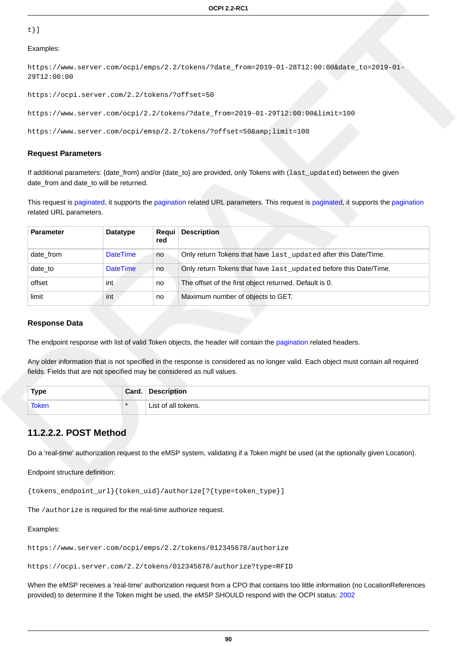#### t}]

#### Examples:

```
https://www.server.com/ocpi/emps/2.2/tokens/?date_from=2019-01-28T12:00:00&date_to=2019-01-
29T12:00:00
```
https://ocpi.server.com/2.2/tokens/?offset=50

```
https://www.server.com/ocpi/2.2/tokens/?date_from=2019-01-29T12:00:00&limit=100
```
https://www.server.com/ocpi/emsp/2.2/tokens/?offset=50&limit=100

#### **Request Parameters**

If additional parameters: {date\_from} and/or {date\_to} are provided, only Tokens with (last\_updated) between the given date from and date to will be returned.

This request is [paginated,](#page-14-0) it supports the [pagination](#page-14-1) related URL parameters. This request is [paginated](#page-14-0), it supports the [pagination](#page-14-1) related URL parameters.

| <b>Parameter</b> | Datatype        | Regui<br>red | <b>Description</b>                                               |
|------------------|-----------------|--------------|------------------------------------------------------------------|
| date from        | <b>DateTime</b> | no           | Only return Tokens that have last_updated after this Date/Time.  |
| date to          | <b>DateTime</b> | no           | Only return Tokens that have last_updated before this Date/Time. |
| offset           | int             | no           | The offset of the first object returned. Default is 0.           |
| limit            | int             | no           | Maximum number of objects to GET.                                |

#### **Response Data**

The endpoint response with list of valid Token objects, the header will contain the [pagination](#page-14-2) related headers.

Any older information that is not specified in the response is considered as no longer valid. Each object must contain all required fields. Fields that are not specified may be considered as null values.

| <b>Type</b> | Card.  | <b>Description</b>  |
|-------------|--------|---------------------|
| Token       | $\ast$ | List of all tokens. |

### <span id="page-96-0"></span>**11.2.2.2. POST Method**

Do a 'real-time' authorization request to the eMSP system, validating if a Token might be used (at the optionally given Location).

#### Endpoint structure definition:

{tokens\_endpoint\_url}{token\_uid}/authorize[?{type=token\_type}]

The /authorize is required for the real-time authorize request.

#### Examples:

https://www.server.com/ocpi/emps/2.2/tokens/012345678/authorize

https://ocpi.server.com/2.2/tokens/012345678/authorize?type=RFID

When the eMSP receives a 'real-time' authorization request from a CPO that contains too little information (no LocationReferences provided) to determine if the Token might be used, the eMSP SHOULD respond with the OCPI status: [2002](#page-25-0)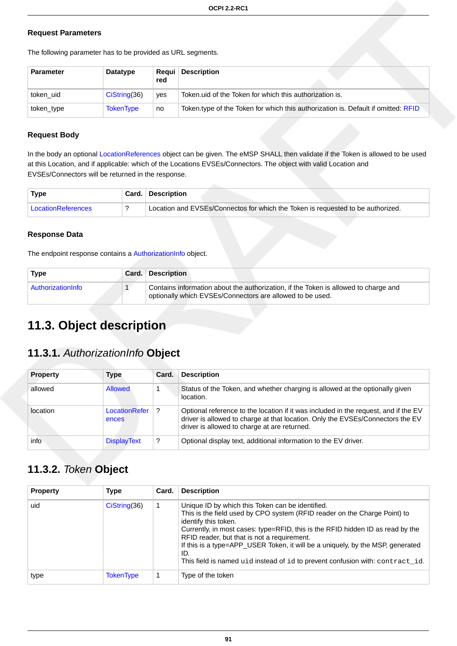#### **Request Parameters**

The following parameter has to be provided as URL segments.

| <b>Parameter</b> | <b>Datatype</b>  | Reaui I<br>red | <b>Description</b>                                                                |
|------------------|------------------|----------------|-----------------------------------------------------------------------------------|
| token uid        | $Cis$ tring(36)  | yes            | Token uid of the Token for which this authorization is.                           |
| token_type       | <b>TokenType</b> | no             | Token.type of the Token for which this authorization is. Default if omitted: RFID |

#### **Request Body**

In the body an optional [LocationReferences](#page-99-1) object can be given. The eMSP SHALL then validate if the Token is allowed to be used at this Location, and if applicable: which of the Locations EVSEs/Connectors. The object with valid Location and EVSEs/Connectors will be returned in the response.

| <b>Type</b>        | <b>Card.</b> Description                                                        |
|--------------------|---------------------------------------------------------------------------------|
| LocationReferences | Location and EVSEs/Connectos for which the Token is requested to be authorized. |

#### **Response Data**

The endpoint response contains a [AuthorizationInfo](#page-97-1) object.

| <b>Type</b>       | <b>Card. Description</b>                                                                                                                         |
|-------------------|--------------------------------------------------------------------------------------------------------------------------------------------------|
| AuthorizationInfo | Contains information about the authorization, if the Token is allowed to charge and<br>optionally which EVSEs/Connectors are allowed to be used. |

# **11.3. Object description**

# <span id="page-97-1"></span>**11.3.1.** AuthorizationInfo **Object**

| <b>Property</b> | Type                   | Card. | <b>Description</b>                                                                                                                                                                                                    |
|-----------------|------------------------|-------|-----------------------------------------------------------------------------------------------------------------------------------------------------------------------------------------------------------------------|
| allowed         | Allowed                |       | Status of the Token, and whether charging is allowed at the optionally given<br>location.                                                                                                                             |
| location        | LocationRefer<br>ences |       | Optional reference to the location if it was included in the request, and if the EV<br>driver is allowed to charge at that location. Only the EVSEs/Connectors the EV<br>driver is allowed to charge at are returned. |
| info            | <b>DisplayText</b>     | ?     | Optional display text, additional information to the EV driver.                                                                                                                                                       |

# <span id="page-97-0"></span>**11.3.2.** Token **Object**

| <b>Property</b> | <b>Type</b>      | Card. | <b>Description</b>                                                                                                                                                                                                                                                                                                                                                                                                                                               |
|-----------------|------------------|-------|------------------------------------------------------------------------------------------------------------------------------------------------------------------------------------------------------------------------------------------------------------------------------------------------------------------------------------------------------------------------------------------------------------------------------------------------------------------|
| uid             | CisString(36)    | 1     | Unique ID by which this Token can be identified.<br>This is the field used by CPO system (RFID reader on the Charge Point) to<br>identify this token.<br>Currently, in most cases: type=RFID, this is the RFID hidden ID as read by the<br>RFID reader, but that is not a requirement.<br>If this is a type=APP USER Token, it will be a uniquely, by the MSP, generated<br>ID.<br>This field is named uid instead of id to prevent confusion with: contract id. |
| type            | <b>TokenType</b> |       | Type of the token                                                                                                                                                                                                                                                                                                                                                                                                                                                |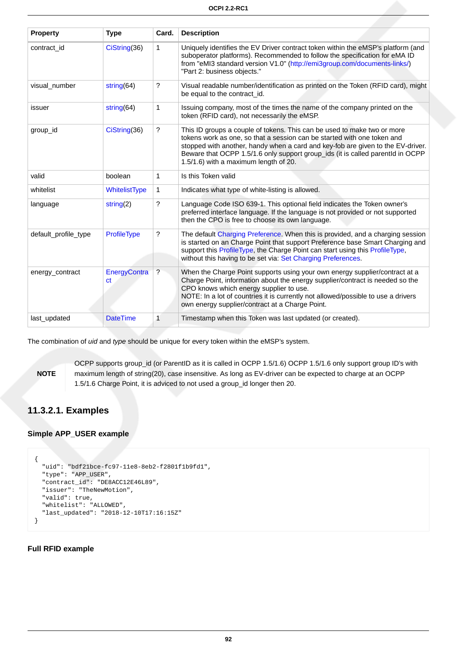| <b>Property</b>      | <b>Type</b>                   | Card.                | <b>Description</b>                                                                                                                                                                                                                                                                                                                                               |
|----------------------|-------------------------------|----------------------|------------------------------------------------------------------------------------------------------------------------------------------------------------------------------------------------------------------------------------------------------------------------------------------------------------------------------------------------------------------|
| contract_id          | CiString(36)                  | $\mathbf{1}$         | Uniquely identifies the EV Driver contract token within the eMSP's platform (and<br>suboperator platforms). Recommended to follow the specification for eMA ID<br>from "eMI3 standard version V1.0" (http://emi3group.com/documents-links/)<br>"Part 2: business objects."                                                                                       |
| visual_number        | string $(64)$                 | ?                    | Visual readable number/identification as printed on the Token (RFID card), might<br>be equal to the contract_id.                                                                                                                                                                                                                                                 |
| issuer               | string $(64)$                 | 1                    | Issuing company, most of the times the name of the company printed on the<br>token (RFID card), not necessarily the eMSP.                                                                                                                                                                                                                                        |
| group_id             | CiString(36)                  | ?                    | This ID groups a couple of tokens. This can be used to make two or more<br>tokens work as one, so that a session can be started with one token and<br>stopped with another, handy when a card and key-fob are given to the EV-driver.<br>Beware that OCPP 1.5/1.6 only support group_ids (it is called parentld in OCPP<br>1.5/1.6) with a maximum length of 20. |
| valid                | boolean                       | 1                    | Is this Token valid                                                                                                                                                                                                                                                                                                                                              |
| whitelist            | WhitelistType                 | $\mathbf{1}$         | Indicates what type of white-listing is allowed.                                                                                                                                                                                                                                                                                                                 |
| language             | string $(2)$                  | ?                    | Language Code ISO 639-1. This optional field indicates the Token owner's<br>preferred interface language. If the language is not provided or not supported<br>then the CPO is free to choose its own language.                                                                                                                                                   |
| default_profile_type | <b>ProfileType</b>            | $\gamma$             | The default Charging Preference. When this is provided, and a charging session<br>is started on an Charge Point that support Preference base Smart Charging and<br>support this ProfileType, the Charge Point can start using this ProfileType,<br>without this having to be set via: Set Charging Preferences.                                                  |
| energy_contract      | EnergyContra<br><sub>ct</sub> | $\ddot{\phantom{0}}$ | When the Charge Point supports using your own energy supplier/contract at a<br>Charge Point, information about the energy supplier/contract is needed so the<br>CPO knows which energy supplier to use.<br>NOTE: In a lot of countries it is currently not allowed/possible to use a drivers<br>own energy supplier/contract at a Charge Point.                  |
| last_updated         | <b>DateTime</b>               | 1                    | Timestamp when this Token was last updated (or created).                                                                                                                                                                                                                                                                                                         |

The combination of *uid* and type should be unique for every token within the eMSP's system.

**NOTE**

OCPP supports group\_id (or ParentID as it is called in OCPP 1.5/1.6) OCPP 1.5/1.6 only support group ID's with maximum length of string(20), case insensitive. As long as EV-driver can be expected to charge at an OCPP 1.5/1.6 Charge Point, it is adviced to not used a group\_id longer then 20.

## **11.3.2.1. Examples**

### **Simple APP\_USER example**

```
{
  "uid": "bdf21bce-fc97-11e8-8eb2-f2801f1b9fd1",
  "type": "APP_USER",
   "contract_id": "DE8ACC12E46L89",
  "issuer": "TheNewMotion",
  "valid": true,
  "whitelist": "ALLOWED",
   "last_updated": "2018-12-10T17:16:15Z"
}
```
#### **Full RFID example**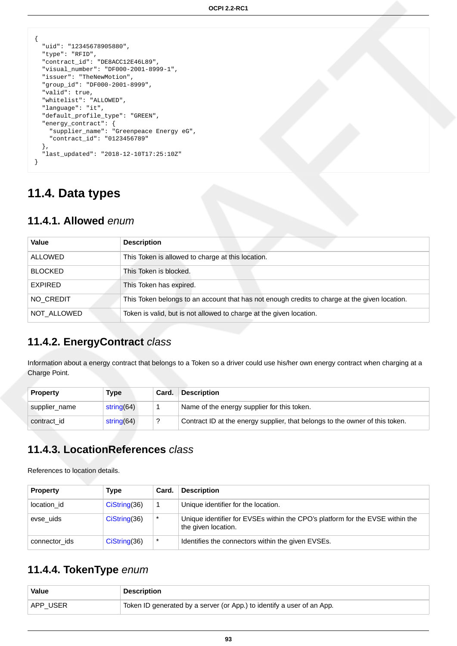```
\{ "uid": "12345678905880",
  "type": "RFID",
  "contract_id": "DE8ACC12E46L89",
  "visual_number": "DF000-2001-8999-1",
  "issuer": "TheNewMotion",
   "group_id": "DF000-2001-8999",
  "valid": true,
  "whitelist": "ALLOWED",
  "language": "it",
  "default_profile_type": "GREEN",
   "energy_contract": {
    "supplier_name": "Greenpeace Energy eG",
    "contract_id": "0123456789"
  },
   "last_updated": "2018-12-10T17:25:10Z"
}
```
# **11.4. Data types**

## <span id="page-99-2"></span>**11.4.1. Allowed** enum

| Value          | <b>Description</b>                                                                            |  |  |  |
|----------------|-----------------------------------------------------------------------------------------------|--|--|--|
| ALLOWED        | This Token is allowed to charge at this location.                                             |  |  |  |
| <b>BLOCKED</b> | This Token is blocked.                                                                        |  |  |  |
| EXPIRED        | This Token has expired.                                                                       |  |  |  |
| NO CREDIT      | This Token belongs to an account that has not enough credits to charge at the given location. |  |  |  |
| NOT ALLOWED    | Token is valid, but is not allowed to charge at the given location.                           |  |  |  |

# <span id="page-99-3"></span>**11.4.2. EnergyContract** class

Information about a energy contract that belongs to a Token so a driver could use his/her own energy contract when charging at a Charge Point.

| <b>Property</b> | Type          | Card. | <b>Description</b>                                                           |
|-----------------|---------------|-------|------------------------------------------------------------------------------|
| supplier name   | string $(64)$ |       | Name of the energy supplier for this token.                                  |
| contract id     | string $(64)$ | ?     | Contract ID at the energy supplier, that belongs to the owner of this token. |

# <span id="page-99-1"></span>**11.4.3. LocationReferences** class

References to location details.

| <b>Property</b> | Type          | Card.   | <b>Description</b>                                                                                   |
|-----------------|---------------|---------|------------------------------------------------------------------------------------------------------|
| location id     | CisString(36) | 1       | Unique identifier for the location.                                                                  |
| evse uids       | CisString(36) | $\star$ | Unique identifier for EVSEs within the CPO's platform for the EVSE within the<br>the given location. |
| connector ids   | CisString(36) | $\star$ | Identifies the connectors within the given EVSEs.                                                    |

# <span id="page-99-0"></span>**11.4.4. TokenType** enum

| <b>Value</b> | <b>Description</b>                                                     |
|--------------|------------------------------------------------------------------------|
| APP USER     | Token ID generated by a server (or App.) to identify a user of an App. |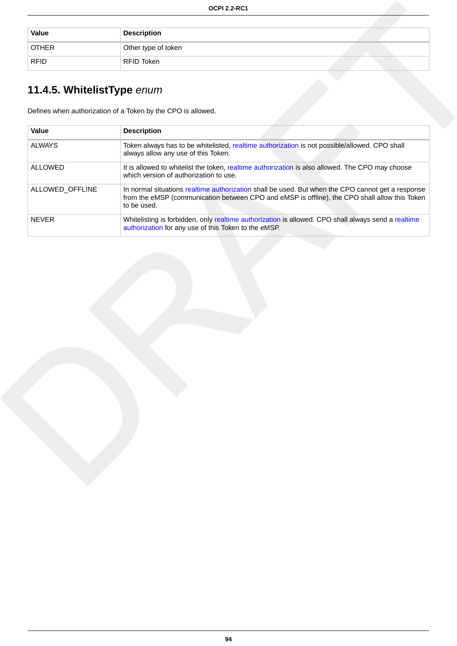| <b>Value</b> | <b>Description</b>  |
|--------------|---------------------|
| <b>OTHER</b> | Other type of token |
| <b>RFID</b>  | RFID Token          |

# <span id="page-100-0"></span>**11.4.5. WhitelistType** enum

Defines when authorization of a Token by the CPO is allowed.

| Value           | <b>Description</b>                                                                                                                                                                                                |
|-----------------|-------------------------------------------------------------------------------------------------------------------------------------------------------------------------------------------------------------------|
| <b>ALWAYS</b>   | Token always has to be whitelisted, realtime authorization is not possible/allowed. CPO shall<br>always allow any use of this Token.                                                                              |
| <b>ALLOWED</b>  | It is allowed to white list the token, realtime authorization is also allowed. The CPO may choose<br>which version of authorization to use.                                                                       |
| ALLOWED OFFLINE | In normal situations realtime authorization shall be used. But when the CPO cannot get a response<br>from the eMSP (communication between CPO and eMSP is offline), the CPO shall allow this Token<br>to be used. |
| <b>NFVFR</b>    | Whitelisting is forbidden, only realtime authorization is allowed. CPO shall always send a realtime<br>authorization for any use of this Token to the eMSP.                                                       |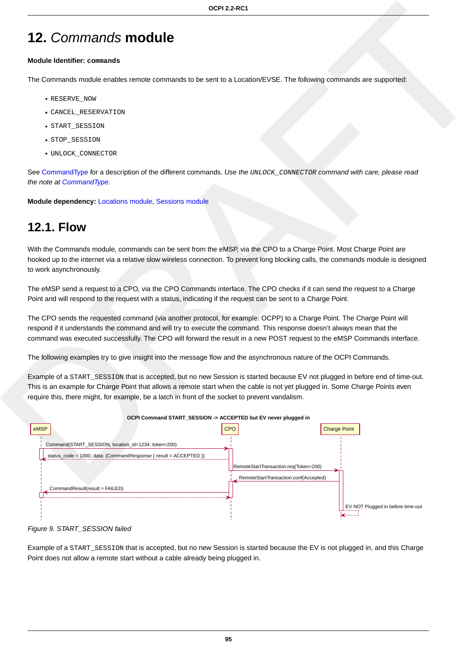# **12.** Commands **module**

#### **Module Identifier: commands**

The Commands module enables remote commands to be sent to a Location/EVSE. The following commands are supported:

- RESERVE\_NOW
- CANCEL\_RESERVATION
- START\_SESSION
- STOP\_SESSION
- UNLOCK\_CONNECTOR

See [CommandType](#page-107-0) for a description of the different commands. Use the UNLOCK\_CONNECTOR command with care, please read the note at [CommandType](#page-107-0).

**Module dependency:** [Locations module](#page-38-0), [Sessions module](#page-56-1)

# **12.1. Flow**

With the Commands module, commands can be sent from the eMSP, via the CPO to a Charge Point. Most Charge Point are hooked up to the internet via a relative slow wireless connection. To prevent long blocking calls, the commands module is designed to work asynchronously.

The eMSP send a request to a CPO, via the CPO Commands interface. The CPO checks if it can send the request to a Charge Point and will respond to the request with a status, indicating if the request can be sent to a Charge Point.

The CPO sends the requested command (via another protocol, for example: OCPP) to a Charge Point. The Charge Point will respond if it understands the command and will try to execute the command. This response doesn't always mean that the command was executed successfully. The CPO will forward the result in a new POST request to the eMSP Commands interface.

The following examples try to give insight into the message flow and the asynchronous nature of the OCPI Commands.

Example of a START\_SESSION that is accepted, but no new Session is started because EV not plugged in before end of time-out. This is an example for Charge Point that allows a remote start when the cable is not yet plugged in. Some Charge Points even require this, there might, for example, be a latch in front of the socket to prevent vandalism.



Figure 9. START\_SESSION failed

Example of a START\_SESSION that is accepted, but no new Session is started because the EV is not plugged in, and this Charge Point does not allow a remote start without a cable already being plugged in.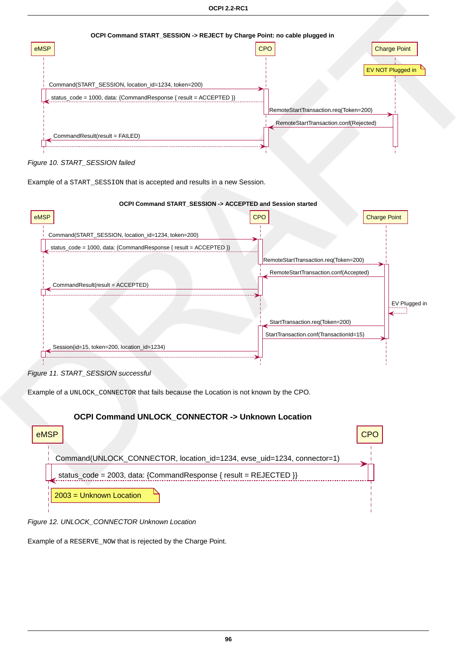

Figure 10. START\_SESSION failed

Example of a START\_SESSION that is accepted and results in a new Session.



Figure 11. START\_SESSION successful

Example of a UNLOCK\_CONNECTOR that fails because the Location is not known by the CPO.

# **OCPI Command UNLOCK\_CONNECTOR -> Unknown Location** eMSP  $\vert$  CPO  $\vert$  CPO  $\vert$  CPO  $\vert$  CPO  $\vert$  CPO  $\vert$  CPO  $\vert$  CPO  $\vert$ Command(UNLOCK\_CONNECTOR, location\_id=1234, evse\_uid=1234, connector=1) status\_code = 2003, data: {CommandResponse { result = REJECTED }} 2003 = Unknown Location

Figure 12. UNLOCK\_CONNECTOR Unknown Location

Example of a RESERVE\_NOW that is rejected by the Charge Point.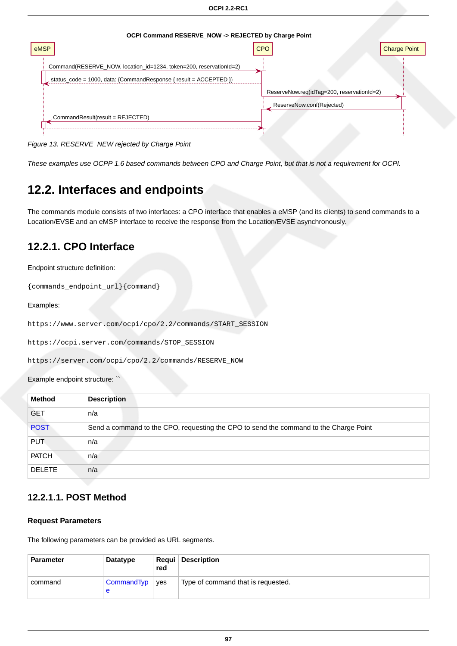

Figure 13. RESERVE\_NEW rejected by Charge Point

These examples use OCPP 1.6 based commands between CPO and Charge Point, but that is not a requirement for OCPI.

# **12.2. Interfaces and endpoints**

The commands module consists of two interfaces: a CPO interface that enables a eMSP (and its clients) to send commands to a Location/EVSE and an eMSP interface to receive the response from the Location/EVSE asynchronously.

## **12.2.1. CPO Interface**

Endpoint structure definition:

{commands\_endpoint\_url}{command}

#### Examples:

https://www.server.com/ocpi/cpo/2.2/commands/START\_SESSION

https://ocpi.server.com/commands/STOP\_SESSION

https://server.com/ocpi/cpo/2.2/commands/RESERVE\_NOW

Example endpoint structure: `

| <b>Method</b> | <b>Description</b>                                                                    |
|---------------|---------------------------------------------------------------------------------------|
| <b>GET</b>    | n/a                                                                                   |
| <b>POST</b>   | Send a command to the CPO, requesting the CPO to send the command to the Charge Point |
| <b>PUT</b>    | n/a                                                                                   |
| <b>PATCH</b>  | n/a                                                                                   |
| <b>DELETE</b> | n/a                                                                                   |

## <span id="page-103-0"></span>**12.2.1.1. POST Method**

#### **Request Parameters**

The following parameters can be provided as URL segments.

| <b>Parameter</b> | Datatype              | red | <b>Requi</b> Description           |
|------------------|-----------------------|-----|------------------------------------|
| command          | CommandTyp   yes<br>e |     | Type of command that is requested. |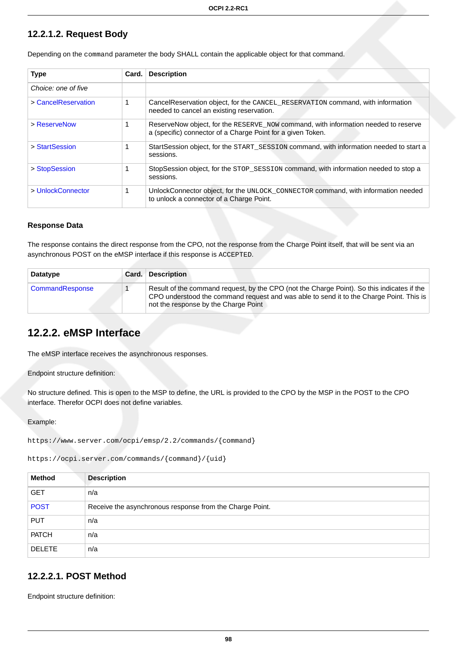## **12.2.1.2. Request Body**

| <b>Type</b>         | Card. | <b>Description</b>                                                                                                                                |
|---------------------|-------|---------------------------------------------------------------------------------------------------------------------------------------------------|
| Choice: one of five |       |                                                                                                                                                   |
| > CancelReservation |       | CancelReservation object, for the CANCEL_RESERVATION command, with information<br>needed to cancel an existing reservation.                       |
| > ReserveNow        |       | ReserveNow object, for the RESERVE NOW command, with information needed to reserve<br>a (specific) connector of a Charge Point for a given Token. |
| > StartSession      |       | StartSession object, for the START_SESSION command, with information needed to start a<br>sessions.                                               |
| > StopSession       |       | StopSession object, for the STOP_SESSION command, with information needed to stop a<br>sessions.                                                  |
| > UnlockConnector   |       | UnlockConnector object, for the UNLOCK_CONNECTOR command, with information needed<br>to unlock a connector of a Charge Point.                     |

Depending on the command parameter the body SHALL contain the applicable object for that command.

#### **Response Data**

The response contains the direct response from the CPO, not the response from the Charge Point itself, that will be sent via an asynchronous POST on the eMSP interface if this response is ACCEPTED.

| <b>Datatype</b> | Card. | <b>Description</b>                                                                                                                                                                                                            |
|-----------------|-------|-------------------------------------------------------------------------------------------------------------------------------------------------------------------------------------------------------------------------------|
| CommandResponse |       | Result of the command request, by the CPO (not the Charge Point). So this indicates if the<br>CPO understood the command request and was able to send it to the Charge Point. This is<br>not the response by the Charge Point |

## **12.2.2. eMSP Interface**

The eMSP interface receives the asynchronous responses.

Endpoint structure definition:

No structure defined. This is open to the MSP to define, the URL is provided to the CPO by the MSP in the POST to the CPO interface. Therefor OCPI does not define variables.

Example:

```
https://www.server.com/ocpi/emsp/2.2/commands/{command}
```
https://ocpi.server.com/commands/{command}/{uid}

| <b>Method</b> | <b>Description</b>                                       |
|---------------|----------------------------------------------------------|
| <b>GET</b>    | n/a                                                      |
| <b>POST</b>   | Receive the asynchronous response from the Charge Point. |
| <b>PUT</b>    | n/a                                                      |
| <b>PATCH</b>  | n/a                                                      |
| <b>DELETE</b> | n/a                                                      |

## <span id="page-104-0"></span>**12.2.2.1. POST Method**

Endpoint structure definition: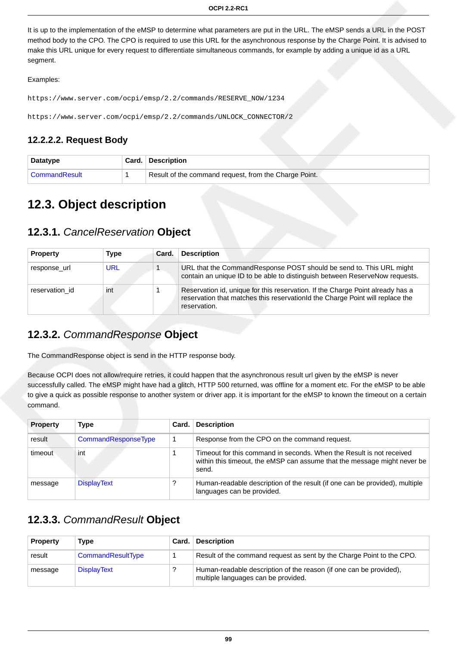It is up to the implementation of the eMSP to determine what parameters are put in the URL. The eMSP sends a URL in the POST method body to the CPO. The CPO is required to use this URL for the asynchronous response by the Charge Point. It is advised to make this URL unique for every request to differentiate simultaneous commands, for example by adding a unique id as a URL segment.

#### Examples:

```
https://www.server.com/ocpi/emsp/2.2/commands/RESERVE_NOW/1234
```
https://www.server.com/ocpi/emsp/2.2/commands/UNLOCK\_CONNECTOR/2

## **12.2.2.2. Request Body**

| Datatype        | Card. Description                                     |
|-----------------|-------------------------------------------------------|
| ∣ CommandResult | Result of the command request, from the Charge Point. |

# **12.3. Object description**

# <span id="page-105-0"></span>**12.3.1.** CancelReservation **Object**

| <b>Property</b> | Type | Card. | <b>Description</b>                                                                                                                                                               |
|-----------------|------|-------|----------------------------------------------------------------------------------------------------------------------------------------------------------------------------------|
| response url    | URL  |       | URL that the CommandResponse POST should be send to. This URL might<br>contain an unique ID to be able to distinguish between ReserveNow requests.                               |
| reservation id  | int  |       | Reservation id, unique for this reservation. If the Charge Point already has a<br>reservation that matches this reservation of the Charge Point will replace the<br>reservation. |

# <span id="page-105-1"></span>**12.3.2.** CommandResponse **Object**

The CommandResponse object is send in the HTTP response body.

Because OCPI does not allow/require retries, it could happen that the asynchronous result url given by the eMSP is never successfully called. The eMSP might have had a glitch, HTTP 500 returned, was offline for a moment etc. For the eMSP to be able to give a quick as possible response to another system or driver app. it is important for the eMSP to known the timeout on a certain command.

| <b>Property</b> | Type                | Card. | <b>Description</b>                                                                                                                                        |
|-----------------|---------------------|-------|-----------------------------------------------------------------------------------------------------------------------------------------------------------|
| result          | CommandResponseType |       | Response from the CPO on the command request.                                                                                                             |
| timeout         | int                 |       | Timeout for this command in seconds. When the Result is not received<br>within this timeout, the eMSP can assume that the message might never be<br>send. |
| message         | <b>DisplayText</b>  |       | Human-readable description of the result (if one can be provided), multiple<br>languages can be provided.                                                 |

# <span id="page-105-2"></span>**12.3.3.** CommandResult **Object**

| <b>Property</b> | <b>Type</b>        | Card. | <b>Description</b>                                                                                        |
|-----------------|--------------------|-------|-----------------------------------------------------------------------------------------------------------|
| result          | CommandResultType  |       | Result of the command request as sent by the Charge Point to the CPO.                                     |
| message         | <b>DisplayText</b> |       | Human-readable description of the reason (if one can be provided).<br>multiple languages can be provided. |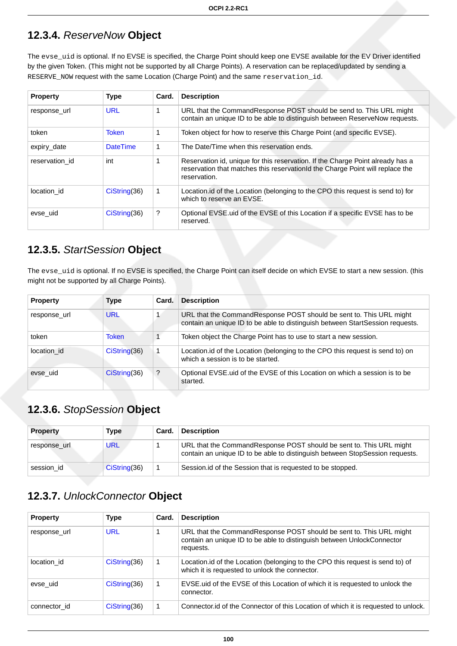# <span id="page-106-0"></span>**12.3.4.** ReserveNow **Object**

The evse\_uid is optional. If no EVSE is specified, the Charge Point should keep one EVSE available for the EV Driver identified by the given Token. (This might not be supported by all Charge Points). A reservation can be replaced/updated by sending a RESERVE\_NOW request with the same Location (Charge Point) and the same reservation\_id.

| <b>Property</b> | <b>Type</b>     | Card. | <b>Description</b>                                                                                                                                                              |
|-----------------|-----------------|-------|---------------------------------------------------------------------------------------------------------------------------------------------------------------------------------|
| response url    | <b>URL</b>      |       | URL that the CommandResponse POST should be send to. This URL might<br>contain an unique ID to be able to distinguish between ReserveNow requests.                              |
| token           | <b>Token</b>    |       | Token object for how to reserve this Charge Point (and specific EVSE).                                                                                                          |
| expiry_date     | <b>DateTime</b> | 1     | The Date/Time when this reservation ends.                                                                                                                                       |
| reservation id  | int             |       | Reservation id, unique for this reservation. If the Charge Point already has a<br>reservation that matches this reservation d the Charge Point will replace the<br>reservation. |
| location id     | CisString(36)   | 1     | Location.id of the Location (belonging to the CPO this request is send to) for<br>which to reserve an EVSE.                                                                     |
| evse uid        | CisString(36)   | ?     | Optional EVSE uid of the EVSE of this Location if a specific EVSE has to be<br>reserved.                                                                                        |

# <span id="page-106-1"></span>**12.3.5.** StartSession **Object**

The evse\_uid is optional. If no EVSE is specified, the Charge Point can itself decide on which EVSE to start a new session. (this might not be supported by all Charge Points).

| <b>Property</b> | Type          | Card. | <b>Description</b>                                                                                                                                   |
|-----------------|---------------|-------|------------------------------------------------------------------------------------------------------------------------------------------------------|
| response url    | <b>URL</b>    |       | URL that the CommandResponse POST should be sent to. This URL might<br>contain an unique ID to be able to distinguish between StartSession requests. |
| token           | <b>Token</b>  |       | Token object the Charge Point has to use to start a new session.                                                                                     |
| location id     | CisString(36) |       | Location. id of the Location (belonging to the CPO this request is send to) on<br>which a session is to be started.                                  |
| evse uid        | CisString(36) | ?     | Optional EVSE uid of the EVSE of this Location on which a session is to be<br>started.                                                               |

# <span id="page-106-2"></span>**12.3.6.** StopSession **Object**

| <b>Property</b> | Type          | Card. | <b>Description</b>                                                                                                                                  |
|-----------------|---------------|-------|-----------------------------------------------------------------------------------------------------------------------------------------------------|
| response url    | URL           |       | URL that the CommandResponse POST should be sent to. This URL might<br>contain an unique ID to be able to distinguish between StopSession requests. |
| session id      | Cisstring(36) |       | Session id of the Session that is requested to be stopped.                                                                                          |

# <span id="page-106-3"></span>**12.3.7.** UnlockConnector **Object**

| <b>Property</b> | <b>Type</b>   | Card. | <b>Description</b>                                                                                                                                         |
|-----------------|---------------|-------|------------------------------------------------------------------------------------------------------------------------------------------------------------|
| response_url    | <b>URL</b>    |       | URL that the CommandResponse POST should be sent to. This URL might<br>contain an unique ID to be able to distinguish between UnlockConnector<br>requests. |
| location id     | CisString(36) | 1     | Location.id of the Location (belonging to the CPO this request is send to) of<br>which it is requested to unlock the connector.                            |
| evse uid        | CisString(36) | 1     | EVSE uid of the EVSE of this Location of which it is requested to unlock the<br>connector.                                                                 |
| connector id    | Cisstring(36) |       | Connector id of the Connector of this Location of which it is requested to unlock.                                                                         |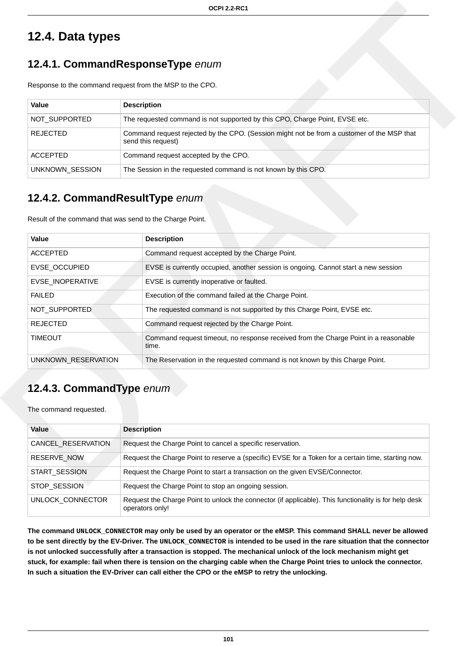# **12.4. Data types**

# <span id="page-107-1"></span>**12.4.1. CommandResponseType** enum

Response to the command request from the MSP to the CPO.

| Value           | <b>Description</b>                                                                                               |
|-----------------|------------------------------------------------------------------------------------------------------------------|
| NOT_SUPPORTED   | The requested command is not supported by this CPO, Charge Point, EVSE etc.                                      |
| <b>REJECTED</b> | Command request rejected by the CPO. (Session might not be from a customer of the MSP that<br>send this request) |
| <b>ACCEPTED</b> | Command request accepted by the CPO.                                                                             |
| UNKNOWN SESSION | The Session in the requested command is not known by this CPO.                                                   |

# <span id="page-107-2"></span>**12.4.2. CommandResultType** enum

Result of the command that was send to the Charge Point.

| Value                | <b>Description</b>                                                                           |
|----------------------|----------------------------------------------------------------------------------------------|
| <b>ACCEPTED</b>      | Command request accepted by the Charge Point.                                                |
| <b>EVSE OCCUPIED</b> | EVSE is currently occupied, another session is ongoing. Cannot start a new session           |
| EVSE INOPERATIVE     | EVSE is currently inoperative or faulted.                                                    |
| <b>FAILED</b>        | Execution of the command failed at the Charge Point.                                         |
| NOT SUPPORTED        | The requested command is not supported by this Charge Point, EVSE etc.                       |
| <b>REJECTED</b>      | Command request rejected by the Charge Point.                                                |
| <b>TIMEOUT</b>       | Command request timeout, no response received from the Charge Point in a reasonable<br>time. |
| UNKNOWN RESERVATION  | The Reservation in the requested command is not known by this Charge Point.                  |

# <span id="page-107-0"></span>**12.4.3. CommandType** enum

The command requested.

| Value              | <b>Description</b>                                                                                                       |
|--------------------|--------------------------------------------------------------------------------------------------------------------------|
| CANCEL_RESERVATION | Request the Charge Point to cancel a specific reservation.                                                               |
| <b>RESERVE NOW</b> | Request the Charge Point to reserve a (specific) EVSE for a Token for a certain time, starting now.                      |
| START_SESSION      | Request the Charge Point to start a transaction on the given EVSE/Connector.                                             |
| STOP SESSION       | Request the Charge Point to stop an ongoing session.                                                                     |
| UNLOCK CONNECTOR   | Request the Charge Point to unlock the connector (if applicable). This functionality is for help desk<br>operators only! |

**The command UNLOCK\_CONNECTOR may only be used by an operator or the eMSP. This command SHALL never be allowed to be sent directly by the EV-Driver. The UNLOCK\_CONNECTOR is intended to be used in the rare situation that the connector is not unlocked successfully after a transaction is stopped. The mechanical unlock of the lock mechanism might get stuck, for example: fail when there is tension on the charging cable when the Charge Point tries to unlock the connector. In such a situation the EV-Driver can call either the CPO or the eMSP to retry the unlocking.**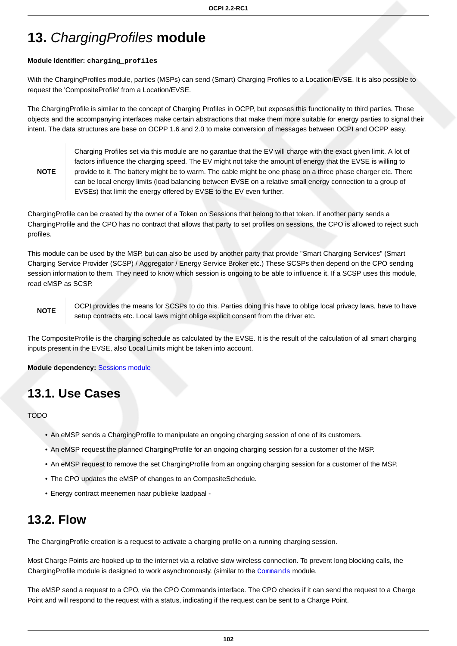# **13.** ChargingProfiles **module**

#### **Module Identifier: charging\_profiles**

With the ChargingProfiles module, parties (MSPs) can send (Smart) Charging Profiles to a Location/EVSE. It is also possible to request the 'CompositeProfile' from a Location/EVSE.

The ChargingProfile is similar to the concept of Charging Profiles in OCPP, but exposes this functionality to third parties. These objects and the accompanying interfaces make certain abstractions that make them more suitable for energy parties to signal their intent. The data structures are base on OCPP 1.6 and 2.0 to make conversion of messages between OCPI and OCPP easy.

#### **NOTE**

Charging Profiles set via this module are no garantue that the EV will charge with the exact given limit. A lot of factors influence the charging speed. The EV might not take the amount of energy that the EVSE is willing to provide to it. The battery might be to warm. The cable might be one phase on a three phase charger etc. There can be local energy limits (load balancing between EVSE on a relative small energy connection to a group of EVSEs) that limit the energy offered by EVSE to the EV even further.

ChargingProfile can be created by the owner of a Token on Sessions that belong to that token. If another party sends a ChargingProfile and the CPO has no contract that allows that party to set profiles on sessions, the CPO is allowed to reject such profiles.

This module can be used by the MSP, but can also be used by another party that provide "Smart Charging Services" (Smart Charging Service Provider (SCSP) / Aggregator / Energy Service Broker etc.) These SCSPs then depend on the CPO sending session information to them. They need to know which session is ongoing to be able to influence it. If a SCSP uses this module, read eMSP as SCSP.

#### **NOTE**

OCPI provides the means for SCSPs to do this. Parties doing this have to oblige local privacy laws, have to have setup contracts etc. Local laws might oblige explicit consent from the driver etc.

The CompositeProfile is the charging schedule as calculated by the EVSE. It is the result of the calculation of all smart charging inputs present in the EVSE, also Local Limits might be taken into account.

**Module dependency:** [Sessions module](#page-56-0)

### **13.1. Use Cases**

TODO

- An eMSP sends a ChargingProfile to manipulate an ongoing charging session of one of its customers.
- An eMSP request the planned ChargingProfile for an ongoing charging session for a customer of the MSP.
- An eMSP request to remove the set ChargingProfile from an ongoing charging session for a customer of the MSP.
- The CPO updates the eMSP of changes to an CompositeSchedule.
- Energy contract meenemen naar publieke laadpaal -

### **13.2. Flow**

The ChargingProfile creation is a request to activate a charging profile on a running charging session.

Most Charge Points are hooked up to the internet via a relative slow wireless connection. To prevent long blocking calls, the ChargingProfile module is designed to work asynchronously. (similar to the [Commands](#page-101-0) module.

The eMSP send a request to a CPO, via the CPO Commands interface. The CPO checks if it can send the request to a Charge Point and will respond to the request with a status, indicating if the request can be sent to a Charge Point.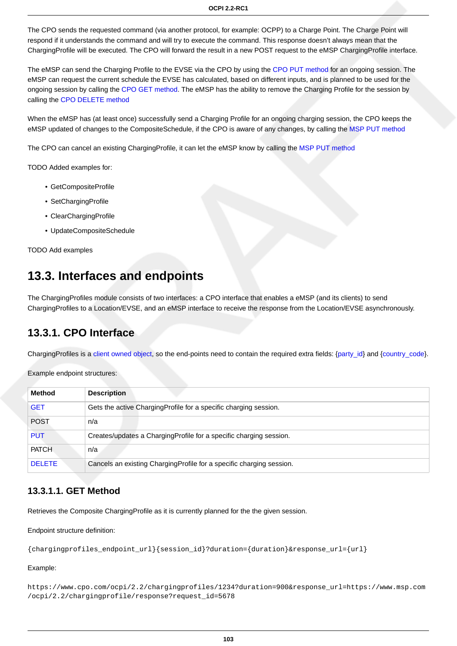The CPO sends the requested command (via another protocol, for example: OCPP) to a Charge Point. The Charge Point will respond if it understands the command and will try to execute the command. This response doesn't always mean that the ChargingProfile will be executed. The CPO will forward the result in a new POST request to the eMSP ChargingProfile interface.

The eMSP can send the Charging Profile to the EVSE via the CPO by using the [CPO PUT method](#page-110-0) for an ongoing session. The eMSP can request the current schedule the EVSE has calculated, based on different inputs, and is planned to be used for the ongoing session by calling the [CPO GET method](#page-109-0). The eMSP has the ability to remove the Charging Profile for the session by calling the [CPO DELETE method](#page-111-0)

When the eMSP has (at least once) successfully send a Charging Profile for an ongoing charging session, the CPO keeps the eMSP updated of changes to the CompositeSchedule, if the CPO is aware of any changes, by calling the [MSP PUT method](#page-113-0)

The CPO can cancel an existing ChargingProfile, it can let the eMSP know by calling the [MSP PUT method](#page-113-0)

TODO Added examples for:

- GetCompositeProfile
- SetChargingProfile
- ClearChargingProfile
- UpdateCompositeSchedule

TODO Add examples

### **13.3. Interfaces and endpoints**

The ChargingProfiles module consists of two interfaces: a CPO interface that enables a eMSP (and its clients) to send ChargingProfiles to a Location/EVSE, and an eMSP interface to receive the response from the Location/EVSE asynchronously.

### **13.3.1. CPO Interface**

ChargingProfiles is a [client owned object,](#page-16-0) so the end-points need to contain the required extra fields: [{party\\_id}](#page-35-0) and {[country\\_code}](#page-35-0).

Example endpoint structures:

| <b>Method</b> | <b>Description</b>                                                   |
|---------------|----------------------------------------------------------------------|
| <b>GET</b>    | Gets the active Charging Profile for a specific charging session.    |
| <b>POST</b>   | n/a                                                                  |
| <b>PUT</b>    | Creates/updates a ChargingProfile for a specific charging session.   |
| <b>PATCH</b>  | n/a                                                                  |
| <b>DELETE</b> | Cancels an existing ChargingProfile for a specific charging session. |

### <span id="page-109-0"></span>**13.3.1.1. GET Method**

Retrieves the Composite ChargingProfile as it is currently planned for the the given session.

Endpoint structure definition:

{chargingprofiles\_endpoint\_url}{session\_id}?duration={duration}&response\_url={url}

#### Example:

https://www.cpo.com/ocpi/2.2/chargingprofiles/1234?duration=900&response\_url=https://www.msp.com /ocpi/2.2/chargingprofile/response?request\_id=5678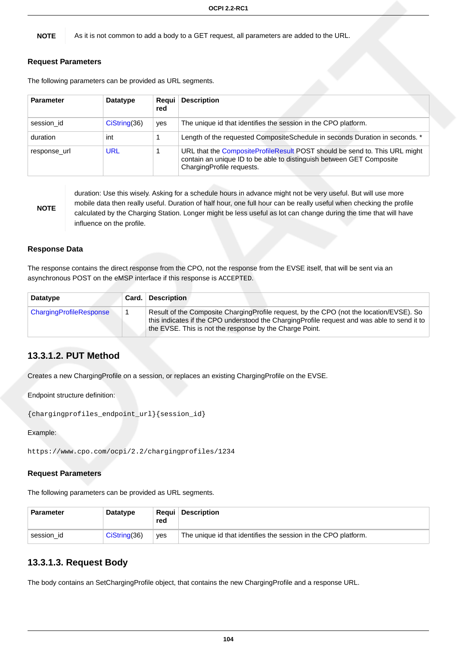**NOTE** As it is not common to add a body to a GET request, all parameters are added to the URL.

#### **Request Parameters**

The following parameters can be provided as URL segments.

| <b>Parameter</b> | Datatype      | Regui<br>red | <b>Description</b>                                                                                                                                                              |
|------------------|---------------|--------------|---------------------------------------------------------------------------------------------------------------------------------------------------------------------------------|
| session id       | Cisstring(36) | yes          | The unique id that identifies the session in the CPO platform.                                                                                                                  |
| duration         | int           |              | Length of the requested CompositeSchedule in seconds Duration in seconds. *                                                                                                     |
| response url     | <b>URL</b>    |              | URL that the CompositeProfileResult POST should be send to. This URL might<br>contain an unique ID to be able to distinguish between GET Composite<br>ChargingProfile requests. |

**NOTE**

duration: Use this wisely. Asking for a schedule hours in advance might not be very useful. But will use more mobile data then really useful. Duration of half hour, one full hour can be really useful when checking the profile calculated by the Charging Station. Longer might be less useful as lot can change during the time that will have influence on the profile.

#### **Response Data**

The response contains the direct response from the CPO, not the response from the EVSE itself, that will be sent via an asynchronous POST on the eMSP interface if this response is ACCEPTED.

| <b>Datatype</b>                | Card. | <b>Description</b>                                                                                                                                                                                                                                |
|--------------------------------|-------|---------------------------------------------------------------------------------------------------------------------------------------------------------------------------------------------------------------------------------------------------|
| <b>ChargingProfileResponse</b> |       | Result of the Composite ChargingProfile request, by the CPO (not the location/EVSE). So<br>this indicates if the CPO understood the ChargingProfile request and was able to send it to<br>the EVSE. This is not the response by the Charge Point. |

### <span id="page-110-0"></span>**13.3.1.2. PUT Method**

Creates a new ChargingProfile on a session, or replaces an existing ChargingProfile on the EVSE.

Endpoint structure definition:

```
{chargingprofiles_endpoint_url}{session_id}
```
Example:

```
https://www.cpo.com/ocpi/2.2/chargingprofiles/1234
```
#### **Request Parameters**

The following parameters can be provided as URL segments.

| <b>Parameter</b> | Datatype      | red | <b>Reaui</b> Description                                       |
|------------------|---------------|-----|----------------------------------------------------------------|
| session id       | Cisstring(36) | ves | The unique id that identifies the session in the CPO platform. |

### **13.3.1.3. Request Body**

The body contains an SetChargingProfile object, that contains the new ChargingProfile and a response URL.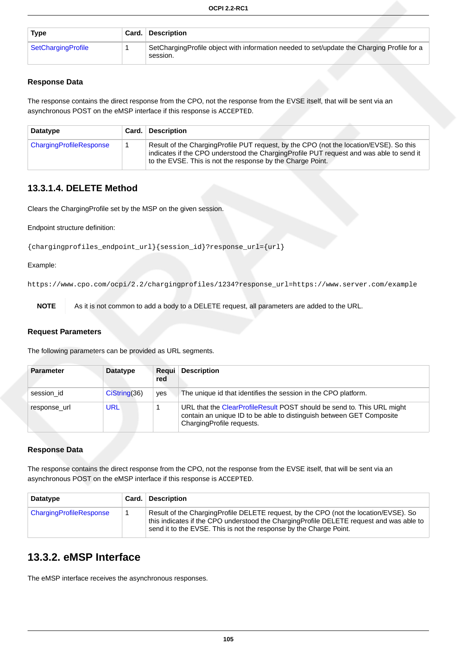| Type               | Card. | <b>Description</b>                                                                                     |
|--------------------|-------|--------------------------------------------------------------------------------------------------------|
| SetChargingProfile |       | SetChargingProfile object with information needed to set/update the Charging Profile for a<br>session. |

#### **Response Data**

The response contains the direct response from the CPO, not the response from the EVSE itself, that will be sent via an asynchronous POST on the eMSP interface if this response is ACCEPTED.

| Datatype                | Card. | <b>Description</b>                                                                                                                                                                                                                               |
|-------------------------|-------|--------------------------------------------------------------------------------------------------------------------------------------------------------------------------------------------------------------------------------------------------|
| ChargingProfileResponse |       | Result of the ChargingProfile PUT request, by the CPO (not the location/EVSE). So this<br>indicates if the CPO understood the Charging Profile PUT request and was able to send it<br>to the EVSE. This is not the response by the Charge Point. |

### <span id="page-111-0"></span>**13.3.1.4. DELETE Method**

Clears the ChargingProfile set by the MSP on the given session.

Endpoint structure definition:

```
{chargingprofiles_endpoint_url}{session_id}?response_url={url}
```
Example:

https://www.cpo.com/ocpi/2.2/chargingprofiles/1234?response\_url=https://www.server.com/example

**NOTE** As it is not common to add a body to a DELETE request, all parameters are added to the URL.

#### **Request Parameters**

The following parameters can be provided as URL segments.

| <b>Parameter</b> | <b>Datatype</b> | <b>Regui</b><br>red | <b>Description</b>                                                                                                                                                          |
|------------------|-----------------|---------------------|-----------------------------------------------------------------------------------------------------------------------------------------------------------------------------|
| session id       | CisString(36)   | yes                 | The unique id that identifies the session in the CPO platform.                                                                                                              |
| response url     | URL             |                     | URL that the ClearProfileResult POST should be send to. This URL might<br>contain an unique ID to be able to distinguish between GET Composite<br>ChargingProfile requests. |

#### **Response Data**

The response contains the direct response from the CPO, not the response from the EVSE itself, that will be sent via an asynchronous POST on the eMSP interface if this response is ACCEPTED.

| <b>Datatype</b>         | Card. | <b>Description</b>                                                                                                                                                                                                                                    |  |
|-------------------------|-------|-------------------------------------------------------------------------------------------------------------------------------------------------------------------------------------------------------------------------------------------------------|--|
| ChargingProfileResponse |       | Result of the ChargingProfile DELETE request, by the CPO (not the location/EVSE). So<br>this indicates if the CPO understood the ChargingProfile DELETE request and was able to<br>send it to the EVSE. This is not the response by the Charge Point. |  |

### **13.3.2. eMSP Interface**

The eMSP interface receives the asynchronous responses.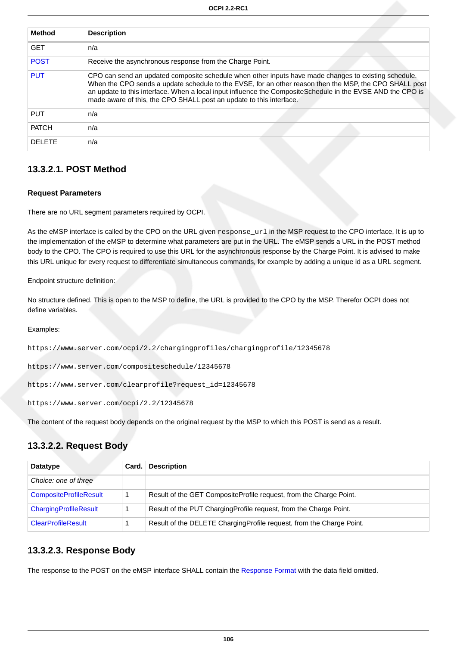| <b>Method</b> | <b>Description</b>                                                                                                                                                                                                                                                                                                                                                                                  |
|---------------|-----------------------------------------------------------------------------------------------------------------------------------------------------------------------------------------------------------------------------------------------------------------------------------------------------------------------------------------------------------------------------------------------------|
| <b>GET</b>    | n/a                                                                                                                                                                                                                                                                                                                                                                                                 |
| <b>POST</b>   | Receive the asynchronous response from the Charge Point.                                                                                                                                                                                                                                                                                                                                            |
| <b>PUT</b>    | CPO can send an updated composite schedule when other inputs have made changes to existing schedule.<br>When the CPO sends a update schedule to the EVSE, for an other reason then the MSP, the CPO SHALL post<br>an update to this interface. When a local input influence the CompositeSchedule in the EVSE AND the CPO is<br>made aware of this, the CPO SHALL post an update to this interface. |
| <b>PUT</b>    | n/a                                                                                                                                                                                                                                                                                                                                                                                                 |
| <b>PATCH</b>  | n/a                                                                                                                                                                                                                                                                                                                                                                                                 |
| <b>DELETE</b> | n/a                                                                                                                                                                                                                                                                                                                                                                                                 |

### <span id="page-112-0"></span>**13.3.2.1. POST Method**

#### **Request Parameters**

There are no URL segment parameters required by OCPI.

As the eMSP interface is called by the CPO on the URL given response\_url in the MSP request to the CPO interface, It is up to the implementation of the eMSP to determine what parameters are put in the URL. The eMSP sends a URL in the POST method body to the CPO. The CPO is required to use this URL for the asynchronous response by the Charge Point. It is advised to make this URL unique for every request to differentiate simultaneous commands, for example by adding a unique id as a URL segment.

Endpoint structure definition:

No structure defined. This is open to the MSP to define, the URL is provided to the CPO by the MSP. Therefor OCPI does not define variables.

Examples:

https://www.server.com/ocpi/2.2/chargingprofiles/chargingprofile/12345678

https://www.server.com/compositeschedule/12345678

```
https://www.server.com/clearprofile?request_id=12345678
```
https://www.server.com/ocpi/2.2/12345678

The content of the request body depends on the original request by the MSP to which this POST is send as a result.

### **13.3.2.2. Request Body**

| Datatype                      | Card. | <b>Description</b>                                                    |
|-------------------------------|-------|-----------------------------------------------------------------------|
| Choice: one of three          |       |                                                                       |
| <b>CompositeProfileResult</b> |       | Result of the GET CompositeProfile request, from the Charge Point.    |
| ChargingProfileResult         |       | Result of the PUT Charging Profile request, from the Charge Point.    |
| <b>ClearProfileResult</b>     |       | Result of the DELETE Charging Profile request, from the Charge Point. |

### **13.3.2.3. Response Body**

The response to the POST on the eMSP interface SHALL contain the [Response Format](#page-16-1) with the data field omitted.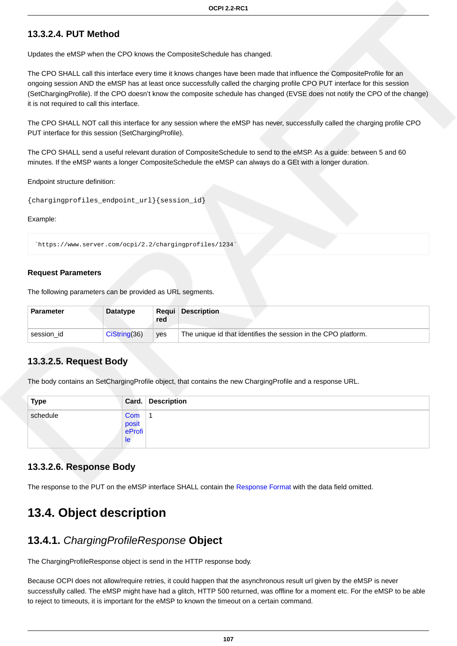### <span id="page-113-0"></span>**13.3.2.4. PUT Method**

Updates the eMSP when the CPO knows the CompositeSchedule has changed.

The CPO SHALL call this interface every time it knows changes have been made that influence the CompositeProfile for an ongoing session AND the eMSP has at least once successfully called the charging profile CPO PUT interface for this session (SetChargingProfile). If the CPO doesn't know the composite schedule has changed (EVSE does not notify the CPO of the change) it is not required to call this interface.

The CPO SHALL NOT call this interface for any session where the eMSP has never, successfully called the charging profile CPO PUT interface for this session (SetChargingProfile).

The CPO SHALL send a useful relevant duration of CompositeSchedule to send to the eMSP. As a guide: between 5 and 60 minutes. If the eMSP wants a longer CompositeSchedule the eMSP can always do a GEt with a longer duration.

Endpoint structure definition:

{chargingprofiles\_endpoint\_url}{session\_id}

Example:

`https://www.server.com/ocpi/2.2/chargingprofiles/1234`

#### **Request Parameters**

The following parameters can be provided as URL segments.

| <b>Parameter</b> | Datatype       | red | <b>Reaui</b> Description                                       |
|------------------|----------------|-----|----------------------------------------------------------------|
| session id       | Cis string(36) | ves | The unique id that identifies the session in the CPO platform. |

### **13.3.2.5. Request Body**

The body contains an SetChargingProfile object, that contains the new ChargingProfile and a response URL.

| <b>Type</b> |                              | Card. Description |
|-------------|------------------------------|-------------------|
| schedule    | Com<br>posit<br>eProfi<br>le |                   |

#### **13.3.2.6. Response Body**

The response to the PUT on the eMSP interface SHALL contain the [Response Format](#page-16-1) with the data field omitted.

### **13.4. Object description**

### <span id="page-113-1"></span>**13.4.1.** ChargingProfileResponse **Object**

The ChargingProfileResponse object is send in the HTTP response body.

Because OCPI does not allow/require retries, it could happen that the asynchronous result url given by the eMSP is never successfully called. The eMSP might have had a glitch, HTTP 500 returned, was offline for a moment etc. For the eMSP to be able to reject to timeouts, it is important for the eMSP to known the timeout on a certain command.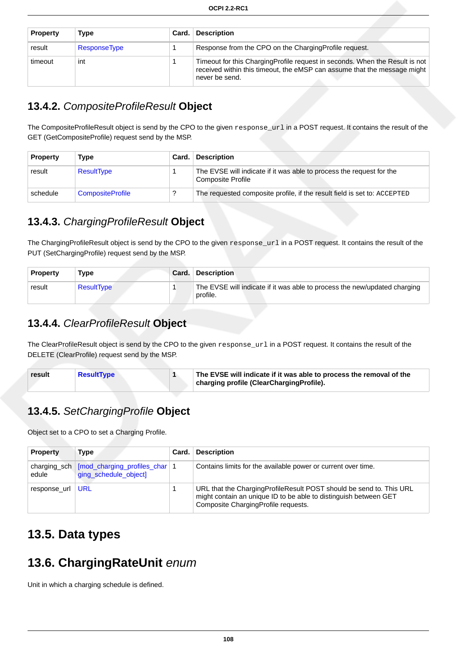| <b>Property</b> | Type         | Card. | <b>Description</b>                                                                                                                                                        |
|-----------------|--------------|-------|---------------------------------------------------------------------------------------------------------------------------------------------------------------------------|
| result          | ResponseType |       | Response from the CPO on the Charging Profile request.                                                                                                                    |
| timeout         | int          |       | Timeout for this ChargingProfile request in seconds. When the Result is not<br>received within this timeout, the eMSP can assume that the message might<br>never be send. |

### <span id="page-114-0"></span>**13.4.2.** CompositeProfileResult **Object**

The CompositeProfileResult object is send by the CPO to the given response\_url in a POST request. It contains the result of the GET (GetCompositeProfile) request send by the MSP.

| <b>Property</b> | Type                    | Card. | <b>Description</b>                                                                               |
|-----------------|-------------------------|-------|--------------------------------------------------------------------------------------------------|
| result          | ResultType              |       | The EVSE will indicate if it was able to process the request for the<br><b>Composite Profile</b> |
| schedule        | <b>CompositeProfile</b> |       | The requested composite profile, if the result field is set to: ACCEPTED                         |

### <span id="page-114-3"></span>**13.4.3.** ChargingProfileResult **Object**

The ChargingProfileResult object is send by the CPO to the given response\_url in a POST request. It contains the result of the PUT (SetChargingProfile) request send by the MSP.

| <b>Property</b> | Type              | <b>Card. Description</b>                                                              |
|-----------------|-------------------|---------------------------------------------------------------------------------------|
| result          | <b>ResultType</b> | The EVSE will indicate if it was able to process the new/updated charging<br>profile. |

### <span id="page-114-2"></span>**13.4.4.** ClearProfileResult **Object**

The ClearProfileResult object is send by the CPO to the given response\_url in a POST request. It contains the result of the DELETE (ClearProfile) request send by the MSP.

| result | ResultType |  | The EVSE will indicate if it was able to process the removal of the<br>charging profile (ClearChargingProfile). |
|--------|------------|--|-----------------------------------------------------------------------------------------------------------------|
|--------|------------|--|-----------------------------------------------------------------------------------------------------------------|

### <span id="page-114-1"></span>**13.4.5.** SetChargingProfile **Object**

Object set to a CPO to set a Charging Profile.

| <b>Property</b>       | Type                                                     | Card. | <b>Description</b>                                                                                                                                                               |
|-----------------------|----------------------------------------------------------|-------|----------------------------------------------------------------------------------------------------------------------------------------------------------------------------------|
| charging_sch<br>edule | [mod_charging_profiles_char   1<br>ging_schedule_object] |       | Contains limits for the available power or current over time.                                                                                                                    |
| response url          | URL                                                      |       | URL that the Charging Profile Result POST should be send to. This URL<br>might contain an unique ID to be able to distinguish between GET<br>Composite ChargingProfile requests. |

## **13.5. Data types**

## <span id="page-114-4"></span>**13.6. ChargingRateUnit** enum

Unit in which a charging schedule is defined.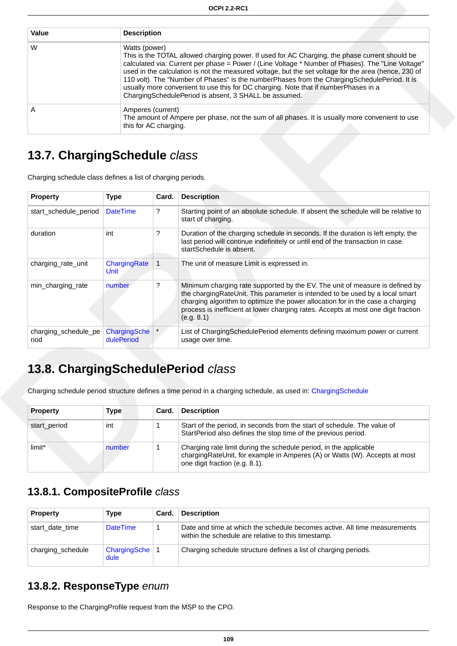| Value | <b>Description</b>                                                                                                                                                                                                                                                                                                                                                                                                                                                                                                                                                           |
|-------|------------------------------------------------------------------------------------------------------------------------------------------------------------------------------------------------------------------------------------------------------------------------------------------------------------------------------------------------------------------------------------------------------------------------------------------------------------------------------------------------------------------------------------------------------------------------------|
| W     | Watts (power)<br>This is the TOTAL allowed charging power. If used for AC Charging, the phase current should be<br>calculated via: Current per phase = Power / (Line Voltage * Number of Phases). The "Line Voltage"<br>used in the calculation is not the measured voltage, but the set voltage for the area (hence, 230 of<br>110 volt). The "Number of Phases" is the numberPhases from the ChargingSchedulePeriod. It is<br>usually more convenient to use this for DC charging. Note that if numberPhases in a<br>ChargingSchedulePeriod is absent, 3 SHALL be assumed. |
| А     | Amperes (current)<br>The amount of Ampere per phase, not the sum of all phases. It is usually more convenient to use<br>this for AC charging.                                                                                                                                                                                                                                                                                                                                                                                                                                |

## <span id="page-115-3"></span>**13.7. ChargingSchedule** class

Charging schedule class defines a list of charging periods.

| <b>Property</b>              | <b>Type</b>                | Card. | <b>Description</b>                                                                                                                                                                                                                                                                                                                                  |
|------------------------------|----------------------------|-------|-----------------------------------------------------------------------------------------------------------------------------------------------------------------------------------------------------------------------------------------------------------------------------------------------------------------------------------------------------|
| start_schedule_period        | <b>DateTime</b>            | ?     | Starting point of an absolute schedule. If absent the schedule will be relative to<br>start of charging.                                                                                                                                                                                                                                            |
| duration                     | int                        | ?     | Duration of the charging schedule in seconds. If the duration is left empty, the<br>last period will continue indefinitely or until end of the transaction in case<br>startSchedule is absent.                                                                                                                                                      |
| charging_rate_unit           | ChargingRate<br>Unit       |       | The unit of measure Limit is expressed in.                                                                                                                                                                                                                                                                                                          |
| min_charging_rate            | number                     | ?     | Minimum charging rate supported by the EV. The unit of measure is defined by<br>the charging RateUnit. This parameter is intended to be used by a local smart<br>charging algorithm to optimize the power allocation for in the case a charging<br>process is inefficient at lower charging rates. Accepts at most one digit fraction<br>(e.g. 8.1) |
| charging schedule pe<br>riod | ChargingSche<br>dulePeriod |       | List of Charging Schedule Period elements defining maximum power or current<br>usage over time.                                                                                                                                                                                                                                                     |

## <span id="page-115-2"></span>**13.8. ChargingSchedulePeriod** class

Charging schedule period structure defines a time period in a charging schedule, as used in: [ChargingSchedule](#page-115-3)

| <b>Property</b> | Type   | Card. | <b>Description</b>                                                                                                                                                                |
|-----------------|--------|-------|-----------------------------------------------------------------------------------------------------------------------------------------------------------------------------------|
| start period    | int    |       | Start of the period, in seconds from the start of schedule. The value of<br>StartPeriod also defines the stop time of the previous period.                                        |
| limit*          | number |       | Charging rate limit during the schedule period, in the applicable<br>chargingRateUnit, for example in Amperes (A) or Watts (W). Accepts at most<br>one digit fraction (e.g. 8.1). |

### <span id="page-115-0"></span>**13.8.1. CompositeProfile** class

| <b>Property</b>   | Type                     | Card. | <b>Description</b>                                                                                                               |
|-------------------|--------------------------|-------|----------------------------------------------------------------------------------------------------------------------------------|
| start date time   | <b>DateTime</b>          |       | Date and time at which the schedule becomes active. All time measurements<br>within the schedule are relative to this timestamp. |
| charging schedule | ChargingSche   1<br>dule |       | Charging schedule structure defines a list of charging periods.                                                                  |

### <span id="page-115-1"></span>**13.8.2. ResponseType** enum

Response to the ChargingProfile request from the MSP to the CPO.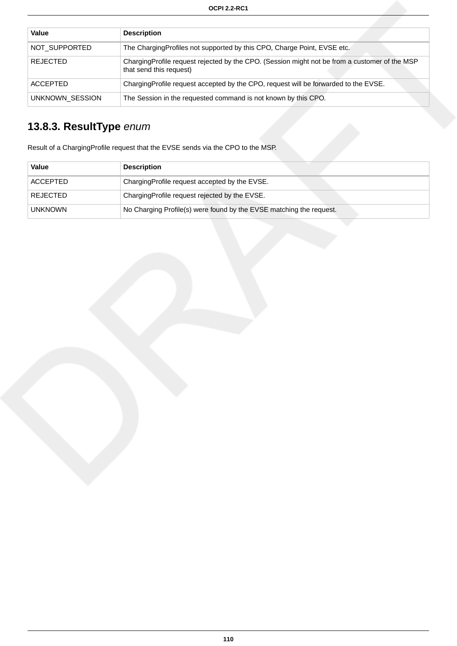| Value           | <b>Description</b>                                                                                                       |
|-----------------|--------------------------------------------------------------------------------------------------------------------------|
| NOT SUPPORTED   | The Charging Profiles not supported by this CPO, Charge Point, EVSE etc.                                                 |
| <b>REJECTED</b> | ChargingProfile request rejected by the CPO. (Session might not be from a customer of the MSP<br>that send this request) |
| <b>ACCEPTED</b> | Charging Profile request accepted by the CPO, request will be forwarded to the EVSE.                                     |
| UNKNOWN SESSION | The Session in the requested command is not known by this CPO.                                                           |

# <span id="page-116-0"></span>**13.8.3. ResultType** enum

Result of a ChargingProfile request that the EVSE sends via the CPO to the MSP.

| Value           | <b>Description</b>                                                  |
|-----------------|---------------------------------------------------------------------|
| <b>ACCEPTED</b> | ChargingProfile request accepted by the EVSE.                       |
| <b>REJECTED</b> | ChargingProfile request rejected by the EVSE.                       |
| <b>UNKNOWN</b>  | No Charging Profile(s) were found by the EVSE matching the request. |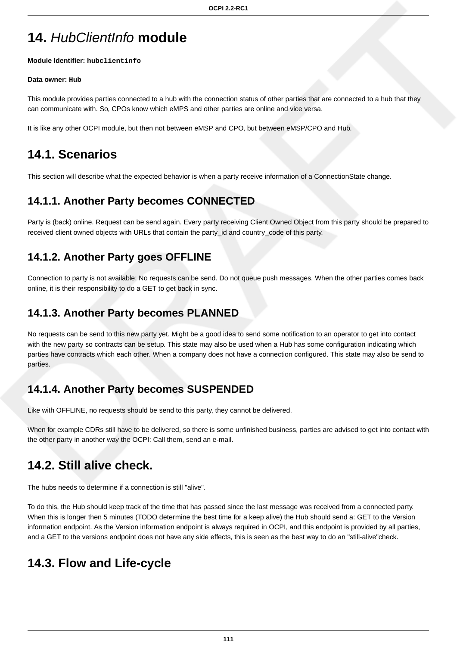# **14.** HubClientInfo **module**

#### **Module Identifier: hubclientinfo**

#### **Data owner: Hub**

This module provides parties connected to a hub with the connection status of other parties that are connected to a hub that they can communicate with. So, CPOs know which eMPS and other parties are online and vice versa.

It is like any other OCPI module, but then not between eMSP and CPO, but between eMSP/CPO and Hub.

## **14.1. Scenarios**

This section will describe what the expected behavior is when a party receive information of a ConnectionState change.

## **14.1.1. Another Party becomes CONNECTED**

Party is (back) online. Request can be send again. Every party receiving Client Owned Object from this party should be prepared to received client owned objects with URLs that contain the party\_id and country\_code of this party.

### **14.1.2. Another Party goes OFFLINE**

Connection to party is not available: No requests can be send. Do not queue push messages. When the other parties comes back online, it is their responsibility to do a GET to get back in sync.

### **14.1.3. Another Party becomes PLANNED**

No requests can be send to this new party yet. Might be a good idea to send some notification to an operator to get into contact with the new party so contracts can be setup. This state may also be used when a Hub has some configuration indicating which parties have contracts which each other. When a company does not have a connection configured. This state may also be send to parties.

### **14.1.4. Another Party becomes SUSPENDED**

Like with OFFLINE, no requests should be send to this party, they cannot be delivered.

When for example CDRs still have to be delivered, so there is some unfinished business, parties are advised to get into contact with the other party in another way the OCPI: Call them, send an e-mail.

## **14.2. Still alive check.**

The hubs needs to determine if a connection is still "alive".

To do this, the Hub should keep track of the time that has passed since the last message was received from a connected party. When this is longer then 5 minutes (TODO determine the best time for a keep alive) the Hub should send a: GET to the Version information endpoint. As the Version information endpoint is always required in OCPI, and this endpoint is provided by all parties, and a GET to the versions endpoint does not have any side effects, this is seen as the best way to do an "still-alive"check.

## **14.3. Flow and Life-cycle**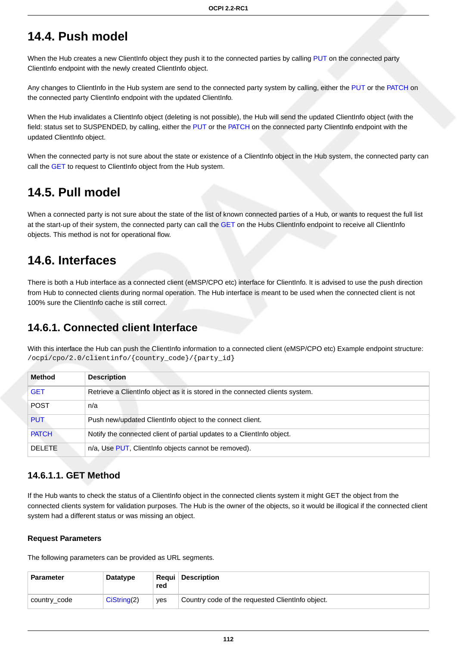### **14.4. Push model**

When the Hub creates a new ClientInfo object they push it to the connected parties by calling [PUT](#page-119-0) on the connected party ClientInfo endpoint with the newly created ClientInfo object.

Any changes to ClientInfo in the Hub system are send to the connected party system by calling, either the [PUT](#page-119-0) or the [PATCH](#page-119-1) on the connected party ClientInfo endpoint with the updated ClientInfo.

When the Hub invalidates a ClientInfo object (deleting is not possible), the Hub will send the updated ClientInfo object (with the field: status set to SUSPENDED, by calling, either the [PUT](#page-119-0) or the [PATCH](#page-119-1) on the connected party ClientInfo endpoint with the updated ClientInfo object.

When the connected party is not sure about the state or existence of a ClientInfo object in the Hub system, the connected party can call the [GET](#page-120-0) to request to ClientInfo object from the Hub system.

### **14.5. Pull model**

When a connected party is not sure about the state of the list of known connected parties of a Hub, or wants to request the full list at the start-up of their system, the connected party can call the [GET](#page-120-0) on the Hubs ClientInfo endpoint to receive all ClientInfo objects. This method is not for operational flow.

### **14.6. Interfaces**

There is both a Hub interface as a connected client (eMSP/CPO etc) interface for ClientInfo. It is advised to use the push direction from Hub to connected clients during normal operation. The Hub interface is meant to be used when the connected client is not 100% sure the ClientInfo cache is still correct.

### **14.6.1. Connected client Interface**

With this interface the Hub can push the ClientInfo information to a connected client (eMSP/CPO etc) Example endpoint structure: /ocpi/cpo/2.0/clientinfo/{country\_code}/{party\_id}

| <b>Method</b> | <b>Description</b>                                                            |
|---------------|-------------------------------------------------------------------------------|
| <b>GET</b>    | Retrieve a Clientinfo object as it is stored in the connected clients system. |
| <b>POST</b>   | n/a                                                                           |
| <b>PUT</b>    | Push new/updated Clientinfo object to the connect client.                     |
| <b>PATCH</b>  | Notify the connected client of partial updates to a Clientinfo object.        |
| DELETE.       | n/a, Use PUT, Clientinfo objects cannot be removed).                          |

### <span id="page-118-0"></span>**14.6.1.1. GET Method**

If the Hub wants to check the status of a ClientInfo object in the connected clients system it might GET the object from the connected clients system for validation purposes. The Hub is the owner of the objects, so it would be illogical if the connected client system had a different status or was missing an object.

#### **Request Parameters**

The following parameters can be provided as URL segments.

| <b>Parameter</b> | Datatype     | red | <b>Requi Description</b>                         |
|------------------|--------------|-----|--------------------------------------------------|
| country_code     | Cisstring(2) | ves | Country code of the requested Clientinfo object. |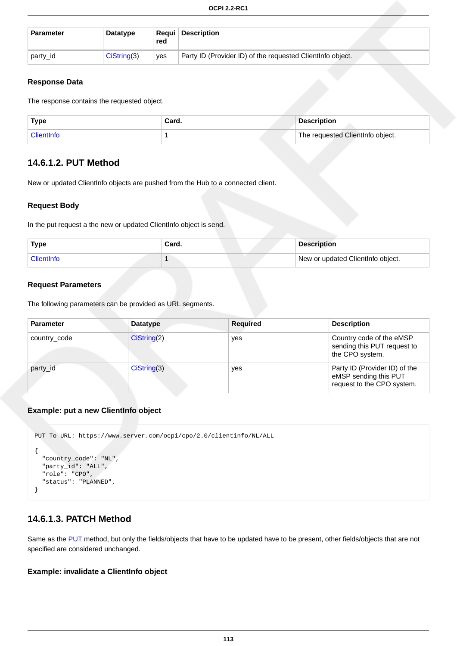| <b>Parameter</b> | Datatype       | red | <b>Reaui</b> Description                                    |  |
|------------------|----------------|-----|-------------------------------------------------------------|--|
| party_id         | $Cis$ tring(3) | ves | Party ID (Provider ID) of the requested Client Info object. |  |

#### **Response Data**

The response contains the requested object.

| <b>Type</b>             | Card. | <b>Description</b>                            |
|-------------------------|-------|-----------------------------------------------|
| <sup>1</sup> ClientInfo |       | <sup>1</sup> The requested ClientInfo object. |

### <span id="page-119-0"></span>**14.6.1.2. PUT Method**

New or updated ClientInfo objects are pushed from the Hub to a connected client.

#### **Request Body**

In the put request a the new or updated ClientInfo object is send.

| <b>Type</b> | Card. | <b>Description</b>                |
|-------------|-------|-----------------------------------|
| ClientInfo  |       | New or updated ClientInfo object. |

#### **Request Parameters**

The following parameters can be provided as URL segments.

| <b>Parameter</b> | <b>Datatype</b> | <b>Required</b> | <b>Description</b>                                                                   |
|------------------|-----------------|-----------------|--------------------------------------------------------------------------------------|
| country_code     | Cisstring(2)    | yes             | Country code of the eMSP<br>sending this PUT request to<br>the CPO system.           |
| party id         | CisString(3)    | yes             | Party ID (Provider ID) of the<br>eMSP sending this PUT<br>request to the CPO system. |

#### **Example: put a new ClientInfo object**

```
PUT To URL: https://www.server.com/ocpi/cpo/2.0/clientinfo/NL/ALL
{
   "country_code": "NL",
   "party_id": "ALL",
 "role": "CPO",
 "status": "PLANNED",
}
```
### <span id="page-119-1"></span>**14.6.1.3. PATCH Method**

Same as the [PUT](#page-119-0) method, but only the fields/objects that have to be updated have to be present, other fields/objects that are not specified are considered unchanged.

#### **Example: invalidate a ClientInfo object**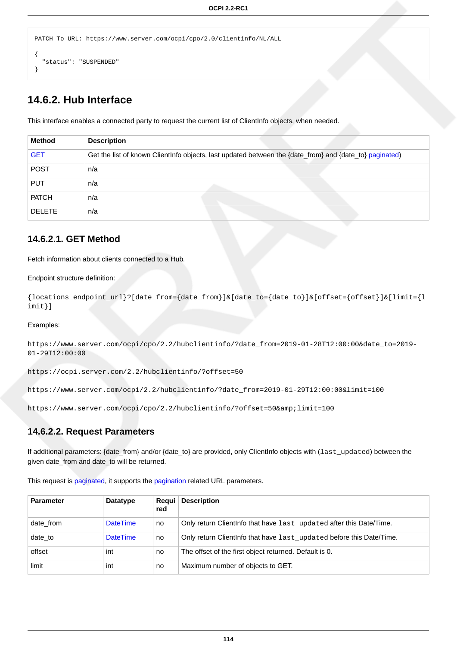```
PATCH To URL: https://www.server.com/ocpi/cpo/2.0/clientinfo/NL/ALL
{
   "status": "SUSPENDED"
}
```
### **14.6.2. Hub Interface**

This interface enables a connected party to request the current list of ClientInfo objects, when needed.

| <b>Method</b> | <b>Description</b>                                                                                      |
|---------------|---------------------------------------------------------------------------------------------------------|
| <b>GET</b>    | Get the list of known ClientInfo objects, last updated between the {date_from} and {date_to} paginated) |
| <b>POST</b>   | n/a                                                                                                     |
| <b>PUT</b>    | n/a                                                                                                     |
| <b>PATCH</b>  | n/a                                                                                                     |
| <b>DELETE</b> | n/a                                                                                                     |

### <span id="page-120-0"></span>**14.6.2.1. GET Method**

Fetch information about clients connected to a Hub.

#### Endpoint structure definition:

```
{locations_endpoint_url}?[date_from={date_from}]&[date_to={date_to}]&[offset={offset}]&[limit={l
imit}]
```
Examples:

https://www.server.com/ocpi/cpo/2.2/hubclientinfo/?date\_from=2019-01-28T12:00:00&date\_to=2019- 01-29T12:00:00

https://ocpi.server.com/2.2/hubclientinfo/?offset=50

https://www.server.com/ocpi/2.2/hubclientinfo/?date\_from=2019-01-29T12:00:00&limit=100

https://www.server.com/ocpi/cpo/2.2/hubclientinfo/?offset=50&limit=100

#### **14.6.2.2. Request Parameters**

If additional parameters: {date\_from} and/or {date\_to} are provided, only ClientInfo objects with (last\_updated) between the given date\_from and date\_to will be returned.

| <b>Parameter</b> | <b>Datatype</b> | Regui<br>red | <b>Description</b>                                                   |
|------------------|-----------------|--------------|----------------------------------------------------------------------|
| date from        | <b>DateTime</b> | no           | Only return Clientinfo that have last_updated after this Date/Time.  |
| date to          | <b>DateTime</b> | no           | Only return Clientinfo that have last_updated before this Date/Time. |
| offset           | int             | no.          | The offset of the first object returned. Default is 0.               |
| limit            | int             | no           | Maximum number of objects to GET.                                    |

This request is [paginated,](#page-14-0) it supports the [pagination](#page-14-1) related URL parameters.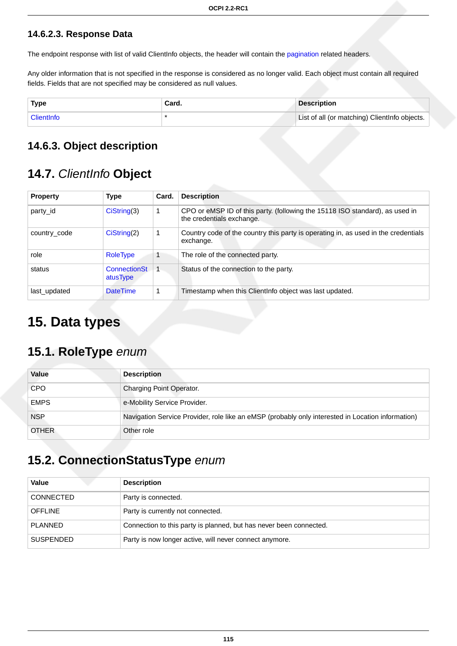### **14.6.2.3. Response Data**

The endpoint response with list of valid ClientInfo objects, the header will contain the [pagination](#page-14-2) related headers.

Any older information that is not specified in the response is considered as no longer valid. Each object must contain all required fields. Fields that are not specified may be considered as null values.

| <b>Type</b> | Card. | <b>Description</b>                            |
|-------------|-------|-----------------------------------------------|
| ClientInfo  |       | List of all (or matching) ClientInfo objects. |

### **14.6.3. Object description**

## <span id="page-121-0"></span>**14.7.** ClientInfo **Object**

| <b>Property</b> | <b>Type</b>              | Card. | <b>Description</b>                                                                                        |
|-----------------|--------------------------|-------|-----------------------------------------------------------------------------------------------------------|
| party id        | Cisstring(3)             | 1     | CPO or eMSP ID of this party. (following the 15118 ISO standard), as used in<br>the credentials exchange. |
| country_code    | CiString(2)              |       | Country code of the country this party is operating in, as used in the credentials<br>exchange.           |
| role            | <b>RoleType</b>          |       | The role of the connected party.                                                                          |
| status          | ConnectionSt<br>atusType |       | Status of the connection to the party.                                                                    |
| last_updated    | <b>DateTime</b>          |       | Timestamp when this ClientInfo object was last updated.                                                   |

# **15. Data types**

## <span id="page-121-1"></span>**15.1. RoleType** enum

| Value        | <b>Description</b>                                                                                |
|--------------|---------------------------------------------------------------------------------------------------|
| <b>CPO</b>   | Charging Point Operator.                                                                          |
| <b>EMPS</b>  | e-Mobility Service Provider.                                                                      |
| <b>NSP</b>   | Navigation Service Provider, role like an eMSP (probably only interested in Location information) |
| <b>OTHER</b> | Other role                                                                                        |

## <span id="page-121-2"></span>**15.2. ConnectionStatusType** enum

| Value            | <b>Description</b>                                                 |
|------------------|--------------------------------------------------------------------|
| <b>CONNECTED</b> | Party is connected.                                                |
| <b>OFFLINE</b>   | Party is currently not connected.                                  |
| <b>PLANNED</b>   | Connection to this party is planned, but has never been connected. |
| <b>SUSPENDED</b> | Party is now longer active, will never connect anymore.            |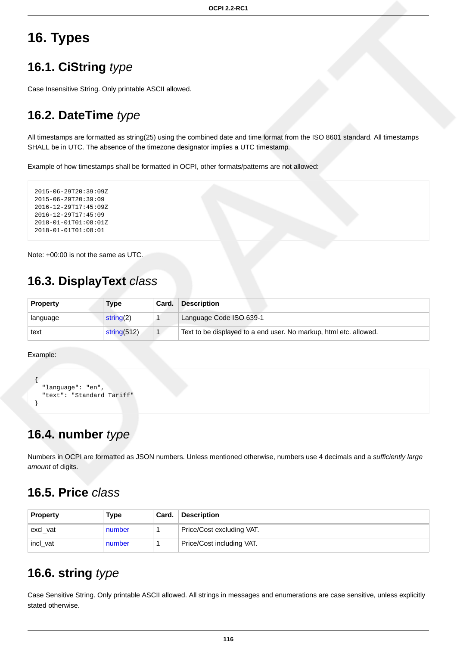# **16. Types**

## <span id="page-122-0"></span>**16.1. CiString** type

Case Insensitive String. Only printable ASCII allowed.

## <span id="page-122-1"></span>**16.2. DateTime** type

All timestamps are formatted as string(25) using the combined date and time format from the ISO 8601 standard. All timestamps SHALL be in UTC. The absence of the timezone designator implies a UTC timestamp.

Example of how timestamps shall be formatted in OCPI, other formats/patterns are not allowed:

```
2015-06-29T20:39:09Z
2015-06-29T20:39:09
2016-12-29T17:45:09Z
2016-12-29T17:45:09
2018-01-01T01:08:01Z
2018-01-01T01:08:01
```
Note: +00:00 is not the same as UTC.

## **16.3. DisplayText** class

| <b>Property</b> | <b>Type</b>  | Card. | <b>Description</b>                                                |
|-----------------|--------------|-------|-------------------------------------------------------------------|
| language        | string $(2)$ |       | Language Code ISO 639-1                                           |
| text            | string(512)  |       | Text to be displayed to a end user. No markup, html etc. allowed. |

Example:

```
{
   "language": "en",
   "text": "Standard Tariff"
}
```
## <span id="page-122-2"></span>**16.4. number** type

Numbers in OCPI are formatted as JSON numbers. Unless mentioned otherwise, numbers use 4 decimals and a sufficiently large amount of digits.

## **16.5. Price** class

| <b>Property</b> | Type   | Card. | <b>Description</b>        |  |
|-----------------|--------|-------|---------------------------|--|
| excl_vat        | number |       | Price/Cost excluding VAT. |  |
| incl_vat        | number |       | Price/Cost including VAT. |  |

## <span id="page-122-3"></span>**16.6. string** type

Case Sensitive String. Only printable ASCII allowed. All strings in messages and enumerations are case sensitive, unless explicitly stated otherwise.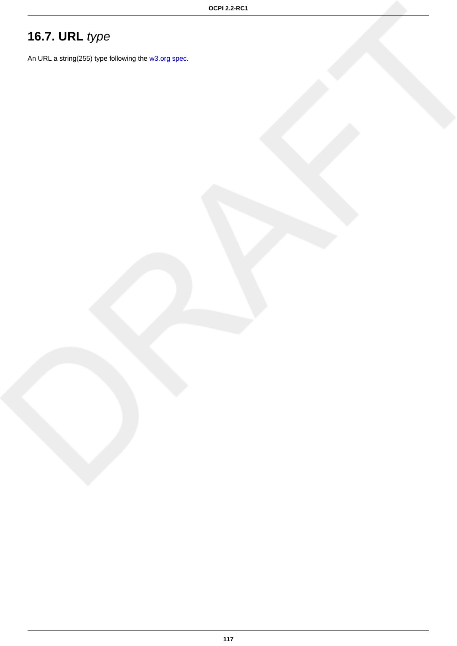# <span id="page-123-0"></span>**16.7. URL** type

An URL a string(255) type following the [w3.org spec](http://www.w3.org/Addressing/URL/uri-spec.html).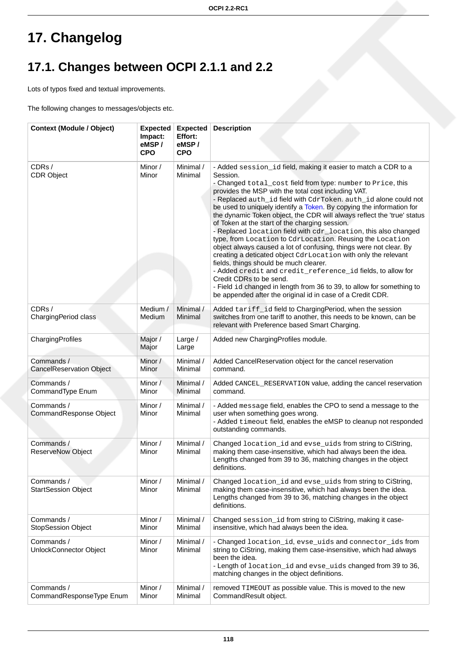# **17. Changelog**

# **17.1. Changes between OCPI 2.1.1 and 2.2**

Lots of typos fixed and textual improvements.

The following changes to messages/objects etc.

| <b>Context (Module / Object)</b>              | <b>Expected</b><br>Impact:<br>eMSP/<br><b>CPO</b> | <b>Expected</b><br>Effort:<br>eMSP/<br><b>CPO</b> | <b>Description</b>                                                                                                                                                                                                                                                                                                                                                                                                                                                                                                                                                                                                                                                                                                                                                                                                                                                                                                                                                                                                        |
|-----------------------------------------------|---------------------------------------------------|---------------------------------------------------|---------------------------------------------------------------------------------------------------------------------------------------------------------------------------------------------------------------------------------------------------------------------------------------------------------------------------------------------------------------------------------------------------------------------------------------------------------------------------------------------------------------------------------------------------------------------------------------------------------------------------------------------------------------------------------------------------------------------------------------------------------------------------------------------------------------------------------------------------------------------------------------------------------------------------------------------------------------------------------------------------------------------------|
| CDRs /<br><b>CDR Object</b>                   | Minor /<br>Minor                                  | Minimal /<br>Minimal                              | - Added session_id field, making it easier to match a CDR to a<br>Session.<br>- Changed total_cost field from type: number to Price, this<br>provides the MSP with the total cost including VAT.<br>- Replaced auth_id field with CdrToken. auth_id alone could not<br>be used to uniquely identify a Token. By copying the information for<br>the dynamic Token object, the CDR will always reflect the 'true' status<br>of Token at the start of the charging session.<br>- Replaced location field with cdr_location, this also changed<br>type, from Location to CdrLocation. Reusing the Location<br>object always caused a lot of confusing, things were not clear. By<br>creating a deticated object CdrLocation with only the relevant<br>fields, things should be much clearer.<br>- Added credit and credit_reference_id fields, to allow for<br>Credit CDRs to be send.<br>- Field id changed in length from 36 to 39, to allow for something to<br>be appended after the original id in case of a Credit CDR. |
| CDRs/<br>ChargingPeriod class                 | Medium /<br>Medium                                | Minimal /<br>Minimal                              | Added tariff_id field to ChargingPeriod, when the session<br>switches from one tariff to another, this needs to be known, can be<br>relevant with Preference based Smart Charging.                                                                                                                                                                                                                                                                                                                                                                                                                                                                                                                                                                                                                                                                                                                                                                                                                                        |
| ChargingProfiles                              | Major /<br>Major                                  | Large $/$<br>Large                                | Added new ChargingProfiles module.                                                                                                                                                                                                                                                                                                                                                                                                                                                                                                                                                                                                                                                                                                                                                                                                                                                                                                                                                                                        |
| Commands /<br><b>CancelReservation Object</b> | Minor /<br>Minor                                  | Minimal /<br>Minimal                              | Added CancelReservation object for the cancel reservation<br>command.                                                                                                                                                                                                                                                                                                                                                                                                                                                                                                                                                                                                                                                                                                                                                                                                                                                                                                                                                     |
| Commands /<br>CommandType Enum                | Minor /<br>Minor                                  | Minimal /<br>Minimal                              | Added CANCEL_RESERVATION value, adding the cancel reservation<br>command.                                                                                                                                                                                                                                                                                                                                                                                                                                                                                                                                                                                                                                                                                                                                                                                                                                                                                                                                                 |
| Commands /<br>CommandResponse Object          | Minor /<br>Minor                                  | Minimal /<br>Minimal                              | - Added message field, enables the CPO to send a message to the<br>user when something goes wrong.<br>- Added timeout field, enables the eMSP to cleanup not responded<br>outstanding commands.                                                                                                                                                                                                                                                                                                                                                                                                                                                                                                                                                                                                                                                                                                                                                                                                                           |
| Commands /<br><b>ReserveNow Object</b>        | Minor /<br>Minor                                  | Minimal /<br>Minimal                              | Changed location_id and evse_uids from string to CiString,<br>making them case-insensitive, which had always been the idea.<br>Lengths changed from 39 to 36, matching changes in the object<br>definitions.                                                                                                                                                                                                                                                                                                                                                                                                                                                                                                                                                                                                                                                                                                                                                                                                              |
| Commands /<br><b>StartSession Object</b>      | Minor /<br>Minor                                  | Minimal /<br>Minimal                              | Changed location_id and evse_uids from string to CiString,<br>making them case-insensitive, which had always been the idea.<br>Lengths changed from 39 to 36, matching changes in the object<br>definitions.                                                                                                                                                                                                                                                                                                                                                                                                                                                                                                                                                                                                                                                                                                                                                                                                              |
| Commands /<br><b>StopSession Object</b>       | Minor /<br>Minor                                  | Minimal /<br>Minimal                              | Changed session_id from string to CiString, making it case-<br>insensitive, which had always been the idea.                                                                                                                                                                                                                                                                                                                                                                                                                                                                                                                                                                                                                                                                                                                                                                                                                                                                                                               |
| Commands /<br>UnlockConnector Object          | Minor /<br>Minor                                  | Minimal /<br>Minimal                              | - Changed location_id, evse_uids and connector_ids from<br>string to CiString, making them case-insensitive, which had always<br>been the idea.<br>- Length of location_id and evse_uids changed from 39 to 36,<br>matching changes in the object definitions.                                                                                                                                                                                                                                                                                                                                                                                                                                                                                                                                                                                                                                                                                                                                                            |
| Commands /<br>CommandResponseType Enum        | Minor /<br>Minor                                  | Minimal /<br>Minimal                              | removed TIMEOUT as possible value. This is moved to the new<br>CommandResult object.                                                                                                                                                                                                                                                                                                                                                                                                                                                                                                                                                                                                                                                                                                                                                                                                                                                                                                                                      |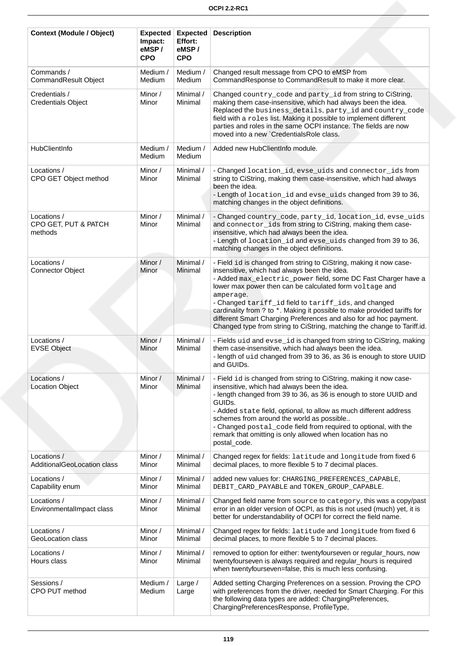| <b>Context (Module / Object)</b>               | <b>Expected</b><br>Impact:<br>eMSP/<br><b>CPO</b> | <b>Expected</b><br>Effort:<br>eMSP/<br><b>CPO</b> | <b>Description</b>                                                                                                                                                                                                                                                                                                                                                                                                                                                                                                                              |
|------------------------------------------------|---------------------------------------------------|---------------------------------------------------|-------------------------------------------------------------------------------------------------------------------------------------------------------------------------------------------------------------------------------------------------------------------------------------------------------------------------------------------------------------------------------------------------------------------------------------------------------------------------------------------------------------------------------------------------|
| Commands /<br>CommandResult Object             | Medium /<br>Medium                                | Medium /<br>Medium                                | Changed result message from CPO to eMSP from<br>CommandResponse to CommandResult to make it more clear.                                                                                                                                                                                                                                                                                                                                                                                                                                         |
| Credentials /<br><b>Credentials Object</b>     | Minor /<br>Minor                                  | Minimal /<br>Minimal                              | Changed country_code and party_id from string to CiString,<br>making them case-insensitive, which had always been the idea.<br>Replaced the business_details, party_id and country_code<br>field with a roles list. Making it possible to implement different<br>parties and roles in the same OCPI instance. The fields are now<br>moved into a new `CredentialsRole class.                                                                                                                                                                    |
| HubClientInfo                                  | Medium /<br>Medium                                | Medium /<br>Medium                                | Added new HubClientInfo module.                                                                                                                                                                                                                                                                                                                                                                                                                                                                                                                 |
| Locations /<br>CPO GET Object method           | Minor /<br>Minor                                  | Minimal /<br>Minimal                              | - Changed location_id, evse_uids and connector_ids from<br>string to CiString, making them case-insensitive, which had always<br>been the idea.<br>- Length of location_id and evse_uids changed from 39 to 36,<br>matching changes in the object definitions.                                                                                                                                                                                                                                                                                  |
| Locations /<br>CPO GET, PUT & PATCH<br>methods | Minor /<br>Minor                                  | Minimal /<br>Minimal                              | - Changed country_code, party_id, location_id, evse_uids<br>and connector_ids from string to CiString, making them case-<br>insensitive, which had always been the idea.<br>- Length of location_id and evse_uids changed from 39 to 36,<br>matching changes in the object definitions.                                                                                                                                                                                                                                                         |
| Locations /<br><b>Connector Object</b>         | Minor /<br>Minor                                  | Minimal /<br>Minimal                              | - Field id is changed from string to CiString, making it now case-<br>insensitive, which had always been the idea.<br>- Added max_electric_power field, some DC Fast Charger have a<br>lower max power then can be calculated form voltage and<br>amperage.<br>- Changed tariff_id field to tariff_ids, and changed<br>cardinality from ? to *. Making it possible to make provided tariffs for<br>different Smart Charging Preferences and also for ad hoc payment.<br>Changed type from string to CiString, matching the change to Tariff.id. |
| Locations /<br><b>EVSE Object</b>              | Minor /<br>Minor                                  | Minimal /<br>Minimal                              | - Fields uid and evse_id is changed from string to CiString, making<br>them case-insensitive, which had always been the idea.<br>- length of uid changed from 39 to 36, as 36 is enough to store UUID<br>and GUIDs.                                                                                                                                                                                                                                                                                                                             |
| Locations /<br><b>Location Object</b>          | Minor /<br>Minor                                  | Minimal /<br>Minimal                              | - Field id is changed from string to CiString, making it now case-<br>insensitive, which had always been the idea.<br>- length changed from 39 to 36, as 36 is enough to store UUID and<br>GUID <sub>s.</sub><br>- Added state field, optional, to allow as much different address<br>schemes from around the world as possible<br>- Changed postal_code field from required to optional, with the<br>remark that omitting is only allowed when location has no<br>postal_code.                                                                 |
| Locations /<br>AdditionalGeoLocation class     | Minor /<br>Minor                                  | Minimal /<br>Minimal                              | Changed regex for fields: latitude and longitude from fixed 6<br>decimal places, to more flexible 5 to 7 decimal places.                                                                                                                                                                                                                                                                                                                                                                                                                        |
| Locations /<br>Capability enum                 | Minor /<br>Minor                                  | Minimal /<br>Minimal                              | added new values for: CHARGING_PREFERENCES_CAPABLE,<br>DEBIT_CARD_PAYABLE and TOKEN_GROUP_CAPABLE.                                                                                                                                                                                                                                                                                                                                                                                                                                              |
| Locations /<br>EnvironmentalImpact class       | Minor /<br>Minor                                  | Minimal /<br>Minimal                              | Changed field name from source to category, this was a copy/past<br>error in an older version of OCPI, as this is not used (much) yet, it is<br>better for understandability of OCPI for correct the field name.                                                                                                                                                                                                                                                                                                                                |
| Locations /<br>GeoLocation class               | Minor /<br>Minor                                  | Minimal /<br>Minimal                              | Changed regex for fields: latitude and longitude from fixed 6<br>decimal places, to more flexible 5 to 7 decimal places.                                                                                                                                                                                                                                                                                                                                                                                                                        |
| Locations /<br>Hours class                     | Minor /<br>Minor                                  | Minimal /<br>Minimal                              | removed to option for either: twentyfourseven or regular_hours, now<br>twentyfourseven is always required and regular_hours is required<br>when twentyfourseven=false, this is much less confusing.                                                                                                                                                                                                                                                                                                                                             |
| Sessions /<br>CPO PUT method                   | Medium /<br>Medium                                | Large /<br>Large                                  | Added setting Charging Preferences on a session. Proving the CPO<br>with preferences from the driver, needed for Smart Charging. For this<br>the following data types are added: ChargingPreferences,<br>ChargingPreferencesResponse, ProfileType,                                                                                                                                                                                                                                                                                              |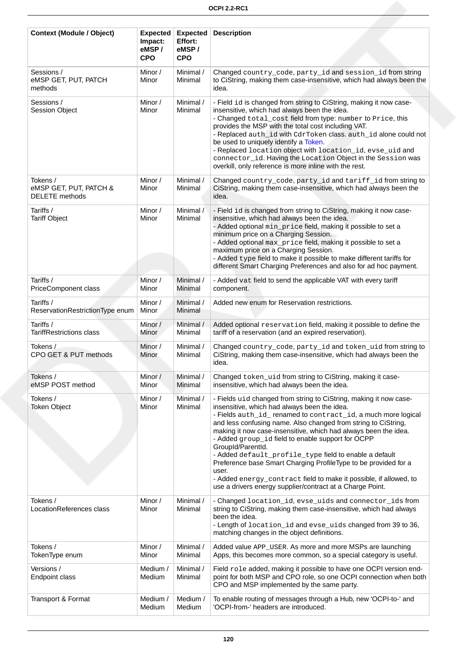| <b>Context (Module / Object)</b>                            | <b>Expected</b><br>Impact:<br>eMSP/<br><b>CPO</b> | <b>Expected</b><br>Effort:<br>eMSP/<br><b>CPO</b> | <b>Description</b>                                                                                                                                                                                                                                                                                                                                                                                                                                                                                                                                                                                                                                                        |
|-------------------------------------------------------------|---------------------------------------------------|---------------------------------------------------|---------------------------------------------------------------------------------------------------------------------------------------------------------------------------------------------------------------------------------------------------------------------------------------------------------------------------------------------------------------------------------------------------------------------------------------------------------------------------------------------------------------------------------------------------------------------------------------------------------------------------------------------------------------------------|
| Sessions /<br>eMSP GET, PUT, PATCH<br>methods               | Minor /<br>Minor                                  | Minimal /<br>Minimal                              | Changed country_code, party_id and session_id from string<br>to CiString, making them case-insensitive, which had always been the<br>idea.                                                                                                                                                                                                                                                                                                                                                                                                                                                                                                                                |
| Sessions /<br><b>Session Object</b>                         | Minor /<br>Minor                                  | Minimal /<br>Minimal                              | - Field id is changed from string to CiString, making it now case-<br>insensitive, which had always been the idea.<br>- Changed total_cost field from type: number to Price, this<br>provides the MSP with the total cost including VAT.<br>- Replaced auth_id with CdrToken class. auth_id alone could not<br>be used to uniquely identify a Token.<br>- Replaced location object with location_id, evse_uid and<br>connector_id. Having the Location Object in the Session was<br>overkill, only reference is more inline with the rest.                                                                                                                                |
| Tokens /<br>eMSP GET, PUT, PATCH &<br><b>DELETE</b> methods | Minor /<br>Minor                                  | Minimal /<br>Minimal                              | Changed country_code, party_id and tariff_id from string to<br>CiString, making them case-insensitive, which had always been the<br>idea.                                                                                                                                                                                                                                                                                                                                                                                                                                                                                                                                 |
| Tariffs /<br><b>Tariff Object</b>                           | Minor /<br>Minor                                  | Minimal /<br>Minimal                              | - Field id is changed from string to CiString, making it now case-<br>insensitive, which had always been the idea.<br>- Added optional min_price field, making it possible to set a<br>minimum price on a Charging Session.<br>- Added optional max_price field, making it possible to set a<br>maximum price on a Charging Session.<br>- Added type field to make it possible to make different tariffs for<br>different Smart Charging Preferences and also for ad hoc payment.                                                                                                                                                                                         |
| Tariffs /<br>PriceComponent class                           | Minor /<br>Minor                                  | Minimal /<br>Minimal                              | - Added vat field to send the applicable VAT with every tariff<br>component.                                                                                                                                                                                                                                                                                                                                                                                                                                                                                                                                                                                              |
| Tariffs /<br>ReservationRestrictionType enum                | Minor /<br>Minor                                  | Minimal /<br>Minimal                              | Added new enum for Reservation restrictions.                                                                                                                                                                                                                                                                                                                                                                                                                                                                                                                                                                                                                              |
| Tariffs /<br><b>TariffRestrictions class</b>                | Minor /<br>Minor                                  | Minimal /<br>Minimal                              | Added optional reservation field, making it possible to define the<br>tariff of a reservation (and an expired reservation).                                                                                                                                                                                                                                                                                                                                                                                                                                                                                                                                               |
| Tokens /<br>CPO GET & PUT methods                           | Minor /<br>Minor                                  | Minimal /<br>Minimal                              | Changed country_code, party_id and token_uid from string to<br>CiString, making them case-insensitive, which had always been the<br>idea.                                                                                                                                                                                                                                                                                                                                                                                                                                                                                                                                 |
| Tokens /<br>eMSP POST method                                | Minor /<br>Minor                                  | Minimal /<br>Minimal                              | Changed token_uid from string to CiString, making it case-<br>insensitive, which had always been the idea.                                                                                                                                                                                                                                                                                                                                                                                                                                                                                                                                                                |
| Tokens /<br><b>Token Object</b>                             | Minor /<br>Minor                                  | Minimal /<br>Minimal                              | - Fields uid changed from string to CiString, making it now case-<br>insensitive, which had always been the idea.<br>- Fields auth_id_ renamed to contract_id, a much more logical<br>and less confusing name. Also changed from string to CiString,<br>making it now case-insensitive, which had always been the idea.<br>- Added group_id field to enable support for OCPP<br>GroupId/ParentId.<br>- Added default_profile_type field to enable a default<br>Preference base Smart Charging ProfileType to be provided for a<br>user.<br>- Added energy_contract field to make it possible, if allowed, to<br>use a drivers energy supplier/contract at a Charge Point. |
| Tokens /<br>LocationReferences class                        | Minor /<br>Minor                                  | Minimal /<br>Minimal                              | - Changed location_id, evse_uids and connector_ids from<br>string to CiString, making them case-insensitive, which had always<br>been the idea.<br>- Length of location_id and evse_uids changed from 39 to 36,<br>matching changes in the object definitions.                                                                                                                                                                                                                                                                                                                                                                                                            |
| Tokens /<br>TokenType enum                                  | Minor /<br>Minor                                  | Minimal /<br>Minimal                              | Added value APP_USER. As more and more MSPs are launching<br>Apps, this becomes more common, so a special category is useful.                                                                                                                                                                                                                                                                                                                                                                                                                                                                                                                                             |
| Versions /<br>Endpoint class                                | Medium /<br>Medium                                | Minimal /<br>Minimal                              | Field role added, making it possible to have one OCPI version end-<br>point for both MSP and CPO role, so one OCPI connection when both<br>CPO and MSP implemented by the same party.                                                                                                                                                                                                                                                                                                                                                                                                                                                                                     |
| Transport & Format                                          | Medium /<br>Medium                                | Medium /<br>Medium                                | To enable routing of messages through a Hub, new 'OCPI-to-' and<br>'OCPI-from-' headers are introduced.                                                                                                                                                                                                                                                                                                                                                                                                                                                                                                                                                                   |